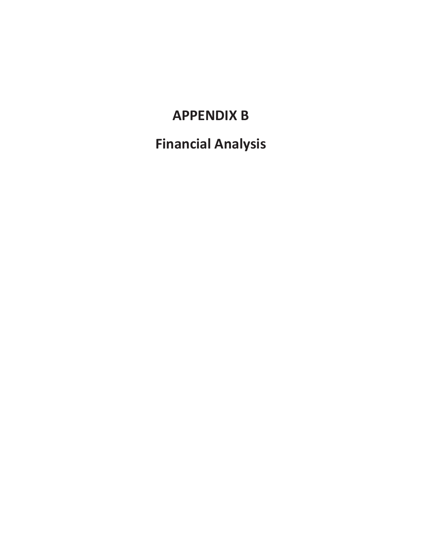## **APPENDIX B**

**Financial Analysis**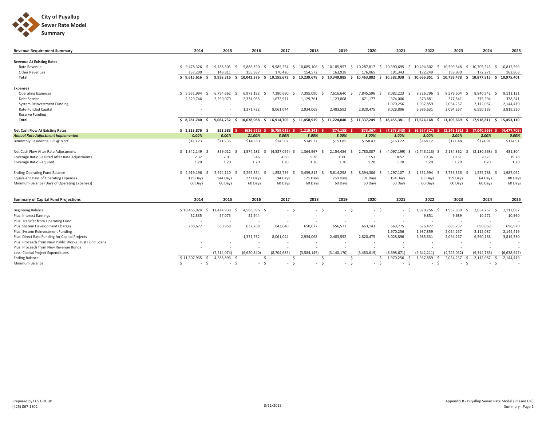

| <b>Revenue Requirement Summary</b>                    | 2014               | 2015                   | 2016               | 2017                    | 2018             | 2019                   | 2020                     | 2021                   | 2022              | 2023                           | 2024                     | 2025             |
|-------------------------------------------------------|--------------------|------------------------|--------------------|-------------------------|------------------|------------------------|--------------------------|------------------------|-------------------|--------------------------------|--------------------------|------------------|
| <b>Revenue At Existing Rates</b>                      |                    |                        |                    |                         |                  |                        |                          |                        |                   |                                |                          |                  |
| Rate Revenue                                          | \$9,478,326        | 9,788,505<br>-S        | 9,886,390<br>- S   | 9,985,254<br>-S<br>-S   | 10,085,106       | 10,185,957<br>-S       | 10,287,817<br>-S         | 10,390,695<br>-S<br>-S | 10,494,602        | 10,599,548<br>-S<br>-S         | 10,705,543               | 10,812,599<br>-S |
| <b>Other Revenues</b>                                 | 137,290            | 149,811                | 155,987            | 170,420                 | 154,572          | 163,928                | 176,065                  | 191,343                | 172,249           | 159,930                        | 172,271                  | 162,803          |
| Total                                                 | \$9,615,616        | 9,938,316<br>- Ś       | 10,042,376<br>- Ś  | 10,155,673<br>Ŝ.<br>- Ś | 10.239.678       | 10,349,885<br>S.       | 10,463,882<br>- Ś        | 10,582,038<br>-S       | 10,666,851        | 10,759,478 \$<br>- Ś           | 10,877,815 \$            | 10,975,401       |
|                                                       |                    |                        |                    |                         |                  |                        |                          |                        |                   |                                |                          |                  |
| <b>Expenses</b>                                       |                    |                        |                    |                         |                  |                        |                          |                        |                   |                                |                          |                  |
| <b>Operating Expenses</b>                             | \$5,951,994        | 6,794,662<br>-Ŝ<br>- S | 6,973,192          | 7,180,690<br>-S         | 7,395,090        | 7,616,640<br>-Ś.<br>-S | 7,845,596                | 8,082,223<br>-S<br>-S  | 8,326,796         | 8,579,604<br>-S<br>- S         | 8,840,942                | 9,111,121<br>- Ś |
| <b>Debt Service</b>                                   | 2,329,746          | 2,290,070              | 2,334,065          | 1,672,971               | 1,129,761        | 1,123,808              | 671,177                  | 374,006                | 373,881           | 377,541                        | 375,594                  | 378,241          |
| System Reinvestment Funding                           |                    |                        |                    |                         |                  |                        | $\overline{\phantom{a}}$ | 1,970,256              | 1,937,859         | 2,054,257                      | 2,112,087                | 2,144,419        |
| Rate-Funded Capital                                   |                    |                        | 1,371,732          | 8,061,044               | 2,934,068        | 2,483,592              | 2,820,475                | 8,028,896              | 6,985,631         | 2,094,267                      | 6,590,188                | 3,819,330        |
| <b>Reserve Funding</b>                                |                    |                        |                    |                         |                  |                        |                          |                        |                   |                                |                          |                  |
| Total                                                 | \$8,281,740        | $9,084,732$ \$<br>- S  | 10,678,988         | 16,914,705<br>-S        | 11,458,919<br>-S | 11,224,040<br>S.       | 11,337,249<br>-S         | 18,455,381<br>-S<br>-S | 17,624,168        | 13,105,669<br>- \$<br>s.       | 17,918,811 \$            | 15,453,110       |
| <b>Net Cash Flow At Existing Rates</b>                | \$1,333,876<br>- S | 853,583                | (636.612)          | (6.759.032)             | (1.219.241)      | $(874, 155)$ \$        | (873, 367)               | (7,873,343)            | (6,957,317)       | $(2,346,191)$ \$               | (7,040,996)              | (4,477,709)      |
| <b>Annual Rate Adjustment Implemented</b>             |                    |                        |                    | 3.00%                   | 3.00%            | 3.00%                  |                          |                        |                   | 2.00%                          | 2.00%                    | 0.00%            |
| Bimonthly Residential Bill @ 8 ccf                    | 0.00%<br>\$113.23  | 0.00%<br>\$116.36      | 21.00%<br>\$140.80 | \$145.02                | \$149.37         | \$153.85               | 3.00%<br>\$158.47        | 3.00%<br>\$163.22      | 3.00%<br>\$168.12 | \$171.48                       | \$174.91                 | \$174.91         |
|                                                       |                    |                        |                    |                         |                  |                        |                          |                        |                   |                                |                          |                  |
| Net Cash Flow After Rate Adjustments                  | \$1,342,149        | 859.012                | 1.574.281          | (4,537,097)<br>-S       | 1,364,967        | 2,154,486              | 2,780,007                | (4,097,199)            | (2,745,113)       | 2,184,362<br>S.                | (2, 180, 568)            | 431,304<br>-Ś    |
| Coverage Ratio Realized After Rate Adjustments        | 2.32               | 2.01                   | 3.46               | 4.50                    | 5.38             | 6.00                   | 17.53                    | 18.57                  | 19.36             | 19.61                          | 20.23                    | 19.78            |
| Coverage Ratio Required                               | 1.20               | 1.20                   | 1.20               | 1.20                    | 1.20             | 1.20                   | 1.20                     | 1.20                   | 1.20              | 1.20                           | 1.20                     | 1.20             |
| <b>Ending Operating Fund Balance</b>                  | \$2,919,196        | 2,674,110<br>-S        | 5,295,854          | 1,858,756<br>-S         | 3,459,812        | 5,614,298              | 8,394,306                | 4,297,107              | 1,551,994         | 3,736,356<br>- S               | 1,555,788                | 1,987,092<br>-S  |
| <b>Equivalent Days of Operating Expenses</b>          | 179 Days           | 144 Days               | 277 Days           | 94 Days                 | 171 Days         | 269 Days               | 391 Days                 | 194 Days               | 68 Days           | 159 Days                       | 64 Days                  | 80 Days          |
| Minimum Balance (Days of Operating Expenses)          | 60 Days            | 60 Days                | 60 Days            | 60 Days                 | 60 Days          | 60 Days                | 60 Days                  | 60 Days                | 60 Days           | 60 Days                        | 60 Days                  | 60 Days          |
|                                                       |                    |                        |                    |                         |                  |                        |                          |                        |                   |                                |                          |                  |
| <b>Summary of Capital Fund Projections</b>            | 2014               | 2015                   | 2016               | 2017                    | 2018             | 2019                   | 2020                     | 2021                   | 2022              | 2023                           | 2024                     | 2025             |
|                                                       |                    |                        |                    |                         |                  |                        |                          |                        |                   |                                |                          |                  |
| <b>Beginning Balance</b>                              | \$10,466,924       | 11.414.938<br>$\zeta$  | 4,588,896<br>-S    | - Ś<br>$\sim$           |                  | $-5$<br>$-S$           | $\sim$                   | - Ś<br>-S<br>$\sim$    | 1.970.256         | 1,937,859<br>$\varsigma$<br>-S | 2,054,257                | 2,112,087<br>S.  |
| Plus: Interest Earnings                               | 52,335             | 57,075                 | 22,944             |                         |                  | ×.                     | $\overline{\phantom{a}}$ |                        | 9,851             | 9,689                          | 10,271                   | 10,560           |
| Plus: Transfer from Operating Fund                    |                    |                        |                    |                         |                  |                        |                          |                        |                   |                                | $\overline{\phantom{a}}$ |                  |
| Plus: System Development Charges                      | 788,677            | 630,958                | 637,268            | 643,640                 | 650,077          | 656,577                | 663,143                  | 669,775                | 676,472           | 683,237                        | 690,069                  | 696,970          |
| Plus: System Reinvestment Funding                     |                    |                        | ٠                  |                         |                  |                        | $\overline{\phantom{a}}$ | 1,970,256              | 1,937,859         | 2,054,257                      | 2,112,087                | 2,144,419        |
| Plus: Direct Rate Funding for Capital Projects        |                    |                        | 1,371,732          | 8,061,044               | 2,934,068        | 2,483,592              | 2,820,475                | 8,028,896              | 6,985,631         | 2,094,267                      | 6,590,188                | 3,819,330        |
| Plus: Proceeds from New Public Works Trust Fund Loans |                    |                        |                    | ٠                       |                  |                        |                          |                        |                   |                                | $\sim$                   |                  |
| Plus: Proceeds from New Revenue Bonds                 |                    |                        |                    |                         |                  |                        |                          |                        |                   |                                |                          |                  |
| Less: Capital Project Expenditures                    |                    | (7,514,074)            | (6,620,840)        | (8,704,685)             | (3,584,145)      | (3, 140, 170)          | (3,483,619)              | (8,698,671)            | (9,642,211)       | (4,725,052)                    | (9, 344, 786)            | (6,638,947)      |
| <b>Ending Balance</b>                                 | \$11,307,935       | 4,588,896<br>-Ś        | - \$               | -S<br>$\sim$            |                  | - Ś<br>-Ś              |                          | 1,970,256              | 1,937,859         | 2,054,257                      | 2,112,087                | 2,144,419        |
| Minimum Balance                                       | Ŝ.                 | - Ś<br>$\sim$          | - \$               | $\sim$                  |                  | - \$<br>- \$           | $\sim$                   | $\mathsf{S}$<br>$\sim$ | $\sim$            | -Ś<br>- \$                     | $\sim$                   | <sup>5</sup>     |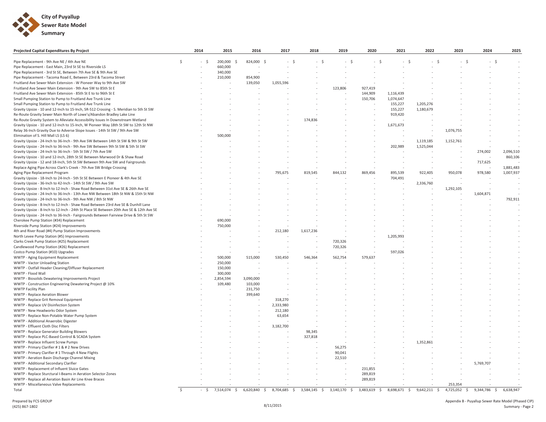

| 200,000<br>824,000 \$<br>Pipe Replacement - 9th Ave NE / 4th Ave NE<br>- \$<br>$-5$<br><sup>\$</sup><br>- S<br>- S<br>- S<br>- S<br>- S<br>- S<br>- S<br>Pipe Replacement - East Main, 23rd St SE to Riverside LS<br>660,000<br>Pipe Replacement - 3rd St SE, Between 7th Ave SE & 9th Ave SE<br>340,000<br>Pipe Replacement - Tacoma Road E, Between 23rd & Tacoma Street<br>210,000<br>854,900<br>Fruitland Ave Sewer Main Extension - W Pioneer Way to 9th Ave SW<br>139,050<br>1,055,596<br>Fruitland Ave Sewer Main Extension - 9th Ave SW to 85th St E<br>123,806<br>927,419<br>144,909<br>Fruitland Ave Sewer Main Extension - 85th St E to to 96th St E<br>1,116,439<br>Small Pumping Station to Pump to Fruitland Ave Trunk Line<br>150,706<br>1,074,647<br>Small Pumping Station to Pump to Fruitland Ave Trunk Line<br>155,227<br>1,205,276<br>Gravity Upsize - 10 and 12-Inch to 15-Inch, SR-512 Crossing - S. Meridian to 5th St SW<br>155,227<br>1,180,679<br>Re-Route Gravity Sewer Main North of Lowe's/Abandon Bradley Lake Line<br>919,420<br>174,836<br>Re-Route Gravity System to Alleviate Accessibility Issues In Downstream Wetland<br>Gravity Upsize - 10 and 12-Inch to 15-Inch, W Pioneer Way 18th St SW to 12th St NW<br>1,671,673<br>Relay 36-Inch Gravity Due to Adverse Slope Issues - 14th St SW / 9th Ave SW<br>1,076,755<br>Elimination of S. Hill Mall LS (LS 6)<br>500,000<br>Gravity Upsize - 24-Inch to 36-Inch - 9th Ave SW Between 14th St SW & 9th St SW<br>1,119,185<br>1,152,761<br>Gravity Upsize - 24-Inch to 36-Inch - 9th Ave SW Between 9th St SW & 5th St SW<br>1,525,044<br>202,989<br>Gravity Upsize - 24-Inch to 36-Inch - 5th St SW / 7th Ave SW<br>274,002<br>Gravity Upsize - 10 and 12-Inch, 28th St SE Between Marwood Dr & Shaw Road<br>Gravity Upsize - 12 and 18-Inch, 5th St SW Between 9th Ave SW and Fairgrounds<br>717,625<br>Replace Aging Pipe Across Clark's Creek - 7th Ave SW Bridge Crossing<br>Aging Pipe Replacement Program<br>795,675<br>819,545<br>844,132<br>869,456<br>895,539<br>922,405<br>950,078<br>978,580<br>Gravity Upsize - 18-Inch to 24-Inch - 5th St SE Between E Pioneer & 4th Ave SE<br>704,491<br>Gravity Upsize - 36-Inch to 42-Inch - 14th St SW / 9th Ave SW<br>2,336,760<br>Gravity Upsize - 8-Inch to 12-Inch - Shaw Road Between 31st Ave SE & 26th Ave SE<br>1,292,105<br>Gravity Upsize - 24-Inch to 36-Inch - 13th Ave NW Between 18th St NW & 15th St NW<br>1,604,871<br>Gravity Upsize - 24-Inch to 36-Inch - 9th Ave NW / 8th St NW<br>Gravity Upsize - 8-Inch to 12-Inch - Shaw Road Between 23rd Ave SE & Dunhill Lane<br>Gravity Upsize - 8-Inch to 12-Inch - 24th St Place SE Between 20th Ave SE & 12th Ave SE<br>Gravity Upsize - 24-Inch to 36-Inch - Fairgrounds Between Fairview Drive & 5th St SW<br>Cherokee Pump Station (#34) Replacement<br>690,000<br>Riverside Pump Station (#24) Improvements<br>750,000<br>4th and River Road (#4) Pump Station Improvements<br>212,180<br>1,617,236<br>North Levee Pump Station (#5) Improvements<br>1,205,993<br>Clarks Creek Pump Station (#25) Replacement<br>720,326<br>720,326<br>Candlewood Pump Station (#26) Replacement<br>597,026<br>Costco Pump Station (#10) Upgrades<br>WWTP - Aging Equipment Replacement<br>500.000<br>515.000<br>530,450<br>546.364<br>562,754<br>579,637<br>250,000<br>WWTP - Vactor Unloading Station<br>WWTP - Outfall Header Cleaning/Diffuser Replacement<br>150,000<br>WWTP - Flood Wall<br>300,000<br>WWTP - Biosolids Dewatering Improvements Project<br>2,854,594<br>3,090,000<br>WWTP - Construction Engineering Dewatering Project @ 10%<br>109,480<br>103,000<br>WWTP Facility Plan<br>231,750<br>WWTP - Replace Aeration Blower<br>399,640<br>WWTP - Replace Grit Removal Equipment<br>318,270<br>WWTP - Replace UV Disinfection System<br>2,333,980<br>WWTP - New Headworks Odor System<br>212,180<br>WWTP - Replace Non-Potable Water Pump System<br>63,654<br>WWTP - Additional Anaerobic Digester<br>WWTP - Effluent Cloth Disc Filters<br>3,182,700<br>WWTP - Replace Generator Building Blowers<br>98,345<br>WWTP - Replace PLC-Based Control & SCADA System<br>327,818<br>WWTP - Replace Influent Screw Pumps<br>1,352,861<br>56,275<br>WWTP - Primary Clarifier #1 & #2 New Drives<br>WWTP - Primary Clarifier #1 Through 4 New Flights<br>90,041<br>WWTP - Aeration Basin Discharge Channel Mixing<br>22,510<br>WWTP - Additional Secondary Clarifier<br>5,769,707<br>WWTP - Replacement of Influent Sluice Gates<br>231,855<br>WWTP - Replace Sturctural I-Beams in Aeration Selector Zones<br>289,819<br>WWTP - Replace all Aeration Basin Air Line Knee Braces<br>289,819<br>WWTP - Miscellaneous Valve Replacements<br>253,354 | Projected Capital Expenditures By Project | 2014 | 2015 | 2016 | 2017 | 2018 | 2019 | 2020 | 2021 | 2022 | 2023 | 2024 | 2025      |
|---------------------------------------------------------------------------------------------------------------------------------------------------------------------------------------------------------------------------------------------------------------------------------------------------------------------------------------------------------------------------------------------------------------------------------------------------------------------------------------------------------------------------------------------------------------------------------------------------------------------------------------------------------------------------------------------------------------------------------------------------------------------------------------------------------------------------------------------------------------------------------------------------------------------------------------------------------------------------------------------------------------------------------------------------------------------------------------------------------------------------------------------------------------------------------------------------------------------------------------------------------------------------------------------------------------------------------------------------------------------------------------------------------------------------------------------------------------------------------------------------------------------------------------------------------------------------------------------------------------------------------------------------------------------------------------------------------------------------------------------------------------------------------------------------------------------------------------------------------------------------------------------------------------------------------------------------------------------------------------------------------------------------------------------------------------------------------------------------------------------------------------------------------------------------------------------------------------------------------------------------------------------------------------------------------------------------------------------------------------------------------------------------------------------------------------------------------------------------------------------------------------------------------------------------------------------------------------------------------------------------------------------------------------------------------------------------------------------------------------------------------------------------------------------------------------------------------------------------------------------------------------------------------------------------------------------------------------------------------------------------------------------------------------------------------------------------------------------------------------------------------------------------------------------------------------------------------------------------------------------------------------------------------------------------------------------------------------------------------------------------------------------------------------------------------------------------------------------------------------------------------------------------------------------------------------------------------------------------------------------------------------------------------------------------------------------------------------------------------------------------------------------------------------------------------------------------------------------------------------------------------------------------------------------------------------------------------------------------------------------------------------------------------------------------------------------------------------------------------------------------------------------------------------------------------------------------------------------------------------------------------------------------------------------------------------------------------------------------------------------------------------------------------------------------------------------------------------------------------------------------------------------------------------------------------------------------------------------------------------------------------------------------------------------------------------------------------------------------------------------------|-------------------------------------------|------|------|------|------|------|------|------|------|------|------|------|-----------|
|                                                                                                                                                                                                                                                                                                                                                                                                                                                                                                                                                                                                                                                                                                                                                                                                                                                                                                                                                                                                                                                                                                                                                                                                                                                                                                                                                                                                                                                                                                                                                                                                                                                                                                                                                                                                                                                                                                                                                                                                                                                                                                                                                                                                                                                                                                                                                                                                                                                                                                                                                                                                                                                                                                                                                                                                                                                                                                                                                                                                                                                                                                                                                                                                                                                                                                                                                                                                                                                                                                                                                                                                                                                                                                                                                                                                                                                                                                                                                                                                                                                                                                                                                                                                                                                                                                                                                                                                                                                                                                                                                                                                                                                                                                                                                   |                                           |      |      |      |      |      |      |      |      |      |      |      |           |
|                                                                                                                                                                                                                                                                                                                                                                                                                                                                                                                                                                                                                                                                                                                                                                                                                                                                                                                                                                                                                                                                                                                                                                                                                                                                                                                                                                                                                                                                                                                                                                                                                                                                                                                                                                                                                                                                                                                                                                                                                                                                                                                                                                                                                                                                                                                                                                                                                                                                                                                                                                                                                                                                                                                                                                                                                                                                                                                                                                                                                                                                                                                                                                                                                                                                                                                                                                                                                                                                                                                                                                                                                                                                                                                                                                                                                                                                                                                                                                                                                                                                                                                                                                                                                                                                                                                                                                                                                                                                                                                                                                                                                                                                                                                                                   |                                           |      |      |      |      |      |      |      |      |      |      | $-5$ |           |
|                                                                                                                                                                                                                                                                                                                                                                                                                                                                                                                                                                                                                                                                                                                                                                                                                                                                                                                                                                                                                                                                                                                                                                                                                                                                                                                                                                                                                                                                                                                                                                                                                                                                                                                                                                                                                                                                                                                                                                                                                                                                                                                                                                                                                                                                                                                                                                                                                                                                                                                                                                                                                                                                                                                                                                                                                                                                                                                                                                                                                                                                                                                                                                                                                                                                                                                                                                                                                                                                                                                                                                                                                                                                                                                                                                                                                                                                                                                                                                                                                                                                                                                                                                                                                                                                                                                                                                                                                                                                                                                                                                                                                                                                                                                                                   |                                           |      |      |      |      |      |      |      |      |      |      |      |           |
|                                                                                                                                                                                                                                                                                                                                                                                                                                                                                                                                                                                                                                                                                                                                                                                                                                                                                                                                                                                                                                                                                                                                                                                                                                                                                                                                                                                                                                                                                                                                                                                                                                                                                                                                                                                                                                                                                                                                                                                                                                                                                                                                                                                                                                                                                                                                                                                                                                                                                                                                                                                                                                                                                                                                                                                                                                                                                                                                                                                                                                                                                                                                                                                                                                                                                                                                                                                                                                                                                                                                                                                                                                                                                                                                                                                                                                                                                                                                                                                                                                                                                                                                                                                                                                                                                                                                                                                                                                                                                                                                                                                                                                                                                                                                                   |                                           |      |      |      |      |      |      |      |      |      |      |      |           |
|                                                                                                                                                                                                                                                                                                                                                                                                                                                                                                                                                                                                                                                                                                                                                                                                                                                                                                                                                                                                                                                                                                                                                                                                                                                                                                                                                                                                                                                                                                                                                                                                                                                                                                                                                                                                                                                                                                                                                                                                                                                                                                                                                                                                                                                                                                                                                                                                                                                                                                                                                                                                                                                                                                                                                                                                                                                                                                                                                                                                                                                                                                                                                                                                                                                                                                                                                                                                                                                                                                                                                                                                                                                                                                                                                                                                                                                                                                                                                                                                                                                                                                                                                                                                                                                                                                                                                                                                                                                                                                                                                                                                                                                                                                                                                   |                                           |      |      |      |      |      |      |      |      |      |      |      |           |
|                                                                                                                                                                                                                                                                                                                                                                                                                                                                                                                                                                                                                                                                                                                                                                                                                                                                                                                                                                                                                                                                                                                                                                                                                                                                                                                                                                                                                                                                                                                                                                                                                                                                                                                                                                                                                                                                                                                                                                                                                                                                                                                                                                                                                                                                                                                                                                                                                                                                                                                                                                                                                                                                                                                                                                                                                                                                                                                                                                                                                                                                                                                                                                                                                                                                                                                                                                                                                                                                                                                                                                                                                                                                                                                                                                                                                                                                                                                                                                                                                                                                                                                                                                                                                                                                                                                                                                                                                                                                                                                                                                                                                                                                                                                                                   |                                           |      |      |      |      |      |      |      |      |      |      |      |           |
|                                                                                                                                                                                                                                                                                                                                                                                                                                                                                                                                                                                                                                                                                                                                                                                                                                                                                                                                                                                                                                                                                                                                                                                                                                                                                                                                                                                                                                                                                                                                                                                                                                                                                                                                                                                                                                                                                                                                                                                                                                                                                                                                                                                                                                                                                                                                                                                                                                                                                                                                                                                                                                                                                                                                                                                                                                                                                                                                                                                                                                                                                                                                                                                                                                                                                                                                                                                                                                                                                                                                                                                                                                                                                                                                                                                                                                                                                                                                                                                                                                                                                                                                                                                                                                                                                                                                                                                                                                                                                                                                                                                                                                                                                                                                                   |                                           |      |      |      |      |      |      |      |      |      |      |      |           |
|                                                                                                                                                                                                                                                                                                                                                                                                                                                                                                                                                                                                                                                                                                                                                                                                                                                                                                                                                                                                                                                                                                                                                                                                                                                                                                                                                                                                                                                                                                                                                                                                                                                                                                                                                                                                                                                                                                                                                                                                                                                                                                                                                                                                                                                                                                                                                                                                                                                                                                                                                                                                                                                                                                                                                                                                                                                                                                                                                                                                                                                                                                                                                                                                                                                                                                                                                                                                                                                                                                                                                                                                                                                                                                                                                                                                                                                                                                                                                                                                                                                                                                                                                                                                                                                                                                                                                                                                                                                                                                                                                                                                                                                                                                                                                   |                                           |      |      |      |      |      |      |      |      |      |      |      |           |
|                                                                                                                                                                                                                                                                                                                                                                                                                                                                                                                                                                                                                                                                                                                                                                                                                                                                                                                                                                                                                                                                                                                                                                                                                                                                                                                                                                                                                                                                                                                                                                                                                                                                                                                                                                                                                                                                                                                                                                                                                                                                                                                                                                                                                                                                                                                                                                                                                                                                                                                                                                                                                                                                                                                                                                                                                                                                                                                                                                                                                                                                                                                                                                                                                                                                                                                                                                                                                                                                                                                                                                                                                                                                                                                                                                                                                                                                                                                                                                                                                                                                                                                                                                                                                                                                                                                                                                                                                                                                                                                                                                                                                                                                                                                                                   |                                           |      |      |      |      |      |      |      |      |      |      |      |           |
|                                                                                                                                                                                                                                                                                                                                                                                                                                                                                                                                                                                                                                                                                                                                                                                                                                                                                                                                                                                                                                                                                                                                                                                                                                                                                                                                                                                                                                                                                                                                                                                                                                                                                                                                                                                                                                                                                                                                                                                                                                                                                                                                                                                                                                                                                                                                                                                                                                                                                                                                                                                                                                                                                                                                                                                                                                                                                                                                                                                                                                                                                                                                                                                                                                                                                                                                                                                                                                                                                                                                                                                                                                                                                                                                                                                                                                                                                                                                                                                                                                                                                                                                                                                                                                                                                                                                                                                                                                                                                                                                                                                                                                                                                                                                                   |                                           |      |      |      |      |      |      |      |      |      |      |      |           |
|                                                                                                                                                                                                                                                                                                                                                                                                                                                                                                                                                                                                                                                                                                                                                                                                                                                                                                                                                                                                                                                                                                                                                                                                                                                                                                                                                                                                                                                                                                                                                                                                                                                                                                                                                                                                                                                                                                                                                                                                                                                                                                                                                                                                                                                                                                                                                                                                                                                                                                                                                                                                                                                                                                                                                                                                                                                                                                                                                                                                                                                                                                                                                                                                                                                                                                                                                                                                                                                                                                                                                                                                                                                                                                                                                                                                                                                                                                                                                                                                                                                                                                                                                                                                                                                                                                                                                                                                                                                                                                                                                                                                                                                                                                                                                   |                                           |      |      |      |      |      |      |      |      |      |      |      |           |
|                                                                                                                                                                                                                                                                                                                                                                                                                                                                                                                                                                                                                                                                                                                                                                                                                                                                                                                                                                                                                                                                                                                                                                                                                                                                                                                                                                                                                                                                                                                                                                                                                                                                                                                                                                                                                                                                                                                                                                                                                                                                                                                                                                                                                                                                                                                                                                                                                                                                                                                                                                                                                                                                                                                                                                                                                                                                                                                                                                                                                                                                                                                                                                                                                                                                                                                                                                                                                                                                                                                                                                                                                                                                                                                                                                                                                                                                                                                                                                                                                                                                                                                                                                                                                                                                                                                                                                                                                                                                                                                                                                                                                                                                                                                                                   |                                           |      |      |      |      |      |      |      |      |      |      |      |           |
|                                                                                                                                                                                                                                                                                                                                                                                                                                                                                                                                                                                                                                                                                                                                                                                                                                                                                                                                                                                                                                                                                                                                                                                                                                                                                                                                                                                                                                                                                                                                                                                                                                                                                                                                                                                                                                                                                                                                                                                                                                                                                                                                                                                                                                                                                                                                                                                                                                                                                                                                                                                                                                                                                                                                                                                                                                                                                                                                                                                                                                                                                                                                                                                                                                                                                                                                                                                                                                                                                                                                                                                                                                                                                                                                                                                                                                                                                                                                                                                                                                                                                                                                                                                                                                                                                                                                                                                                                                                                                                                                                                                                                                                                                                                                                   |                                           |      |      |      |      |      |      |      |      |      |      |      |           |
|                                                                                                                                                                                                                                                                                                                                                                                                                                                                                                                                                                                                                                                                                                                                                                                                                                                                                                                                                                                                                                                                                                                                                                                                                                                                                                                                                                                                                                                                                                                                                                                                                                                                                                                                                                                                                                                                                                                                                                                                                                                                                                                                                                                                                                                                                                                                                                                                                                                                                                                                                                                                                                                                                                                                                                                                                                                                                                                                                                                                                                                                                                                                                                                                                                                                                                                                                                                                                                                                                                                                                                                                                                                                                                                                                                                                                                                                                                                                                                                                                                                                                                                                                                                                                                                                                                                                                                                                                                                                                                                                                                                                                                                                                                                                                   |                                           |      |      |      |      |      |      |      |      |      |      |      |           |
|                                                                                                                                                                                                                                                                                                                                                                                                                                                                                                                                                                                                                                                                                                                                                                                                                                                                                                                                                                                                                                                                                                                                                                                                                                                                                                                                                                                                                                                                                                                                                                                                                                                                                                                                                                                                                                                                                                                                                                                                                                                                                                                                                                                                                                                                                                                                                                                                                                                                                                                                                                                                                                                                                                                                                                                                                                                                                                                                                                                                                                                                                                                                                                                                                                                                                                                                                                                                                                                                                                                                                                                                                                                                                                                                                                                                                                                                                                                                                                                                                                                                                                                                                                                                                                                                                                                                                                                                                                                                                                                                                                                                                                                                                                                                                   |                                           |      |      |      |      |      |      |      |      |      |      |      |           |
|                                                                                                                                                                                                                                                                                                                                                                                                                                                                                                                                                                                                                                                                                                                                                                                                                                                                                                                                                                                                                                                                                                                                                                                                                                                                                                                                                                                                                                                                                                                                                                                                                                                                                                                                                                                                                                                                                                                                                                                                                                                                                                                                                                                                                                                                                                                                                                                                                                                                                                                                                                                                                                                                                                                                                                                                                                                                                                                                                                                                                                                                                                                                                                                                                                                                                                                                                                                                                                                                                                                                                                                                                                                                                                                                                                                                                                                                                                                                                                                                                                                                                                                                                                                                                                                                                                                                                                                                                                                                                                                                                                                                                                                                                                                                                   |                                           |      |      |      |      |      |      |      |      |      |      |      |           |
|                                                                                                                                                                                                                                                                                                                                                                                                                                                                                                                                                                                                                                                                                                                                                                                                                                                                                                                                                                                                                                                                                                                                                                                                                                                                                                                                                                                                                                                                                                                                                                                                                                                                                                                                                                                                                                                                                                                                                                                                                                                                                                                                                                                                                                                                                                                                                                                                                                                                                                                                                                                                                                                                                                                                                                                                                                                                                                                                                                                                                                                                                                                                                                                                                                                                                                                                                                                                                                                                                                                                                                                                                                                                                                                                                                                                                                                                                                                                                                                                                                                                                                                                                                                                                                                                                                                                                                                                                                                                                                                                                                                                                                                                                                                                                   |                                           |      |      |      |      |      |      |      |      |      |      |      |           |
|                                                                                                                                                                                                                                                                                                                                                                                                                                                                                                                                                                                                                                                                                                                                                                                                                                                                                                                                                                                                                                                                                                                                                                                                                                                                                                                                                                                                                                                                                                                                                                                                                                                                                                                                                                                                                                                                                                                                                                                                                                                                                                                                                                                                                                                                                                                                                                                                                                                                                                                                                                                                                                                                                                                                                                                                                                                                                                                                                                                                                                                                                                                                                                                                                                                                                                                                                                                                                                                                                                                                                                                                                                                                                                                                                                                                                                                                                                                                                                                                                                                                                                                                                                                                                                                                                                                                                                                                                                                                                                                                                                                                                                                                                                                                                   |                                           |      |      |      |      |      |      |      |      |      |      |      |           |
|                                                                                                                                                                                                                                                                                                                                                                                                                                                                                                                                                                                                                                                                                                                                                                                                                                                                                                                                                                                                                                                                                                                                                                                                                                                                                                                                                                                                                                                                                                                                                                                                                                                                                                                                                                                                                                                                                                                                                                                                                                                                                                                                                                                                                                                                                                                                                                                                                                                                                                                                                                                                                                                                                                                                                                                                                                                                                                                                                                                                                                                                                                                                                                                                                                                                                                                                                                                                                                                                                                                                                                                                                                                                                                                                                                                                                                                                                                                                                                                                                                                                                                                                                                                                                                                                                                                                                                                                                                                                                                                                                                                                                                                                                                                                                   |                                           |      |      |      |      |      |      |      |      |      |      |      | 2,096,510 |
|                                                                                                                                                                                                                                                                                                                                                                                                                                                                                                                                                                                                                                                                                                                                                                                                                                                                                                                                                                                                                                                                                                                                                                                                                                                                                                                                                                                                                                                                                                                                                                                                                                                                                                                                                                                                                                                                                                                                                                                                                                                                                                                                                                                                                                                                                                                                                                                                                                                                                                                                                                                                                                                                                                                                                                                                                                                                                                                                                                                                                                                                                                                                                                                                                                                                                                                                                                                                                                                                                                                                                                                                                                                                                                                                                                                                                                                                                                                                                                                                                                                                                                                                                                                                                                                                                                                                                                                                                                                                                                                                                                                                                                                                                                                                                   |                                           |      |      |      |      |      |      |      |      |      |      |      | 860,106   |
|                                                                                                                                                                                                                                                                                                                                                                                                                                                                                                                                                                                                                                                                                                                                                                                                                                                                                                                                                                                                                                                                                                                                                                                                                                                                                                                                                                                                                                                                                                                                                                                                                                                                                                                                                                                                                                                                                                                                                                                                                                                                                                                                                                                                                                                                                                                                                                                                                                                                                                                                                                                                                                                                                                                                                                                                                                                                                                                                                                                                                                                                                                                                                                                                                                                                                                                                                                                                                                                                                                                                                                                                                                                                                                                                                                                                                                                                                                                                                                                                                                                                                                                                                                                                                                                                                                                                                                                                                                                                                                                                                                                                                                                                                                                                                   |                                           |      |      |      |      |      |      |      |      |      |      |      |           |
|                                                                                                                                                                                                                                                                                                                                                                                                                                                                                                                                                                                                                                                                                                                                                                                                                                                                                                                                                                                                                                                                                                                                                                                                                                                                                                                                                                                                                                                                                                                                                                                                                                                                                                                                                                                                                                                                                                                                                                                                                                                                                                                                                                                                                                                                                                                                                                                                                                                                                                                                                                                                                                                                                                                                                                                                                                                                                                                                                                                                                                                                                                                                                                                                                                                                                                                                                                                                                                                                                                                                                                                                                                                                                                                                                                                                                                                                                                                                                                                                                                                                                                                                                                                                                                                                                                                                                                                                                                                                                                                                                                                                                                                                                                                                                   |                                           |      |      |      |      |      |      |      |      |      |      |      | 1,881,483 |
|                                                                                                                                                                                                                                                                                                                                                                                                                                                                                                                                                                                                                                                                                                                                                                                                                                                                                                                                                                                                                                                                                                                                                                                                                                                                                                                                                                                                                                                                                                                                                                                                                                                                                                                                                                                                                                                                                                                                                                                                                                                                                                                                                                                                                                                                                                                                                                                                                                                                                                                                                                                                                                                                                                                                                                                                                                                                                                                                                                                                                                                                                                                                                                                                                                                                                                                                                                                                                                                                                                                                                                                                                                                                                                                                                                                                                                                                                                                                                                                                                                                                                                                                                                                                                                                                                                                                                                                                                                                                                                                                                                                                                                                                                                                                                   |                                           |      |      |      |      |      |      |      |      |      |      |      | 1,007,937 |
|                                                                                                                                                                                                                                                                                                                                                                                                                                                                                                                                                                                                                                                                                                                                                                                                                                                                                                                                                                                                                                                                                                                                                                                                                                                                                                                                                                                                                                                                                                                                                                                                                                                                                                                                                                                                                                                                                                                                                                                                                                                                                                                                                                                                                                                                                                                                                                                                                                                                                                                                                                                                                                                                                                                                                                                                                                                                                                                                                                                                                                                                                                                                                                                                                                                                                                                                                                                                                                                                                                                                                                                                                                                                                                                                                                                                                                                                                                                                                                                                                                                                                                                                                                                                                                                                                                                                                                                                                                                                                                                                                                                                                                                                                                                                                   |                                           |      |      |      |      |      |      |      |      |      |      |      |           |
|                                                                                                                                                                                                                                                                                                                                                                                                                                                                                                                                                                                                                                                                                                                                                                                                                                                                                                                                                                                                                                                                                                                                                                                                                                                                                                                                                                                                                                                                                                                                                                                                                                                                                                                                                                                                                                                                                                                                                                                                                                                                                                                                                                                                                                                                                                                                                                                                                                                                                                                                                                                                                                                                                                                                                                                                                                                                                                                                                                                                                                                                                                                                                                                                                                                                                                                                                                                                                                                                                                                                                                                                                                                                                                                                                                                                                                                                                                                                                                                                                                                                                                                                                                                                                                                                                                                                                                                                                                                                                                                                                                                                                                                                                                                                                   |                                           |      |      |      |      |      |      |      |      |      |      |      |           |
|                                                                                                                                                                                                                                                                                                                                                                                                                                                                                                                                                                                                                                                                                                                                                                                                                                                                                                                                                                                                                                                                                                                                                                                                                                                                                                                                                                                                                                                                                                                                                                                                                                                                                                                                                                                                                                                                                                                                                                                                                                                                                                                                                                                                                                                                                                                                                                                                                                                                                                                                                                                                                                                                                                                                                                                                                                                                                                                                                                                                                                                                                                                                                                                                                                                                                                                                                                                                                                                                                                                                                                                                                                                                                                                                                                                                                                                                                                                                                                                                                                                                                                                                                                                                                                                                                                                                                                                                                                                                                                                                                                                                                                                                                                                                                   |                                           |      |      |      |      |      |      |      |      |      |      |      |           |
|                                                                                                                                                                                                                                                                                                                                                                                                                                                                                                                                                                                                                                                                                                                                                                                                                                                                                                                                                                                                                                                                                                                                                                                                                                                                                                                                                                                                                                                                                                                                                                                                                                                                                                                                                                                                                                                                                                                                                                                                                                                                                                                                                                                                                                                                                                                                                                                                                                                                                                                                                                                                                                                                                                                                                                                                                                                                                                                                                                                                                                                                                                                                                                                                                                                                                                                                                                                                                                                                                                                                                                                                                                                                                                                                                                                                                                                                                                                                                                                                                                                                                                                                                                                                                                                                                                                                                                                                                                                                                                                                                                                                                                                                                                                                                   |                                           |      |      |      |      |      |      |      |      |      |      |      |           |
|                                                                                                                                                                                                                                                                                                                                                                                                                                                                                                                                                                                                                                                                                                                                                                                                                                                                                                                                                                                                                                                                                                                                                                                                                                                                                                                                                                                                                                                                                                                                                                                                                                                                                                                                                                                                                                                                                                                                                                                                                                                                                                                                                                                                                                                                                                                                                                                                                                                                                                                                                                                                                                                                                                                                                                                                                                                                                                                                                                                                                                                                                                                                                                                                                                                                                                                                                                                                                                                                                                                                                                                                                                                                                                                                                                                                                                                                                                                                                                                                                                                                                                                                                                                                                                                                                                                                                                                                                                                                                                                                                                                                                                                                                                                                                   |                                           |      |      |      |      |      |      |      |      |      |      |      | 792,911   |
|                                                                                                                                                                                                                                                                                                                                                                                                                                                                                                                                                                                                                                                                                                                                                                                                                                                                                                                                                                                                                                                                                                                                                                                                                                                                                                                                                                                                                                                                                                                                                                                                                                                                                                                                                                                                                                                                                                                                                                                                                                                                                                                                                                                                                                                                                                                                                                                                                                                                                                                                                                                                                                                                                                                                                                                                                                                                                                                                                                                                                                                                                                                                                                                                                                                                                                                                                                                                                                                                                                                                                                                                                                                                                                                                                                                                                                                                                                                                                                                                                                                                                                                                                                                                                                                                                                                                                                                                                                                                                                                                                                                                                                                                                                                                                   |                                           |      |      |      |      |      |      |      |      |      |      |      |           |
|                                                                                                                                                                                                                                                                                                                                                                                                                                                                                                                                                                                                                                                                                                                                                                                                                                                                                                                                                                                                                                                                                                                                                                                                                                                                                                                                                                                                                                                                                                                                                                                                                                                                                                                                                                                                                                                                                                                                                                                                                                                                                                                                                                                                                                                                                                                                                                                                                                                                                                                                                                                                                                                                                                                                                                                                                                                                                                                                                                                                                                                                                                                                                                                                                                                                                                                                                                                                                                                                                                                                                                                                                                                                                                                                                                                                                                                                                                                                                                                                                                                                                                                                                                                                                                                                                                                                                                                                                                                                                                                                                                                                                                                                                                                                                   |                                           |      |      |      |      |      |      |      |      |      |      |      |           |
|                                                                                                                                                                                                                                                                                                                                                                                                                                                                                                                                                                                                                                                                                                                                                                                                                                                                                                                                                                                                                                                                                                                                                                                                                                                                                                                                                                                                                                                                                                                                                                                                                                                                                                                                                                                                                                                                                                                                                                                                                                                                                                                                                                                                                                                                                                                                                                                                                                                                                                                                                                                                                                                                                                                                                                                                                                                                                                                                                                                                                                                                                                                                                                                                                                                                                                                                                                                                                                                                                                                                                                                                                                                                                                                                                                                                                                                                                                                                                                                                                                                                                                                                                                                                                                                                                                                                                                                                                                                                                                                                                                                                                                                                                                                                                   |                                           |      |      |      |      |      |      |      |      |      |      |      |           |
|                                                                                                                                                                                                                                                                                                                                                                                                                                                                                                                                                                                                                                                                                                                                                                                                                                                                                                                                                                                                                                                                                                                                                                                                                                                                                                                                                                                                                                                                                                                                                                                                                                                                                                                                                                                                                                                                                                                                                                                                                                                                                                                                                                                                                                                                                                                                                                                                                                                                                                                                                                                                                                                                                                                                                                                                                                                                                                                                                                                                                                                                                                                                                                                                                                                                                                                                                                                                                                                                                                                                                                                                                                                                                                                                                                                                                                                                                                                                                                                                                                                                                                                                                                                                                                                                                                                                                                                                                                                                                                                                                                                                                                                                                                                                                   |                                           |      |      |      |      |      |      |      |      |      |      |      |           |
|                                                                                                                                                                                                                                                                                                                                                                                                                                                                                                                                                                                                                                                                                                                                                                                                                                                                                                                                                                                                                                                                                                                                                                                                                                                                                                                                                                                                                                                                                                                                                                                                                                                                                                                                                                                                                                                                                                                                                                                                                                                                                                                                                                                                                                                                                                                                                                                                                                                                                                                                                                                                                                                                                                                                                                                                                                                                                                                                                                                                                                                                                                                                                                                                                                                                                                                                                                                                                                                                                                                                                                                                                                                                                                                                                                                                                                                                                                                                                                                                                                                                                                                                                                                                                                                                                                                                                                                                                                                                                                                                                                                                                                                                                                                                                   |                                           |      |      |      |      |      |      |      |      |      |      |      |           |
|                                                                                                                                                                                                                                                                                                                                                                                                                                                                                                                                                                                                                                                                                                                                                                                                                                                                                                                                                                                                                                                                                                                                                                                                                                                                                                                                                                                                                                                                                                                                                                                                                                                                                                                                                                                                                                                                                                                                                                                                                                                                                                                                                                                                                                                                                                                                                                                                                                                                                                                                                                                                                                                                                                                                                                                                                                                                                                                                                                                                                                                                                                                                                                                                                                                                                                                                                                                                                                                                                                                                                                                                                                                                                                                                                                                                                                                                                                                                                                                                                                                                                                                                                                                                                                                                                                                                                                                                                                                                                                                                                                                                                                                                                                                                                   |                                           |      |      |      |      |      |      |      |      |      |      |      |           |
|                                                                                                                                                                                                                                                                                                                                                                                                                                                                                                                                                                                                                                                                                                                                                                                                                                                                                                                                                                                                                                                                                                                                                                                                                                                                                                                                                                                                                                                                                                                                                                                                                                                                                                                                                                                                                                                                                                                                                                                                                                                                                                                                                                                                                                                                                                                                                                                                                                                                                                                                                                                                                                                                                                                                                                                                                                                                                                                                                                                                                                                                                                                                                                                                                                                                                                                                                                                                                                                                                                                                                                                                                                                                                                                                                                                                                                                                                                                                                                                                                                                                                                                                                                                                                                                                                                                                                                                                                                                                                                                                                                                                                                                                                                                                                   |                                           |      |      |      |      |      |      |      |      |      |      |      |           |
|                                                                                                                                                                                                                                                                                                                                                                                                                                                                                                                                                                                                                                                                                                                                                                                                                                                                                                                                                                                                                                                                                                                                                                                                                                                                                                                                                                                                                                                                                                                                                                                                                                                                                                                                                                                                                                                                                                                                                                                                                                                                                                                                                                                                                                                                                                                                                                                                                                                                                                                                                                                                                                                                                                                                                                                                                                                                                                                                                                                                                                                                                                                                                                                                                                                                                                                                                                                                                                                                                                                                                                                                                                                                                                                                                                                                                                                                                                                                                                                                                                                                                                                                                                                                                                                                                                                                                                                                                                                                                                                                                                                                                                                                                                                                                   |                                           |      |      |      |      |      |      |      |      |      |      |      |           |
|                                                                                                                                                                                                                                                                                                                                                                                                                                                                                                                                                                                                                                                                                                                                                                                                                                                                                                                                                                                                                                                                                                                                                                                                                                                                                                                                                                                                                                                                                                                                                                                                                                                                                                                                                                                                                                                                                                                                                                                                                                                                                                                                                                                                                                                                                                                                                                                                                                                                                                                                                                                                                                                                                                                                                                                                                                                                                                                                                                                                                                                                                                                                                                                                                                                                                                                                                                                                                                                                                                                                                                                                                                                                                                                                                                                                                                                                                                                                                                                                                                                                                                                                                                                                                                                                                                                                                                                                                                                                                                                                                                                                                                                                                                                                                   |                                           |      |      |      |      |      |      |      |      |      |      |      |           |
|                                                                                                                                                                                                                                                                                                                                                                                                                                                                                                                                                                                                                                                                                                                                                                                                                                                                                                                                                                                                                                                                                                                                                                                                                                                                                                                                                                                                                                                                                                                                                                                                                                                                                                                                                                                                                                                                                                                                                                                                                                                                                                                                                                                                                                                                                                                                                                                                                                                                                                                                                                                                                                                                                                                                                                                                                                                                                                                                                                                                                                                                                                                                                                                                                                                                                                                                                                                                                                                                                                                                                                                                                                                                                                                                                                                                                                                                                                                                                                                                                                                                                                                                                                                                                                                                                                                                                                                                                                                                                                                                                                                                                                                                                                                                                   |                                           |      |      |      |      |      |      |      |      |      |      |      |           |
|                                                                                                                                                                                                                                                                                                                                                                                                                                                                                                                                                                                                                                                                                                                                                                                                                                                                                                                                                                                                                                                                                                                                                                                                                                                                                                                                                                                                                                                                                                                                                                                                                                                                                                                                                                                                                                                                                                                                                                                                                                                                                                                                                                                                                                                                                                                                                                                                                                                                                                                                                                                                                                                                                                                                                                                                                                                                                                                                                                                                                                                                                                                                                                                                                                                                                                                                                                                                                                                                                                                                                                                                                                                                                                                                                                                                                                                                                                                                                                                                                                                                                                                                                                                                                                                                                                                                                                                                                                                                                                                                                                                                                                                                                                                                                   |                                           |      |      |      |      |      |      |      |      |      |      |      |           |
|                                                                                                                                                                                                                                                                                                                                                                                                                                                                                                                                                                                                                                                                                                                                                                                                                                                                                                                                                                                                                                                                                                                                                                                                                                                                                                                                                                                                                                                                                                                                                                                                                                                                                                                                                                                                                                                                                                                                                                                                                                                                                                                                                                                                                                                                                                                                                                                                                                                                                                                                                                                                                                                                                                                                                                                                                                                                                                                                                                                                                                                                                                                                                                                                                                                                                                                                                                                                                                                                                                                                                                                                                                                                                                                                                                                                                                                                                                                                                                                                                                                                                                                                                                                                                                                                                                                                                                                                                                                                                                                                                                                                                                                                                                                                                   |                                           |      |      |      |      |      |      |      |      |      |      |      |           |
|                                                                                                                                                                                                                                                                                                                                                                                                                                                                                                                                                                                                                                                                                                                                                                                                                                                                                                                                                                                                                                                                                                                                                                                                                                                                                                                                                                                                                                                                                                                                                                                                                                                                                                                                                                                                                                                                                                                                                                                                                                                                                                                                                                                                                                                                                                                                                                                                                                                                                                                                                                                                                                                                                                                                                                                                                                                                                                                                                                                                                                                                                                                                                                                                                                                                                                                                                                                                                                                                                                                                                                                                                                                                                                                                                                                                                                                                                                                                                                                                                                                                                                                                                                                                                                                                                                                                                                                                                                                                                                                                                                                                                                                                                                                                                   |                                           |      |      |      |      |      |      |      |      |      |      |      |           |
|                                                                                                                                                                                                                                                                                                                                                                                                                                                                                                                                                                                                                                                                                                                                                                                                                                                                                                                                                                                                                                                                                                                                                                                                                                                                                                                                                                                                                                                                                                                                                                                                                                                                                                                                                                                                                                                                                                                                                                                                                                                                                                                                                                                                                                                                                                                                                                                                                                                                                                                                                                                                                                                                                                                                                                                                                                                                                                                                                                                                                                                                                                                                                                                                                                                                                                                                                                                                                                                                                                                                                                                                                                                                                                                                                                                                                                                                                                                                                                                                                                                                                                                                                                                                                                                                                                                                                                                                                                                                                                                                                                                                                                                                                                                                                   |                                           |      |      |      |      |      |      |      |      |      |      |      |           |
|                                                                                                                                                                                                                                                                                                                                                                                                                                                                                                                                                                                                                                                                                                                                                                                                                                                                                                                                                                                                                                                                                                                                                                                                                                                                                                                                                                                                                                                                                                                                                                                                                                                                                                                                                                                                                                                                                                                                                                                                                                                                                                                                                                                                                                                                                                                                                                                                                                                                                                                                                                                                                                                                                                                                                                                                                                                                                                                                                                                                                                                                                                                                                                                                                                                                                                                                                                                                                                                                                                                                                                                                                                                                                                                                                                                                                                                                                                                                                                                                                                                                                                                                                                                                                                                                                                                                                                                                                                                                                                                                                                                                                                                                                                                                                   |                                           |      |      |      |      |      |      |      |      |      |      |      |           |
|                                                                                                                                                                                                                                                                                                                                                                                                                                                                                                                                                                                                                                                                                                                                                                                                                                                                                                                                                                                                                                                                                                                                                                                                                                                                                                                                                                                                                                                                                                                                                                                                                                                                                                                                                                                                                                                                                                                                                                                                                                                                                                                                                                                                                                                                                                                                                                                                                                                                                                                                                                                                                                                                                                                                                                                                                                                                                                                                                                                                                                                                                                                                                                                                                                                                                                                                                                                                                                                                                                                                                                                                                                                                                                                                                                                                                                                                                                                                                                                                                                                                                                                                                                                                                                                                                                                                                                                                                                                                                                                                                                                                                                                                                                                                                   |                                           |      |      |      |      |      |      |      |      |      |      |      |           |
|                                                                                                                                                                                                                                                                                                                                                                                                                                                                                                                                                                                                                                                                                                                                                                                                                                                                                                                                                                                                                                                                                                                                                                                                                                                                                                                                                                                                                                                                                                                                                                                                                                                                                                                                                                                                                                                                                                                                                                                                                                                                                                                                                                                                                                                                                                                                                                                                                                                                                                                                                                                                                                                                                                                                                                                                                                                                                                                                                                                                                                                                                                                                                                                                                                                                                                                                                                                                                                                                                                                                                                                                                                                                                                                                                                                                                                                                                                                                                                                                                                                                                                                                                                                                                                                                                                                                                                                                                                                                                                                                                                                                                                                                                                                                                   |                                           |      |      |      |      |      |      |      |      |      |      |      |           |
|                                                                                                                                                                                                                                                                                                                                                                                                                                                                                                                                                                                                                                                                                                                                                                                                                                                                                                                                                                                                                                                                                                                                                                                                                                                                                                                                                                                                                                                                                                                                                                                                                                                                                                                                                                                                                                                                                                                                                                                                                                                                                                                                                                                                                                                                                                                                                                                                                                                                                                                                                                                                                                                                                                                                                                                                                                                                                                                                                                                                                                                                                                                                                                                                                                                                                                                                                                                                                                                                                                                                                                                                                                                                                                                                                                                                                                                                                                                                                                                                                                                                                                                                                                                                                                                                                                                                                                                                                                                                                                                                                                                                                                                                                                                                                   |                                           |      |      |      |      |      |      |      |      |      |      |      |           |
|                                                                                                                                                                                                                                                                                                                                                                                                                                                                                                                                                                                                                                                                                                                                                                                                                                                                                                                                                                                                                                                                                                                                                                                                                                                                                                                                                                                                                                                                                                                                                                                                                                                                                                                                                                                                                                                                                                                                                                                                                                                                                                                                                                                                                                                                                                                                                                                                                                                                                                                                                                                                                                                                                                                                                                                                                                                                                                                                                                                                                                                                                                                                                                                                                                                                                                                                                                                                                                                                                                                                                                                                                                                                                                                                                                                                                                                                                                                                                                                                                                                                                                                                                                                                                                                                                                                                                                                                                                                                                                                                                                                                                                                                                                                                                   |                                           |      |      |      |      |      |      |      |      |      |      |      |           |
|                                                                                                                                                                                                                                                                                                                                                                                                                                                                                                                                                                                                                                                                                                                                                                                                                                                                                                                                                                                                                                                                                                                                                                                                                                                                                                                                                                                                                                                                                                                                                                                                                                                                                                                                                                                                                                                                                                                                                                                                                                                                                                                                                                                                                                                                                                                                                                                                                                                                                                                                                                                                                                                                                                                                                                                                                                                                                                                                                                                                                                                                                                                                                                                                                                                                                                                                                                                                                                                                                                                                                                                                                                                                                                                                                                                                                                                                                                                                                                                                                                                                                                                                                                                                                                                                                                                                                                                                                                                                                                                                                                                                                                                                                                                                                   |                                           |      |      |      |      |      |      |      |      |      |      |      |           |
|                                                                                                                                                                                                                                                                                                                                                                                                                                                                                                                                                                                                                                                                                                                                                                                                                                                                                                                                                                                                                                                                                                                                                                                                                                                                                                                                                                                                                                                                                                                                                                                                                                                                                                                                                                                                                                                                                                                                                                                                                                                                                                                                                                                                                                                                                                                                                                                                                                                                                                                                                                                                                                                                                                                                                                                                                                                                                                                                                                                                                                                                                                                                                                                                                                                                                                                                                                                                                                                                                                                                                                                                                                                                                                                                                                                                                                                                                                                                                                                                                                                                                                                                                                                                                                                                                                                                                                                                                                                                                                                                                                                                                                                                                                                                                   |                                           |      |      |      |      |      |      |      |      |      |      |      |           |
|                                                                                                                                                                                                                                                                                                                                                                                                                                                                                                                                                                                                                                                                                                                                                                                                                                                                                                                                                                                                                                                                                                                                                                                                                                                                                                                                                                                                                                                                                                                                                                                                                                                                                                                                                                                                                                                                                                                                                                                                                                                                                                                                                                                                                                                                                                                                                                                                                                                                                                                                                                                                                                                                                                                                                                                                                                                                                                                                                                                                                                                                                                                                                                                                                                                                                                                                                                                                                                                                                                                                                                                                                                                                                                                                                                                                                                                                                                                                                                                                                                                                                                                                                                                                                                                                                                                                                                                                                                                                                                                                                                                                                                                                                                                                                   |                                           |      |      |      |      |      |      |      |      |      |      |      |           |
|                                                                                                                                                                                                                                                                                                                                                                                                                                                                                                                                                                                                                                                                                                                                                                                                                                                                                                                                                                                                                                                                                                                                                                                                                                                                                                                                                                                                                                                                                                                                                                                                                                                                                                                                                                                                                                                                                                                                                                                                                                                                                                                                                                                                                                                                                                                                                                                                                                                                                                                                                                                                                                                                                                                                                                                                                                                                                                                                                                                                                                                                                                                                                                                                                                                                                                                                                                                                                                                                                                                                                                                                                                                                                                                                                                                                                                                                                                                                                                                                                                                                                                                                                                                                                                                                                                                                                                                                                                                                                                                                                                                                                                                                                                                                                   |                                           |      |      |      |      |      |      |      |      |      |      |      |           |
|                                                                                                                                                                                                                                                                                                                                                                                                                                                                                                                                                                                                                                                                                                                                                                                                                                                                                                                                                                                                                                                                                                                                                                                                                                                                                                                                                                                                                                                                                                                                                                                                                                                                                                                                                                                                                                                                                                                                                                                                                                                                                                                                                                                                                                                                                                                                                                                                                                                                                                                                                                                                                                                                                                                                                                                                                                                                                                                                                                                                                                                                                                                                                                                                                                                                                                                                                                                                                                                                                                                                                                                                                                                                                                                                                                                                                                                                                                                                                                                                                                                                                                                                                                                                                                                                                                                                                                                                                                                                                                                                                                                                                                                                                                                                                   |                                           |      |      |      |      |      |      |      |      |      |      |      |           |
|                                                                                                                                                                                                                                                                                                                                                                                                                                                                                                                                                                                                                                                                                                                                                                                                                                                                                                                                                                                                                                                                                                                                                                                                                                                                                                                                                                                                                                                                                                                                                                                                                                                                                                                                                                                                                                                                                                                                                                                                                                                                                                                                                                                                                                                                                                                                                                                                                                                                                                                                                                                                                                                                                                                                                                                                                                                                                                                                                                                                                                                                                                                                                                                                                                                                                                                                                                                                                                                                                                                                                                                                                                                                                                                                                                                                                                                                                                                                                                                                                                                                                                                                                                                                                                                                                                                                                                                                                                                                                                                                                                                                                                                                                                                                                   |                                           |      |      |      |      |      |      |      |      |      |      |      |           |
|                                                                                                                                                                                                                                                                                                                                                                                                                                                                                                                                                                                                                                                                                                                                                                                                                                                                                                                                                                                                                                                                                                                                                                                                                                                                                                                                                                                                                                                                                                                                                                                                                                                                                                                                                                                                                                                                                                                                                                                                                                                                                                                                                                                                                                                                                                                                                                                                                                                                                                                                                                                                                                                                                                                                                                                                                                                                                                                                                                                                                                                                                                                                                                                                                                                                                                                                                                                                                                                                                                                                                                                                                                                                                                                                                                                                                                                                                                                                                                                                                                                                                                                                                                                                                                                                                                                                                                                                                                                                                                                                                                                                                                                                                                                                                   |                                           |      |      |      |      |      |      |      |      |      |      |      |           |
|                                                                                                                                                                                                                                                                                                                                                                                                                                                                                                                                                                                                                                                                                                                                                                                                                                                                                                                                                                                                                                                                                                                                                                                                                                                                                                                                                                                                                                                                                                                                                                                                                                                                                                                                                                                                                                                                                                                                                                                                                                                                                                                                                                                                                                                                                                                                                                                                                                                                                                                                                                                                                                                                                                                                                                                                                                                                                                                                                                                                                                                                                                                                                                                                                                                                                                                                                                                                                                                                                                                                                                                                                                                                                                                                                                                                                                                                                                                                                                                                                                                                                                                                                                                                                                                                                                                                                                                                                                                                                                                                                                                                                                                                                                                                                   |                                           |      |      |      |      |      |      |      |      |      |      |      |           |
|                                                                                                                                                                                                                                                                                                                                                                                                                                                                                                                                                                                                                                                                                                                                                                                                                                                                                                                                                                                                                                                                                                                                                                                                                                                                                                                                                                                                                                                                                                                                                                                                                                                                                                                                                                                                                                                                                                                                                                                                                                                                                                                                                                                                                                                                                                                                                                                                                                                                                                                                                                                                                                                                                                                                                                                                                                                                                                                                                                                                                                                                                                                                                                                                                                                                                                                                                                                                                                                                                                                                                                                                                                                                                                                                                                                                                                                                                                                                                                                                                                                                                                                                                                                                                                                                                                                                                                                                                                                                                                                                                                                                                                                                                                                                                   |                                           |      |      |      |      |      |      |      |      |      |      |      |           |
|                                                                                                                                                                                                                                                                                                                                                                                                                                                                                                                                                                                                                                                                                                                                                                                                                                                                                                                                                                                                                                                                                                                                                                                                                                                                                                                                                                                                                                                                                                                                                                                                                                                                                                                                                                                                                                                                                                                                                                                                                                                                                                                                                                                                                                                                                                                                                                                                                                                                                                                                                                                                                                                                                                                                                                                                                                                                                                                                                                                                                                                                                                                                                                                                                                                                                                                                                                                                                                                                                                                                                                                                                                                                                                                                                                                                                                                                                                                                                                                                                                                                                                                                                                                                                                                                                                                                                                                                                                                                                                                                                                                                                                                                                                                                                   |                                           |      |      |      |      |      |      |      |      |      |      |      |           |
|                                                                                                                                                                                                                                                                                                                                                                                                                                                                                                                                                                                                                                                                                                                                                                                                                                                                                                                                                                                                                                                                                                                                                                                                                                                                                                                                                                                                                                                                                                                                                                                                                                                                                                                                                                                                                                                                                                                                                                                                                                                                                                                                                                                                                                                                                                                                                                                                                                                                                                                                                                                                                                                                                                                                                                                                                                                                                                                                                                                                                                                                                                                                                                                                                                                                                                                                                                                                                                                                                                                                                                                                                                                                                                                                                                                                                                                                                                                                                                                                                                                                                                                                                                                                                                                                                                                                                                                                                                                                                                                                                                                                                                                                                                                                                   |                                           |      |      |      |      |      |      |      |      |      |      |      |           |
|                                                                                                                                                                                                                                                                                                                                                                                                                                                                                                                                                                                                                                                                                                                                                                                                                                                                                                                                                                                                                                                                                                                                                                                                                                                                                                                                                                                                                                                                                                                                                                                                                                                                                                                                                                                                                                                                                                                                                                                                                                                                                                                                                                                                                                                                                                                                                                                                                                                                                                                                                                                                                                                                                                                                                                                                                                                                                                                                                                                                                                                                                                                                                                                                                                                                                                                                                                                                                                                                                                                                                                                                                                                                                                                                                                                                                                                                                                                                                                                                                                                                                                                                                                                                                                                                                                                                                                                                                                                                                                                                                                                                                                                                                                                                                   |                                           |      |      |      |      |      |      |      |      |      |      |      |           |
|                                                                                                                                                                                                                                                                                                                                                                                                                                                                                                                                                                                                                                                                                                                                                                                                                                                                                                                                                                                                                                                                                                                                                                                                                                                                                                                                                                                                                                                                                                                                                                                                                                                                                                                                                                                                                                                                                                                                                                                                                                                                                                                                                                                                                                                                                                                                                                                                                                                                                                                                                                                                                                                                                                                                                                                                                                                                                                                                                                                                                                                                                                                                                                                                                                                                                                                                                                                                                                                                                                                                                                                                                                                                                                                                                                                                                                                                                                                                                                                                                                                                                                                                                                                                                                                                                                                                                                                                                                                                                                                                                                                                                                                                                                                                                   |                                           |      |      |      |      |      |      |      |      |      |      |      |           |
|                                                                                                                                                                                                                                                                                                                                                                                                                                                                                                                                                                                                                                                                                                                                                                                                                                                                                                                                                                                                                                                                                                                                                                                                                                                                                                                                                                                                                                                                                                                                                                                                                                                                                                                                                                                                                                                                                                                                                                                                                                                                                                                                                                                                                                                                                                                                                                                                                                                                                                                                                                                                                                                                                                                                                                                                                                                                                                                                                                                                                                                                                                                                                                                                                                                                                                                                                                                                                                                                                                                                                                                                                                                                                                                                                                                                                                                                                                                                                                                                                                                                                                                                                                                                                                                                                                                                                                                                                                                                                                                                                                                                                                                                                                                                                   |                                           |      |      |      |      |      |      |      |      |      |      |      |           |
|                                                                                                                                                                                                                                                                                                                                                                                                                                                                                                                                                                                                                                                                                                                                                                                                                                                                                                                                                                                                                                                                                                                                                                                                                                                                                                                                                                                                                                                                                                                                                                                                                                                                                                                                                                                                                                                                                                                                                                                                                                                                                                                                                                                                                                                                                                                                                                                                                                                                                                                                                                                                                                                                                                                                                                                                                                                                                                                                                                                                                                                                                                                                                                                                                                                                                                                                                                                                                                                                                                                                                                                                                                                                                                                                                                                                                                                                                                                                                                                                                                                                                                                                                                                                                                                                                                                                                                                                                                                                                                                                                                                                                                                                                                                                                   |                                           |      |      |      |      |      |      |      |      |      |      |      |           |
|                                                                                                                                                                                                                                                                                                                                                                                                                                                                                                                                                                                                                                                                                                                                                                                                                                                                                                                                                                                                                                                                                                                                                                                                                                                                                                                                                                                                                                                                                                                                                                                                                                                                                                                                                                                                                                                                                                                                                                                                                                                                                                                                                                                                                                                                                                                                                                                                                                                                                                                                                                                                                                                                                                                                                                                                                                                                                                                                                                                                                                                                                                                                                                                                                                                                                                                                                                                                                                                                                                                                                                                                                                                                                                                                                                                                                                                                                                                                                                                                                                                                                                                                                                                                                                                                                                                                                                                                                                                                                                                                                                                                                                                                                                                                                   |                                           |      |      |      |      |      |      |      |      |      |      |      |           |
|                                                                                                                                                                                                                                                                                                                                                                                                                                                                                                                                                                                                                                                                                                                                                                                                                                                                                                                                                                                                                                                                                                                                                                                                                                                                                                                                                                                                                                                                                                                                                                                                                                                                                                                                                                                                                                                                                                                                                                                                                                                                                                                                                                                                                                                                                                                                                                                                                                                                                                                                                                                                                                                                                                                                                                                                                                                                                                                                                                                                                                                                                                                                                                                                                                                                                                                                                                                                                                                                                                                                                                                                                                                                                                                                                                                                                                                                                                                                                                                                                                                                                                                                                                                                                                                                                                                                                                                                                                                                                                                                                                                                                                                                                                                                                   |                                           |      |      |      |      |      |      |      |      |      |      |      |           |
| $-5$<br>7,514,074 \$<br>6,620,840 \$<br>8,704,685 \$<br>3,584,145 \$<br>3,140,170 \$<br>3,483,619 \$<br>8,698,671 \$ 9,642,211 \$<br>4,725,052 \$<br>9,344,786<br>Total                                                                                                                                                                                                                                                                                                                                                                                                                                                                                                                                                                                                                                                                                                                                                                                                                                                                                                                                                                                                                                                                                                                                                                                                                                                                                                                                                                                                                                                                                                                                                                                                                                                                                                                                                                                                                                                                                                                                                                                                                                                                                                                                                                                                                                                                                                                                                                                                                                                                                                                                                                                                                                                                                                                                                                                                                                                                                                                                                                                                                                                                                                                                                                                                                                                                                                                                                                                                                                                                                                                                                                                                                                                                                                                                                                                                                                                                                                                                                                                                                                                                                                                                                                                                                                                                                                                                                                                                                                                                                                                                                                           |                                           |      |      |      |      |      |      |      |      |      |      | - Ś  | 6,638,947 |

Prepared by FCS GROUP(425) 867-18028/11/2015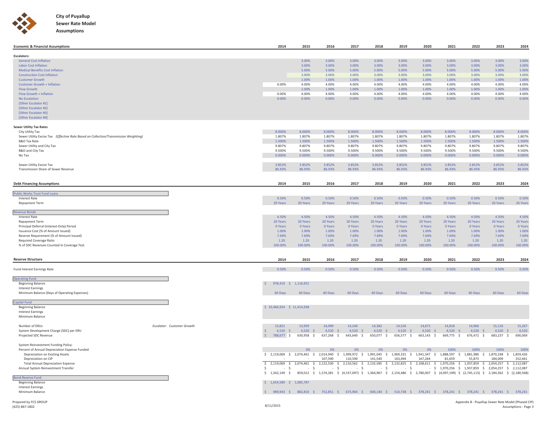



| <b>Economic &amp; Financial Assumptions</b>                                          | 2014                                                                                                                                                               | 2015             | 2016             | 2017             | 2018             | 2019             | 2020             | 2021                                                  | 2022             | 2023              | 2024            |
|--------------------------------------------------------------------------------------|--------------------------------------------------------------------------------------------------------------------------------------------------------------------|------------------|------------------|------------------|------------------|------------------|------------------|-------------------------------------------------------|------------------|-------------------|-----------------|
| <b>Escalators:</b>                                                                   |                                                                                                                                                                    |                  |                  |                  |                  |                  |                  |                                                       |                  |                   |                 |
| <b>General Cost Inflation</b>                                                        |                                                                                                                                                                    | 3.00%            | 3.00%            | 3.00%            | 3.00%            | 3.00%            | 3.00%            | 3.00%                                                 | 3.00%            | 3.00%             | 3.00%           |
| <b>Labor Cost Inflation</b>                                                          |                                                                                                                                                                    | 3.00%            | 3.00%            | 3.00%            | 3.00%            | 3.00%            | 3.00%            | 3.00%                                                 | 3.00%            | 3.00%             | 3.00%           |
| <b>Medical Benefits Cost Inflation</b>                                               |                                                                                                                                                                    | 5.00%            | 5.00%            | 5.00%            | 5.00%            | 5.00%            | 5.00%            | 5.00%                                                 | 5.00%            | 5.00%             | 5.00%           |
| <b>Construction Cost Inflation</b><br><b>Customer Growth</b>                         |                                                                                                                                                                    | 3.00%            | 3.00%<br>1.00%   | 3.00%            | 3.00%<br>1.00%   | 3.00%            | 3.00%<br>1.00%   | 3.00%                                                 | 3.00%<br>1.00%   | 3.00%             | 3.00%           |
| <b>Customer Growth + Inflation</b>                                                   | 0.00%                                                                                                                                                              | 1.00%<br>4.00%   | 4.00%            | 1.00%<br>4.00%   | 4.00%            | 1.00%<br>4.00%   | 4.00%            | 1.00%<br>4.00%                                        | 4.00%            | 1.00%<br>4.00%    | 1.00%<br>4.00%  |
| <b>Flow Growth</b>                                                                   |                                                                                                                                                                    | 1.00%            | 1.00%            | 1.00%            | 1.00%            | 1.00%            | 1.00%            | 1.00%                                                 | 1.00%            | 1.00%             | 1.00%           |
| Flow Growth + Inflation                                                              | 0.00%                                                                                                                                                              | 4.00%            | 4.00%            | 4.00%            | 4.00%            | 4.00%            | 4.00%            | 4.00%                                                 | 4.00%            | 4.00%             | 4.00%           |
| <b>No Escalation</b>                                                                 | 0.00%                                                                                                                                                              | 0.00%            | 0.00%            | 0.00%            | 0.00%            | 0.00%            | 0.00%            | 0.00%                                                 | 0.00%            | 0.00%             | 0.00%           |
| [Other Escalator #1]<br>[Other Escalator #2]                                         |                                                                                                                                                                    |                  |                  |                  |                  |                  |                  |                                                       |                  |                   |                 |
| [Other Escalator #3]                                                                 |                                                                                                                                                                    |                  |                  |                  |                  |                  |                  |                                                       |                  |                   |                 |
| [Other Escalator #4]                                                                 |                                                                                                                                                                    |                  |                  |                  |                  |                  |                  |                                                       |                  |                   |                 |
|                                                                                      |                                                                                                                                                                    |                  |                  |                  |                  |                  |                  |                                                       |                  |                   |                 |
| <b>Sewer Utility Tax Rates</b><br>City Utility Tax                                   | 8.000%                                                                                                                                                             | 8.000%           | 8.000%           | 8.000%           | 8.000%           | 8.000%           | 8.000%           | 8.000%                                                | 8.000%           | 8.000%            | 8.000%          |
| Sewer Utility Excise Tax (Effective Rate Based on Collection/Transmission Weighting) | 1.807%                                                                                                                                                             | 1.807%           | 1.807%           | 1.807%           | 1.807%           | 1.807%           | 1.807%           | 1.807%                                                | 1.807%           | 1.807%            | 1.807%          |
| <b>B&amp;O</b> Tax Rate                                                              | 1.500%                                                                                                                                                             | 1.500%           | 1.500%           | 1.500%           | 1.500%           | 1.500%           | 1.500%           | 1.500%                                                | 1.500%           | 1.500%            | 1.500%          |
| Sewer Utility and City Tax                                                           | 9.807%                                                                                                                                                             | 9.807%           | 9.807%           | 9.807%           | 9.807%           | 9.807%           | 9.807%           | 9.807%                                                | 9.807%           | 9.807%            | 9.807%          |
| B&O and City Tax                                                                     | 9.500%                                                                                                                                                             | 9.500%           | 9.500%           | 9.500%           | 9.500%           | 9.500%           | 9.500%           | 9.500%                                                | 9.500%           | 9.500%            | 9.500%          |
| No Tax                                                                               | 0.000%                                                                                                                                                             | 0.000%           | 0.000%           | 0.000%           | 0.000%           | 0.000%           | 0.000%           | 0.000%                                                | 0.000%           | 0.000%            | 0.000%          |
| Sewer Utility Excise Tax                                                             | 3.852%                                                                                                                                                             | 3.852%           | 3.852%           | 3.852%           | 3.852%           | 3.852%           | 3.852%           | 3.852%                                                | 3.852%           | 3.852%            | 3.852%          |
| Transmission Share of Sewer Revenue                                                  | 86.93%                                                                                                                                                             | 86.93%           | 86.93%           | 86.93%           | 86.93%           | 86.93%           | 86.93%           | 86.93%                                                | 86.93%           | 86.93%            | 86.93%          |
|                                                                                      |                                                                                                                                                                    |                  |                  |                  |                  |                  |                  |                                                       |                  |                   |                 |
| <b>Debt Financing Assumptions</b>                                                    | 2014                                                                                                                                                               | 2015             | 2016             | 2017             | 2018             | 2019             | 2020             | 2021                                                  | 2022             | 2023              | 2024            |
| Public Works Trust Fund Loan:                                                        |                                                                                                                                                                    |                  |                  |                  |                  |                  |                  |                                                       |                  |                   |                 |
| <b>Interest Rate</b>                                                                 | 0.50%                                                                                                                                                              | 0.50%            | 0.50%            | 0.50%            | 0.50%            | 0.50%            | 0.50%            | 0.50%                                                 | 0.50%            | 0.50%             | 0.50%           |
| Repayment Term                                                                       | 20 Years                                                                                                                                                           | 20 Years         | 20 Years         | 20 Years         | 20 Years         | 20 Years         | 20 Years         | 20 Years                                              | 20 Years         | 20 Years          | 20 Years        |
| <b>Revenue Bonds</b>                                                                 |                                                                                                                                                                    |                  |                  |                  |                  |                  |                  |                                                       |                  |                   |                 |
| <b>Interest Rate</b>                                                                 | 4.50%                                                                                                                                                              | 4.50%            | 4.50%            | 4.50%            | 4.50%            | 4.50%            | 4.50%            | 4.50%                                                 | 4.50%            | 4.50%             | 4.50%           |
| Repayment Term                                                                       | 20 Years                                                                                                                                                           | 20 Years         | 20 Years         | 20 Years         | 20 Years         | 20 Years         | 20 Years         | 20 Years                                              | 20 Years         | 20 Years          | 20 Years        |
| Principal Deferral (Interest-Only) Period<br>Issuance Cost (% of Amount Issued)      | 0 Years<br>1.00%                                                                                                                                                   | 0 Years<br>1.00% | 0 Years<br>1.00% | 0 Years<br>1.00% | 0 Years<br>1.00% | 0 Years<br>1.00% | 0 Years<br>1.00% | 0 Years<br>1.00%                                      | 0 Years<br>1.00% | 0 Years<br>1.00%  | 0 Year<br>1.00% |
| Reserve Requirement (% of Amount Issued)                                             | 7.69%                                                                                                                                                              | 7.69%            | 7.69%            | 7.69%            | 7.69%            | 7.69%            | 7.69%            | 7.69%                                                 | 7.69%            | 7.69%             | 7.69%           |
| Required Coverage Ratio                                                              | 1.20                                                                                                                                                               | 1.20             | 1.20             | 1.20             | 1.20             | 1.20             | 1.20             | 1.20                                                  | 1.20             | 1.20              | 1.20            |
| % of SDC Revenues Counted In Coverage Test                                           | 100.00%                                                                                                                                                            | 100.00%          | 100.00%          | 100.00%          | 100.00%          | 100.00%          | 100.00%          | 100.00%                                               | 100.00%          | 100.00%           | 100.00%         |
|                                                                                      |                                                                                                                                                                    |                  |                  |                  |                  |                  |                  |                                                       |                  |                   |                 |
| <b>Reserve Structure</b>                                                             | 2014                                                                                                                                                               | 2015             | 2016             | 2017             | 2018             | 2019             | 2020             | 2021                                                  | 2022             | 2023              | 2024            |
| <b>Fund Interest Earnings Rate</b>                                                   | 0.50%                                                                                                                                                              | 0.50%            | 0.50%            | 0.50%            | 0.50%            | 0.50%            | 0.50%            | 0.50%                                                 | 0.50%            | 0.50%             | 0.50%           |
|                                                                                      |                                                                                                                                                                    |                  |                  |                  |                  |                  |                  |                                                       |                  |                   |                 |
| <b>Operating Fund</b>                                                                | S.<br>978,410 \$ 1,116,931                                                                                                                                         |                  |                  |                  |                  |                  |                  |                                                       |                  |                   |                 |
| <b>Beginning Balance</b><br><b>Interest Earnings</b>                                 |                                                                                                                                                                    |                  |                  |                  |                  |                  |                  |                                                       |                  |                   |                 |
| Minimum Balance (Days of Operating Expenses)                                         | 60 Days                                                                                                                                                            | 60 Days          | 60 Days          | 60 Days          | 60 Days          | 60 Days          | 60 Days          | 60 Days                                               | 60 Days          | 60 Days           | 60 Days         |
|                                                                                      |                                                                                                                                                                    |                  |                  |                  |                  |                  |                  |                                                       |                  |                   |                 |
| Capital Fund<br><b>Beginning Balance</b>                                             | \$10,466,924 \$11,414,938                                                                                                                                          |                  |                  |                  |                  |                  |                  |                                                       |                  |                   |                 |
| <b>Interest Earnings</b>                                                             |                                                                                                                                                                    |                  |                  |                  |                  |                  |                  |                                                       |                  |                   |                 |
| Minimum Balance                                                                      |                                                                                                                                                                    |                  |                  |                  |                  |                  |                  |                                                       |                  |                   |                 |
| Number of ERUs<br>Escalator: Customer Growth                                         | 13,821                                                                                                                                                             | 13,959           | 14,099           | 14,240           | 14,382           | 14,526           | 14,671           | 14,818                                                | 14,966           | 15,116            | 15,267          |
| System Development Charge (SDC) per ERU                                              | $\mathsf{S}$<br>$4,520$ \$                                                                                                                                         | $4,520$ \$       | $4,520$ \$       | $4,520$ \$       | $4,520$ \$       | $4,520$ \$       | $4,520$ \$       | $4,520$ \$                                            | $4,520$ \$       | 4,520<br>-S       | 4,520           |
| Projected SDC Revenue                                                                | $\mathsf{S}$<br>788,677 \$                                                                                                                                         | 630,958 \$       | 637,268 \$       | 643,640 \$       | 650,077 \$       | 656,577 \$       | 663,143 \$       | 669,775 \$                                            | 676,472 \$       | 683,237<br>$\sim$ | 690,069         |
|                                                                                      |                                                                                                                                                                    |                  |                  |                  |                  |                  |                  |                                                       |                  |                   |                 |
| System Reinvestment Funding Policy:<br>Percent of Annual Depreciation Expense Funded |                                                                                                                                                                    | 0%               | 0%               | 0%               | 0%               | 0%               | 0%               | 100%                                                  | 100%             | 100%              | 100%            |
| Depreciation on Existing Assets                                                      | \$2,014,69 \$2,074,461 \$2,014,940 \$1,999,972 \$1,991,045 \$1,969,331 \$1,941,347 \$1,888,597 \$1,881,986 \$1,870,248 \$1,859,426                                 |                  |                  |                  |                  |                  |                  |                                                       |                  |                   |                 |
| Depreciation on CIP                                                                  |                                                                                                                                                                    |                  | 107,590          | 110.590          | 141,540          | 163.494          | 167,264          | 81.659                                                | 55.873           | 184.009           | 252.661         |
| <b>Total Annual Depreciation Expense</b>                                             | $$2,119,069$$ $$2,074,461$$                                                                                                                                        |                  | 2,122,530 \$     | 2,110,562 \$     | 2,132,585 \$     | 2,132,825 \$     |                  | 2,108,611 \$ 1,970,256 \$                             | 1,937,859<br>-Ŝ  | 2,054,257         | 2,112,087       |
| Annual System Reinvestment Transfer                                                  | \$<br>$-5$<br>\$ 1,342,149 \$ 859,012 \$ 1,574,281 \$ (4,537,097) \$ 1,364,967 \$ 2,154,486 \$ 2,780,007 \$ (4,097,199) \$ (2,745,113) \$ 2,184,362 \$ (2,180,568) | $-5$             | $-S$             | $-S$             | $-5$             | $-5$             |                  | - \$ 1,970,256 \$ 1,937,859 \$ 2,054,257 \$ 2,112,087 |                  |                   |                 |
| ond Reserve Fund                                                                     |                                                                                                                                                                    |                  |                  |                  |                  |                  |                  |                                                       |                  |                   |                 |
| <b>Beginning Balance</b>                                                             | \$ 1,654,589 \$ 1,085,787                                                                                                                                          |                  |                  |                  |                  |                  |                  |                                                       |                  |                   |                 |
| <b>Interest Earnings</b><br>Minimum Balance                                          | \$ 989,943 \$ 882,810 \$ 752,851 \$ 673,964 \$ 600,140 \$ 510,738 \$ 378,241 \$ 378,241 \$ 378,241 \$ 378,241 \$ 378,241                                           |                  |                  |                  |                  |                  |                  |                                                       |                  |                   |                 |
|                                                                                      |                                                                                                                                                                    |                  |                  |                  |                  |                  |                  |                                                       |                  |                   |                 |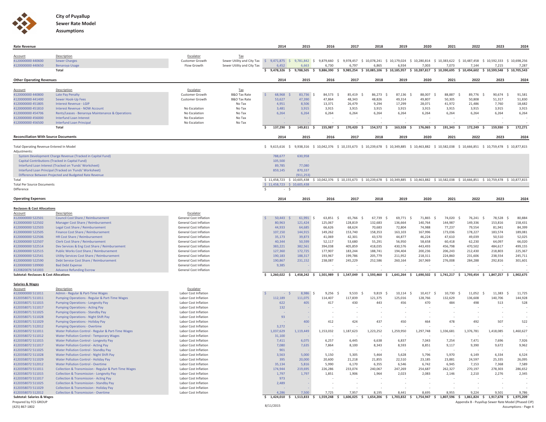

| <b>Rate Revenue</b>                                      |                                                                                                          |                                                         |                                                                                                                                                                                         | 2014                                                                                   | 2015                      | 2016               | 2017                     | 2018                     | 2019                        | 2020               | 2021                     | 2022                                                                                                                                           | 2023                            | 2024               |
|----------------------------------------------------------|----------------------------------------------------------------------------------------------------------|---------------------------------------------------------|-----------------------------------------------------------------------------------------------------------------------------------------------------------------------------------------|----------------------------------------------------------------------------------------|---------------------------|--------------------|--------------------------|--------------------------|-----------------------------|--------------------|--------------------------|------------------------------------------------------------------------------------------------------------------------------------------------|---------------------------------|--------------------|
|                                                          |                                                                                                          |                                                         |                                                                                                                                                                                         |                                                                                        |                           |                    |                          |                          |                             |                    |                          |                                                                                                                                                |                                 |                    |
| Account<br>4120000000 440600                             | Description<br><b>Sewer Charges</b>                                                                      | Escalator<br>Customer Growth                            | Tax<br>Sewer Utility and City Tax \$ 9,471,875 \$ 9,781,842 \$ 9,879,660 \$ 9,978,457 \$ 10,078,241 \$ 10,179,024 \$ 10,280,814 \$ 10,383,622 \$ 10,487,458 \$ 10,592,333 \$ 10,698,256 |                                                                                        |                           |                    |                          |                          |                             |                    |                          |                                                                                                                                                |                                 |                    |
| 4120000000 440650                                        | <b>Benaroya Usage</b>                                                                                    | Flow Growth                                             | Sewer Utility and City Tax                                                                                                                                                              | 6.452                                                                                  | 6.663                     | 6,730              | 6,797                    | 6,865                    | 6,934                       | 7,003              | 7,073                    | 7,144                                                                                                                                          | 7,215                           | 7,287              |
|                                                          | Total                                                                                                    |                                                         |                                                                                                                                                                                         |                                                                                        |                           |                    |                          |                          |                             |                    |                          | \$ 9,788,505 \$ 9,886,390 \$ 9,985,254 \$ 10,085,106 \$ 10,185,957 \$ 10,287,817 \$ 10,390,695 \$ 10,494,602 \$ 10,599,548 \$ 10,705,543       |                                 |                    |
| <b>Other Operating Revenues</b>                          |                                                                                                          |                                                         |                                                                                                                                                                                         | 2014                                                                                   | 2015                      | 2016               | 2017                     | 2018                     | 2019                        | 2020               | 2021                     | 2022                                                                                                                                           | 2023                            | 2024               |
|                                                          |                                                                                                          |                                                         |                                                                                                                                                                                         |                                                                                        |                           |                    |                          |                          |                             |                    |                          |                                                                                                                                                |                                 |                    |
| Account<br>4120000000 440800                             | Description<br>Late Pay Penalty                                                                          | Escalator<br><b>Customer Growth</b>                     | Tax<br><b>B&amp;O Tax Rate</b>                                                                                                                                                          | 68,968<br>$\mathsf{S}$                                                                 | 83,736 \$                 | 84,573             | 85.419<br>- Ś            | 86,273<br>- S            | 87,136<br>- Ŝ               | 88,007<br>- Ś      | 88,887<br>-Ŝ             | 89,776<br>-Ŝ                                                                                                                                   | 90.674 \$<br>.S                 | 91,581             |
| 4120000000 441400                                        | Sewer Hook-Up Fees                                                                                       | Customer Growth                                         | <b>B&amp;O Tax Rate</b>                                                                                                                                                                 | 53.627                                                                                 | 47.390                    | 47.864             | 48.343                   | 48,826                   | 49.314                      | 49.807             | 50.305                   | 50.808                                                                                                                                         | 51,317                          | 51,830             |
| 4120000000 451805                                        | <b>Interest Revenue - LGIP</b>                                                                           |                                                         | No Tax                                                                                                                                                                                  | 4,951                                                                                  | 8.506                     | 13,371             | 26.479                   | 9.294                    | 17,299                      | 28,071             | 41,972                   | 21,486                                                                                                                                         | 7,760                           | 18,682             |
| 4120000000 451810                                        | Interest Revenue - NOW Account                                                                           | No Escalation                                           | No Tax                                                                                                                                                                                  | 3.481                                                                                  | 3.915                     | 3,915              | 3,915                    | 3,915                    | 3,915                       | 3,915              | 3,915                    | 3,915                                                                                                                                          | 3,915                           | 3,915              |
| 4120000000 454706                                        | Rents/Leases - Benarova Maintenance & Operations                                                         | No Escalation                                           | No Tax                                                                                                                                                                                  | 6,264                                                                                  | 6,264                     | 6,264              | 6,264                    | 6,264                    | 6,264                       | 6,264              | 6,264                    | 6,264                                                                                                                                          | 6,264                           | 6,264              |
| 4120000000 456000                                        | <b>Interfund Loan Interest</b>                                                                           | No Escalation                                           | No Tax                                                                                                                                                                                  |                                                                                        |                           |                    |                          |                          |                             |                    |                          |                                                                                                                                                |                                 |                    |
| 4120000000 456500                                        | <b>Interfund Loan Principal</b><br>Total                                                                 | No Escalation                                           | No Tax                                                                                                                                                                                  | 137,290 \$<br>\$                                                                       | 149,811 \$                | 155,987 \$         | 170,420 \$               | 154,572 \$               | 163,928 \$                  | 176,065 \$         | 191,343 \$               | 172,249 \$                                                                                                                                     | 159,930 \$                      | 172,271            |
|                                                          |                                                                                                          |                                                         |                                                                                                                                                                                         |                                                                                        |                           |                    |                          |                          |                             |                    |                          |                                                                                                                                                |                                 |                    |
| <b>Reconciliation With Source Documents</b>              |                                                                                                          |                                                         |                                                                                                                                                                                         | 2014                                                                                   | 2015                      | 2016               | 2017                     | 2018                     | 2019                        | 2020               | 2021                     | 2022                                                                                                                                           | 2023                            | 2024               |
| Total Operating Revenue Entered In Model<br>Adjustments: |                                                                                                          |                                                         |                                                                                                                                                                                         | $$9,615,616$ \$                                                                        |                           |                    |                          |                          |                             |                    |                          | 9,938,316 \$ 10,042,376 \$ 10,155,673 \$ 10,239,678 \$ 10,349,885 \$ 10,463,882 \$ 10,582,038 \$ 10,666,851 \$ 10,759,478 \$ 10,877,815        |                                 |                    |
|                                                          | System Development Charge Revenue (Tracked in Capital Fund)                                              |                                                         |                                                                                                                                                                                         | 788,677                                                                                | 630,958                   |                    |                          |                          |                             |                    |                          |                                                                                                                                                |                                 |                    |
|                                                          | Capital Contributions (Tracked in Capital Fund)                                                          |                                                         |                                                                                                                                                                                         | 105,500                                                                                |                           |                    |                          |                          |                             |                    |                          |                                                                                                                                                |                                 |                    |
|                                                          | Interfund Loan Interest (Tracked on 'Funds' Worksheet)                                                   |                                                         |                                                                                                                                                                                         | 89,785                                                                                 | 77,080                    |                    |                          |                          |                             |                    |                          |                                                                                                                                                |                                 |                    |
|                                                          | Interfund Loan Principal (Tracked on 'Funds' Worksheet)                                                  |                                                         |                                                                                                                                                                                         | 859,145                                                                                | 870,337                   |                    |                          |                          |                             |                    |                          |                                                                                                                                                |                                 |                    |
|                                                          | Difference Between Projected and Budgeted Rate Revenue                                                   |                                                         |                                                                                                                                                                                         |                                                                                        | (911, 253)                |                    |                          |                          |                             |                    |                          |                                                                                                                                                |                                 |                    |
| Total<br><b>Total Per Source Documents</b>               |                                                                                                          |                                                         |                                                                                                                                                                                         | $$11,458,723$$ $$10,605,438$                                                           |                           |                    |                          |                          |                             |                    |                          | \$11,458,723 \$10,605,438 \$10,042,376 \$10,155,673 \$10,239,678 \$10,349,885 \$10,463,882 \$10,582,038 \$10,666,851 \$10,759,478 \$10,877,815 |                                 |                    |
| Difference                                               |                                                                                                          |                                                         |                                                                                                                                                                                         | Ŝ.<br>- \$                                                                             |                           |                    |                          |                          |                             |                    |                          |                                                                                                                                                |                                 |                    |
|                                                          |                                                                                                          |                                                         |                                                                                                                                                                                         |                                                                                        |                           |                    |                          |                          |                             |                    |                          |                                                                                                                                                |                                 |                    |
| <b>Operating Expenses</b>                                |                                                                                                          |                                                         |                                                                                                                                                                                         | 2014                                                                                   | 2015                      | 2016               | 2017                     | 2018                     | 2019                        | 2020               | 2021                     | 2022                                                                                                                                           | 2023                            | 2024               |
| <b>Reclasses &amp; Cost Allocations</b>                  |                                                                                                          |                                                         |                                                                                                                                                                                         |                                                                                        |                           |                    |                          |                          |                             |                    |                          |                                                                                                                                                |                                 |                    |
| Account                                                  | Description                                                                                              | Escalator                                               |                                                                                                                                                                                         |                                                                                        |                           |                    |                          |                          |                             |                    |                          |                                                                                                                                                |                                 |                    |
| 4120000000 522501<br>4120000000 522502                   | Council Cost Share / Reimbursement<br>Manager Cost Share / Reimbursement                                 | General Cost Inflation<br><b>General Cost Inflation</b> |                                                                                                                                                                                         | <b>S</b><br>$50,443$ \$<br>80,963                                                      | $61,991$ \$<br>121,424    | 63,851<br>125,067  | - S<br>65,766<br>128.819 | - S<br>67,739<br>132.683 | - Ś<br>69,771 \$<br>136,664 | 71.865<br>140.764  | - Ś<br>74.020<br>144.987 | -Ŝ<br>76,241<br>149,336                                                                                                                        | Ŝ<br>78,528 \$<br>153,816       | 80.884<br>158.431  |
| 4120000000 522503                                        | Legal Cost Share / Reimbursement                                                                         | <b>General Cost Inflation</b>                           |                                                                                                                                                                                         | 44.933                                                                                 | 64.685                    | 66.626             | 68.624                   | 70.683                   | 72.804                      | 74.988             | 77.237                   | 79,554                                                                                                                                         | 81.941                          | 84.399             |
| 4120000000 522505                                        | Finance Cost Share / Reimbursement                                                                       | <b>General Cost Inflation</b>                           |                                                                                                                                                                                         | 107.150                                                                                | 144.915                   | 149.262            | 153.740                  | 158.353                  | 163.103                     | 167.996            | 173.036                  | 178,227                                                                                                                                        | 183.574                         | 189,081            |
| 4120000000 522506                                        | HR Cost Share / Reimbursement                                                                            | General Cost Inflation                                  |                                                                                                                                                                                         | 35,173                                                                                 | 39,873                    | 41,069             | 42,301                   | 43,570                   | 44,877                      | 46,224             | 47,610                   | 49,039                                                                                                                                         | 50,510                          | 52,025             |
| 4120000000 522507                                        | <b>Clerk Cost Share / Reimbursement</b>                                                                  | <b>General Cost Inflation</b>                           |                                                                                                                                                                                         | 40,344                                                                                 | 50,599                    | 52.117             | 53,680                   | 55,291                   | 56,950                      | 58,658             | 60.418                   | 62,230                                                                                                                                         | 64.097                          | 66.020             |
| 4120000000 522514<br>4120000000 522515                   | Dev Services & Eng Cost Share / Reimbursement<br>Public Works Cost Share / Reimbursement                 | General Cost Inflation<br>General Cost Inflation        |                                                                                                                                                                                         | 383,221<br>127,360                                                                     | 382,561<br>172,725        | 394,038<br>177,907 | 405,859<br>183.244       | 418,035<br>188,741       | 430,576<br>194,404          | 443,493<br>200,236 | 456,798<br>206,243       | 470,502<br>212,430                                                                                                                             | 484,617<br>218,803              | 499,155<br>225,367 |
| 4120000000 522541                                        | <b>Utility Services Cost Share / Reimbursement</b>                                                       | General Cost Inflation                                  |                                                                                                                                                                                         | 190,183                                                                                | 188,317                   | 193,967            | 199,786                  | 205,779                  | 211,952                     | 218,311            | 224,860                  | 231,606                                                                                                                                        | 238,554                         | 245,711            |
| 4120000000 522590                                        | Debt Service Cost Share / Reimbursement                                                                  | General Cost Inflation                                  |                                                                                                                                                                                         | 190,867                                                                                | 231.152                   | 238,087            | 245,229                  | 252,586                  | 260,164                     | 267,969            | 276,008                  | 284,288                                                                                                                                        | 292,816                         | 301,601            |
| 4120000000 539900                                        | <b>Bad Debt Expense</b>                                                                                  | General Cost Inflation                                  |                                                                                                                                                                                         | 9,385                                                                                  |                           |                    |                          |                          |                             |                    |                          |                                                                                                                                                |                                 |                    |
| 4120820076 541003                                        | <b>Advance Refunding Escrow</b>                                                                          | General Cost Inflation                                  |                                                                                                                                                                                         |                                                                                        |                           |                    |                          |                          |                             |                    |                          |                                                                                                                                                |                                 |                    |
| <b>Subtotal: Reclasses &amp; Cost Allocations</b>        |                                                                                                          |                                                         |                                                                                                                                                                                         | \$1,260,022\$                                                                          |                           |                    |                          |                          |                             |                    |                          | $1,458,242$ \$ $1,501,989$ \$ $1,547,049$ \$ $1,593,460$ \$ $1,641,264$ \$ $1,690,502$ \$ $1,741,217$ \$ $1,793,454$ \$                        | 1.847.257 \$                    | 1.902.675          |
| <b>Salaries &amp; Wages</b>                              |                                                                                                          |                                                         |                                                                                                                                                                                         |                                                                                        |                           |                    |                          |                          |                             |                    |                          |                                                                                                                                                |                                 |                    |
| Account<br>4120000000 511011                             | Description<br>Admin - Regular & Part-Time Wages                                                         | Escalator<br>Labor Cost Inflation                       |                                                                                                                                                                                         |                                                                                        | 8,986 \$<br>$\mathcal{S}$ | 9,256              | 9,533<br>$\sim$          | 9,819<br>$\sim$          | 10.114<br>$\sim$            | 10.417<br>$\sim$   | 10.730<br>$\sim$         | 11.052<br>$\sim$                                                                                                                               | 11,383 \$<br>$\hat{\mathbf{S}}$ | 11.725             |
| 4120358071 511011                                        | Pumping Operations - Regular & Part-Time Wages                                                           | Labor Cost Inflation                                    |                                                                                                                                                                                         | 112.189                                                                                | 111.075                   | 114,407            | 117.839                  | 121,375                  | 125,016                     | 128,766            | 132,629                  | 136,608                                                                                                                                        | 140,706                         | 144,928            |
| 4120358071 511015                                        | <b>Pumping Operations - Longevity Pay</b>                                                                | Labor Cost Inflation                                    |                                                                                                                                                                                         | 622                                                                                    | 405                       | 417                | 430                      | 443                      | 456                         | 470                | 484                      | 498                                                                                                                                            | 513                             | 528                |
| 4120358071 511017                                        | <b>Pumping Operations - Acting Pay</b>                                                                   | Labor Cost Inflation                                    |                                                                                                                                                                                         | 132                                                                                    |                           |                    |                          |                          |                             |                    |                          |                                                                                                                                                |                                 |                    |
| 4120358071 511025                                        | <b>Pumping Operations - Standby Pay</b>                                                                  | Labor Cost Inflation                                    |                                                                                                                                                                                         |                                                                                        |                           |                    |                          |                          |                             |                    |                          |                                                                                                                                                |                                 |                    |
| 4120358071 511028                                        | <b>Pumping Operations - Night Shift Pay</b>                                                              | Labor Cost Inflation                                    |                                                                                                                                                                                         | 93                                                                                     | 400                       |                    | 424                      | 437                      | 450                         |                    | 478                      | 492                                                                                                                                            | 507                             |                    |
| 4120358071 511029<br>4120358071 512012                   | <b>Pumping Operations - Holiday Pay</b><br><b>Pumping Operations - Overtime</b>                          | Labor Cost Inflation<br>Labor Cost Inflation            |                                                                                                                                                                                         | 3,272                                                                                  |                           | 412                |                          |                          |                             | 464                |                          |                                                                                                                                                |                                 | 522                |
| 4120358072 511011                                        | Water Pollution Control - Regular & Part-Time Wages                                                      | Labor Cost Inflation                                    |                                                                                                                                                                                         | 1,037,629                                                                              | 1,119,449                 | 1,153,032          | 1,187,623                | 1,223,252                | 1,259,950                   | 1,297,748          | 1,336,681                | 1,376,781                                                                                                                                      | 1,418,085                       | 1,460,627          |
| 4120358072 511012                                        | <b>Water Pollution Control - Temporary Wages</b>                                                         | Labor Cost Inflation                                    |                                                                                                                                                                                         | 31,100                                                                                 |                           |                    |                          |                          |                             |                    |                          |                                                                                                                                                |                                 |                    |
| 4120358072 511015                                        | <b>Water Pollution Control - Longevity Pay</b>                                                           | Labor Cost Inflation                                    |                                                                                                                                                                                         | 7,411                                                                                  | 6,075                     | 6,257              | 6,445                    | 6,638                    | 6,837                       | 7,043              | 7,254                    | 7,471                                                                                                                                          | 7,696                           | 7,926              |
| 4120358072 511017                                        | <b>Water Pollution Control - Acting Pay</b>                                                              | Labor Cost Inflation                                    |                                                                                                                                                                                         | 7,080                                                                                  | 7,635                     | 7,864              | 8,100                    | 8,343                    | 8,593                       | 8,851              | 9,117                    | 9,390                                                                                                                                          | 9,672                           | 9,962              |
| 4120358072 511025<br>4120358072 511028                   | Water Pollution Control - Standby Pay                                                                    | Labor Cost Inflation<br>Labor Cost Inflation            |                                                                                                                                                                                         | 901<br>3,563                                                                           | 5,000                     |                    | 5,305                    | 5,464                    | 5,628                       | 5,796              | 5,970                    |                                                                                                                                                | 6,334                           | 6,524              |
| 4120358072 511029                                        | Water Pollution Control - Night Shift Pay<br>Water Pollution Control - Holiday Pay                       | Labor Cost Inflation                                    |                                                                                                                                                                                         | 395                                                                                    | 20,000                    | 5,150<br>20,600    | 21,218                   | 21.855                   | 22,510                      | 23.185             | 23.881                   | 6,149<br>24.597                                                                                                                                | 25,335                          | 26.095             |
| 4120358072 512012                                        | <b>Water Pollution Control - Overtime</b>                                                                | Labor Cost Inflation                                    |                                                                                                                                                                                         | 35.134                                                                                 | 5.816                     | 5.990              | 6.170                    | 6.355                    | 6.546                       | 6.742              | 6.945                    | 7.153                                                                                                                                          | 7.368                           | 7.589              |
| 4120358073 511011                                        | Collection & Transmission - Regular & Part-Time Wages                                                    | Labor Cost Inflation                                    |                                                                                                                                                                                         | 174,944                                                                                | 219,695                   | 226,286            | 233,074                  | 240,067                  | 247,269                     | 254,687            | 262,327                  | 270,197                                                                                                                                        | 278,303                         | 286,652            |
| 4120358073 511015                                        | <b>Collection &amp; Transmission - Longevity Pay</b>                                                     | Labor Cost Inflation                                    |                                                                                                                                                                                         | 1,797                                                                                  | 1,797                     | 1,851              | 1,906                    | 1,964                    | 2,023                       | 2,083              | 2.146                    | 2,210                                                                                                                                          | 2,276                           | 2.345              |
| 4120358073 511017                                        | <b>Collection &amp; Transmission - Acting Pay</b>                                                        | Labor Cost Inflation                                    |                                                                                                                                                                                         | 973                                                                                    |                           |                    |                          |                          |                             |                    |                          |                                                                                                                                                |                                 |                    |
| 4120358073 511025<br>4120358073 511029                   | <b>Collection &amp; Transmission - Standby Pay</b><br><b>Collection &amp; Transmission - Holiday Pay</b> | Labor Cost Inflation<br>Labor Cost Inflation            |                                                                                                                                                                                         | 2,489                                                                                  |                           |                    |                          |                          |                             |                    |                          |                                                                                                                                                |                                 |                    |
| 4120358073 512012                                        | <b>Collection &amp; Transmission - Overtime</b>                                                          | Labor Cost Inflation                                    |                                                                                                                                                                                         | 4.286                                                                                  | 7.500                     | 7.725              | 7.957                    | 8.195                    | 8.441                       | 8.695              | 8.955                    | 9.224                                                                                                                                          | 9.501                           | 9.786              |
| <b>Subtotal: Salaries &amp; Wages</b>                    |                                                                                                          |                                                         |                                                                                                                                                                                         | $$1,424,010 \t$ 1,513,833 \t$ 1,559,248 \t$ 1,606,025 \t$ 1,654,206 \t$ 1,703,832 \t$$ |                           |                    |                          |                          |                             |                    |                          | 1,754,947 \$ 1,807,596 \$ 1,861,824 \$ 1,917,678 \$                                                                                            |                                 | 1.975.209          |
| Prepared by FCS GROUP                                    |                                                                                                          |                                                         |                                                                                                                                                                                         |                                                                                        |                           |                    |                          |                          |                             |                    |                          | Appendix B - Puyallup Sewer Rate Model (Phased CIP)                                                                                            |                                 |                    |

(425) 867-1802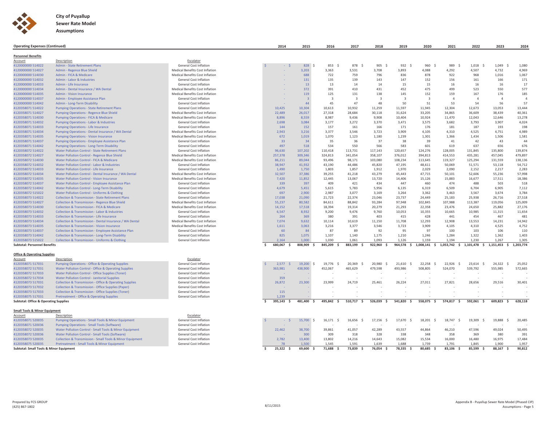

| <b>Operating Expenses (Continued)</b>            |                                                                                                      |                                 |    | 2014         | 2015           | 2016           | 2017             | 2018                    | 2019                    | 2020                    | 2021             | 2022       | 2023                                   | 2024                     |
|--------------------------------------------------|------------------------------------------------------------------------------------------------------|---------------------------------|----|--------------|----------------|----------------|------------------|-------------------------|-------------------------|-------------------------|------------------|------------|----------------------------------------|--------------------------|
| <b>Personnel Benefits</b>                        |                                                                                                      |                                 |    |              |                |                |                  |                         |                         |                         |                  |            |                                        |                          |
| Account                                          | Description                                                                                          | Escalator                       |    |              |                |                |                  |                         |                         |                         |                  |            |                                        |                          |
| 4120000000 514022                                | <b>Admin - State Retirement Plans</b>                                                                | General Cost Inflation          |    | $ S$         | 828<br>$\leq$  | 853<br>- S     | 878<br>S.        | 905<br>-Ŝ               | 932<br>-Ŝ               | 960<br>-S               | 989              | 1,018      | 1,049<br>- S                           | 1,080                    |
| 4120000000 514027                                | Admin - Regence Blue Shield                                                                          | Medical Benefits Cost Inflation |    |              | 3,203          | 3,363          | 3,531            | 3,708                   | 3,893                   | 4,088                   | 4,292            | 4,507      | 4,732                                  | 4,969                    |
| 4120000000 514030                                | Admin - FICA & Medicare                                                                              | Medical Benefits Cost Inflation |    |              | 688            | 722            | 759              | 796                     | 836                     | 878                     | 922              | 968        | 1,016                                  | 1,067                    |
| 4120000000 514032                                | Admin - Labor & Industries                                                                           | General Cost Inflation          |    |              | 131            | 135            | 139              | 143                     | 147                     | 152                     | 156              | 161        | 166                                    | 171                      |
|                                                  |                                                                                                      |                                 |    |              |                |                |                  |                         |                         |                         |                  |            |                                        |                          |
| 4120000000 514033                                | Admin - Life Insurance                                                                               | General Cost Inflation          |    |              | 13             | 13             | 14               | 14                      | 15                      | 15                      | 16               | 16         | 16                                     | 17                       |
| 4120000000 514034                                | Admin - Dental Insurance / WA Dental                                                                 | Medical Benefits Cost Inflation |    |              | 372            | 391            | 410              | 431                     | 452                     | 475                     | 499              | 523        | 550                                    | 577                      |
| 4120000000 514035                                | Admin - Vision Insurance                                                                             | Medical Benefits Cost Inflation |    |              | 119            | 125            | 131              | 138                     | 145                     | 152                     | 159              | 167        | 176                                    | 185                      |
| 4120000000 514037                                | Admin - Employee Assistance Plan                                                                     | <b>General Cost Inflation</b>   |    |              | $\overline{3}$ | $\overline{3}$ | $\overline{3}$   | $\overline{\mathbf{3}}$ | $\overline{\mathbf{3}}$ | $\overline{\mathbf{3}}$ | $\Delta$         | $\Delta$   | $\overline{A}$                         | $\overline{\phantom{a}}$ |
| 4120000000 514042                                | Admin - Long-Term Disability                                                                         | General Cost Inflation          |    |              | 44             | 45             | 47               | 48                      | 50                      | 51                      | 53               | 54         | 56                                     | 57                       |
| 4120358071 514022                                | <b>Pumping Operations - State Retirement Plans</b>                                                   | General Cost Inflation          |    | 10,425       | 10,304         | 10,613         | 10,932           | 11,259                  | 11,597                  | 11,945                  | 12,304           | 12,673     | 13,053                                 | 13,444                   |
| 4120358071 514027                                | Pumping Operations - Regence Blue Shield                                                             | Medical Benefits Cost Inflation |    | 22,489       | 26,017         | 27,318         | 28,684           | 30,118                  | 31,624                  | 33,205                  | 34,865           | 36,609     | 38,439                                 | 40,361                   |
| 4120358071 514030                                | Pumping Operations - FICA & Medicare                                                                 | Medical Benefits Cost Inflation |    | 8.896        | 8.559          | 8.987          | 9.436            | 9.908                   | 10.404                  | 10.924                  | 11.470           | 12.043     | 12.646                                 | 13,278                   |
| 4120358071 514032                                | Pumping Operations - Labor & Industries                                                              | General Cost Inflation          |    | 2,698        | 3,084          | 3,177          | 3,272            | 3,370                   | 3,471                   | 3,575                   | 3,682            | 3,793      | 3,907                                  | 4,024                    |
| 4120358071 514033                                | <b>Pumping Operations - Life Insurance</b>                                                           | General Cost Inflation          |    | 144          | 152            | 157            | 161              | 166                     | 171                     | 176                     | 181              | 187        | 193                                    | 198                      |
| 4120358071 514034                                | Pumping Operations - Dental Insurance / WA Dental                                                    | Medical Benefits Cost Inflation |    | 2,943        | 3,216          | 3,377          | 3,546            | 3,723                   | 3,909                   | 4,105                   | 4,310            | 4,525      | 4,751                                  | 4,989                    |
| 4120358071 514035                                | <b>Pumping Operations - Vision Insurance</b>                                                         | Medical Benefits Cost Inflation |    | 672          | 1,019          | 1,070          | 1,123            | 1,180                   | 1,239                   | 1,301                   | 1,366            | 1,434      | 1,506                                  | 1,581                    |
| 4120358071 514037                                | Pumping Operations - Employee Assistance Plan                                                        | General Cost Inflation          |    | 33           | 34             | 35             | 36               | 37                      | 38                      | 39                      | 41               | 42         | 43                                     | 44                       |
| 4120358071 514042                                | Pumping Operations - Long-Term Disability                                                            | <b>General Cost Inflation</b>   |    | 497          | 518            | 534            | 550              | 566                     | 583                     | 601                     | 619              | 637        | 656                                    | 676                      |
| 4120358072 514022                                | Water Pollution Control - State Retirement Plans                                                     | General Cost Inflation          |    | 96,630       | 107,202        | 110,418        | 113,731          | 117,143                 | 120,657                 | 124,276                 | 128,005          | 131,845    | 135,800                                | 139,874                  |
| 4120358072 514027                                | Water Pollution Control - Regence Blue Shield                                                        | Medical Benefits Cost Inflation |    | 257,378      | 309,346        | 324,813        | 341,054          | 358,107                 | 376,012                 | 394,813                 | 414,553          | 435,281    | 457,045                                | 479,897                  |
| 4120358072 514030                                | Water Pollution Control - FICA & Medicare                                                            | Medical Benefits Cost Inflation |    | 86,211       | 89,044         | 93,496         | 98,171           | 103,080                 | 108,234                 | 113,645                 | 119,327          | 125,294    | 131,559                                | 138,136                  |
| 4120358072 514032                                | Water Pollution Control - Labor & Industries                                                         | <b>General Cost Inflation</b>   |    | 38,947       | 41.932         | 43.190         | 44.486           | 45.820                  | 47.195                  | 48.611                  | 50.069           | 51.571     | 53,118                                 | 54,712                   |
| 4120358072 514033                                | Water Pollution Control - Life Insurance                                                             | General Cost Inflation          |    | 1,490        | 1,750          | 1,803          | 1,857            | 1,912                   | 1,970                   | 2,029                   | 2,090            | 2,152      | 2,217                                  | 2,283                    |
| 4120358072 514034                                | Water Pollution Control - Dental Insurance / WA Dental                                               | Medical Benefits Cost Inflation |    | 32,507       | 37,386         | 39,255         | 41,218           | 43,279                  | 45,443                  | 47,715                  | 50,101           | 52,606     | 55,236                                 | 57,998                   |
| 4120358072 514035                                | Water Pollution Control - Vision Insurance                                                           | Medical Benefits Cost Inflation |    | 7,420        | 11,852         | 12,445         | 13,067           | 13,720                  | 14,406                  | 15,126                  | 15,883           | 16,677     | 17,511                                 | 18,386                   |
|                                                  |                                                                                                      | General Cost Inflation          |    |              |                |                |                  | 434                     | 447                     |                         | 474              | 488        |                                        | 518                      |
| 4120358072 514037<br>4120358072 514042           | Water Pollution Control - Employee Assistance Plan<br>Water Pollution Control - Long-Term Disability | General Cost Inflation          |    | 339<br>4.679 | 397<br>5,451   | 409<br>5,615   | 421<br>5,783     | 5,956                   | 6,135                   | 460<br>6,319            | 6,509            | 6.704      | 503<br>6,905                           | 7,112                    |
|                                                  |                                                                                                      |                                 |    |              |                |                |                  |                         |                         |                         |                  |            |                                        |                          |
| 4120358072 515022                                | Water Pollution Control - Uniforms & Clothing                                                        | General Cost Inflation          |    | 697          | 2,900          | 2,987          | 3,077            | 3,169                   | 3,264                   | 3,362                   | 3,463            | 3,567      | 3,674                                  | 3,784                    |
| 4120358073 514022                                | <b>Collection &amp; Transmission - State Retirement Plans</b>                                        | <b>General Cost Inflation</b>   |    | 17,038       | 21,090         | 21,723         | 22,374           | 23,046                  | 23,737                  | 24,449                  | 25,183           | 25,938     | 26,716                                 | 27,518                   |
| 4120358073 514027                                | Collection & Transmission - Regence Blue Shield                                                      | Medical Benefits Cost Inflation |    | 55,237       | 80,582         | 84,611         | 88,842           | 93,284                  | 97,948                  | 102,845                 | 107,988          | 113,387    | 119,056                                | 125,009                  |
| 4120358073 514030                                | Collection & Transmission - FICA & Medicare                                                          | Medical Benefits Cost Inflation |    | 14,152       | 17,518         | 18,394         | 19,314           | 20,279                  | 21,293                  | 22,358                  | 23,476           | 24,650     | 25,882                                 | 27,176                   |
| 4120358073 514032                                | Collection & Transmission - Labor & Industries                                                       | <b>General Cost Inflation</b>   |    | 6,547        | 8,932          | 9,200          | 9,476            | 9,760                   | 10,053                  | 10,355                  | 10,665           | 10,985     | 11,315                                 | 11,654                   |
| 4120358073 514033                                | Collection & Transmission - Life Insurance                                                           | <b>General Cost Inflation</b>   |    | 264          | 369            | 380            | 391              | 403                     | 415                     | 428                     | 441              | 454        | 467                                    | 481                      |
| 4120358073 514034                                | Collection & Transmission - Dental Insurance / WA Dental                                             | Medical Benefits Cost Inflation |    | 7,074        | 9,632          | 10,114         | 10,619           | 11,150                  | 11,708                  | 12,293                  | 12,908           | 13,553     | 14,231                                 | 14,942                   |
| 4120358073 514035                                | <b>Collection &amp; Transmission - Vision Insurance</b>                                              | Medical Benefits Cost Inflation |    | 1,611        | 3,063          | 3,216          | 3,377            | 3,546                   | 3,723                   | 3,909                   | 4,105            | 4,310      | 4,525                                  | 4,752                    |
| 4120358073 514037                                | <b>Collection &amp; Transmission - Employee Assistance Plan</b>                                      | General Cost Inflation          |    | 60           | 84             | 87             | 89               | 92                      | 95                      | 97                      | 100              | 103        | 106                                    | 110                      |
| 4120358073 514042                                | Collection & Transmission - Long-Term Disability                                                     | General Cost Inflation          |    | 825          | 1,075          | 1,107          | 1,140            | 1,175                   | 1,210                   | 1,246                   | 1,284            | 1,322      | 1,362                                  | 1,403                    |
| 4120358073 515022                                | <b>Collection &amp; Transmission - Uniforms &amp; Clothing</b>                                       | General Cost Inflation          |    | 2.164        | 1.000          | 1.030          | 1.061            | 1.093                   | 1.126                   | 1.159                   | 1.194            | 1.230      | 1.267                                  | 1.305                    |
| <b>Subtotal: Personnel Benefits</b>              |                                                                                                      |                                 | -S | 680,067<br>s | 808,909<br>\$  | 845,209<br>- Ś | 883,199 \$       | 922,960 \$              |                         | 964,578 \$ 1,008,141 \$ |                  |            | 1,053,742 \$ 1,101,478 \$ 1,151,453 \$ | 1,203,774                |
| <b>Office &amp; Operating Supplies</b>           |                                                                                                      |                                 |    |              |                |                |                  |                         |                         |                         |                  |            |                                        |                          |
| Account                                          | Description                                                                                          | Escalator                       |    |              |                |                |                  |                         |                         |                         |                  |            |                                        |                          |
| 4120358071 517031                                | <b>Pumping Operations - Office &amp; Operating Supplies</b>                                          | <b>General Cost Inflation</b>   |    | 2,577        | $19,200$ \$    | 19,776 \$      | 20,369<br>$\sim$ | 20,980 \$               | $21,610$ \$             | 22,258<br>$\sim$        | 22,926<br>$\sim$ | 23,614 \$  | 24,322<br>S.                           | 25,052                   |
| 4120358072 517031                                | Water Pollution Control - Office & Operating Supplies                                                | General Cost Inflation          |    | 363,981      | 438,900        | 452,067        | 465,629          | 479,598                 | 493,986                 | 508,805                 | 524,070          | 539,792    | 555,985                                | 572,665                  |
| 4120358072 517033                                | Water Pollution Control - Office Supplies (Toner)                                                    | General Cost Inflation          |    |              |                |                |                  |                         |                         |                         |                  |            |                                        |                          |
| 4120358072 517034                                | Water Pollution Control - Janitorial Supplies                                                        | General Cost Inflation          |    | 359          |                |                |                  |                         |                         |                         |                  |            |                                        |                          |
| 4120358073 517031                                | <b>Collection &amp; Transmission - Office &amp; Operating Supplies</b>                               | General Cost Inflation          |    | 26,872       | 23,300         | 23,999         | 24,719           | 25,461                  | 26,224                  | 27,011                  | 27,821           | 28,656     | 29,516                                 | 30,401                   |
| 4120358073 517032                                | Collection & Transmission - Office Supplies (Paper)                                                  | General Cost Inflation          |    |              |                |                |                  |                         |                         |                         |                  |            |                                        |                          |
| 4120358073 517033                                | <b>Collection &amp; Transmission - Office Supplies (Toner)</b>                                       | General Cost Inflation          |    | 115          |                |                |                  |                         |                         |                         |                  |            |                                        |                          |
| 4120358075 517031                                | Pretreatment - Office & Operating Supplies                                                           | General Cost Inflation          |    | 1.239        |                |                |                  |                         |                         |                         |                  |            |                                        |                          |
| <b>Subtotal: Office &amp; Operating Supplies</b> |                                                                                                      |                                 | \$ | 395,143 \$   | 481,400<br>- Ś | 495,842 \$     | 510,717 \$       | 526,039 \$              | 541,820 \$              | 558,075 \$              | 574,817 \$       | 592,061 \$ | 609,823<br>- \$                        | 628,118                  |
|                                                  |                                                                                                      |                                 |    |              |                |                |                  |                         |                         |                         |                  |            |                                        |                          |
| <b>Small Tools &amp; Minor Equipment</b>         |                                                                                                      |                                 |    |              |                |                |                  |                         |                         |                         |                  |            |                                        |                          |
| Account                                          | Description                                                                                          | Escalator                       |    |              |                |                |                  |                         |                         |                         |                  |            |                                        |                          |
| 4120358071 520035                                | Pumping Operations - Small Tools & Minor Equipment                                                   | General Cost Inflation          |    | $-5$         | 15,700 \$      | 16,171 \$      | 16,656<br>- S    | $17,156$ \$             | 17,670<br>- S           | 18,201<br>- Ś           | 18,747<br>$\sim$ | 19,309     | 19,888<br>$\mathsf{S}$<br>$\sim$       | 20,485                   |
| 4120358071 520036                                | <b>Pumping Operations - Small Tools (Software)</b>                                                   | General Cost Inflation          |    |              |                |                |                  |                         |                         |                         |                  |            |                                        |                          |
| 4120358072 520035                                | Water Pollution Control - Small Tools & Minor Equipment                                              | General Cost Inflation          |    | 22,462       | 38,700         | 39,861         | 41,057           | 42,289                  | 43,557                  | 44,864                  | 46,210           | 47,596     | 49,024                                 | 50,495                   |
| 4120358072 520036                                | Water Pollution Control - Small Tools (Software)                                                     | <b>General Cost Inflation</b>   |    |              | 300            | 309            | 318              | 328                     | 338                     | 348                     | 358              | 369        | 380                                    | 391                      |
| 4120358073 520035                                | Collection & Transmission - Small Tools & Minor Equipment                                            | General Cost Inflation          |    | 2,782        | 13,400         | 13,802         | 14,216           | 14,643                  | 15,082                  | 15,534                  | 16,000           | 16,480     | 16,975                                 | 17,484                   |
| 4120358075 520035                                | Pretreatment - Small Tools & Minor Equipment                                                         | General Cost Inflation          |    | 78           | 1.500          | 1.545          | 1,591            | 1,639                   | 1.688                   | 1,739                   | 1,791            | 1.845      | 1.900                                  | 1,957                    |
| Subtotal: Small Tools & Minor Equipment          |                                                                                                      |                                 | \$ | $25,322$ \$  | 69,600 \$      | 71,688<br>- Ś  | 73,839<br>- Ś    | 76,054 \$               | 78,335 \$               | 80,685 \$               | 83,106<br>\$     | 85,599 \$  | 88,167 \$                              | 90,812                   |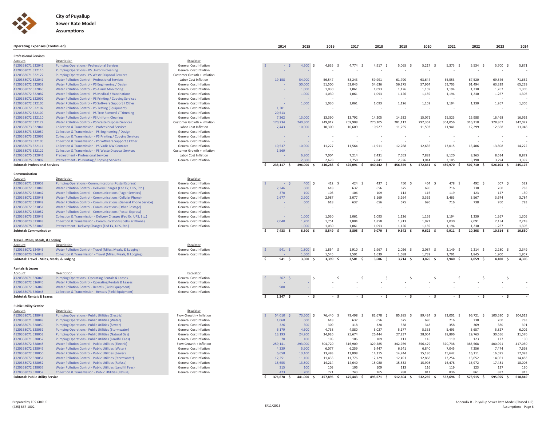

| <b>Operating Expenses (Continued)</b>                           |                                                                            |                                                  | 2014                       | 2015                      | 2016                           | 2017                | 2018                           | 2019                | 2020                | 2021                | 2022                | 2023                | 2024           |
|-----------------------------------------------------------------|----------------------------------------------------------------------------|--------------------------------------------------|----------------------------|---------------------------|--------------------------------|---------------------|--------------------------------|---------------------|---------------------|---------------------|---------------------|---------------------|----------------|
|                                                                 |                                                                            |                                                  |                            |                           |                                |                     |                                |                     |                     |                     |                     |                     |                |
| <b>Professional Services</b>                                    |                                                                            |                                                  |                            |                           |                                |                     |                                |                     |                     |                     |                     |                     |                |
| Account<br>4120358071 522041                                    | Description<br><b>Pumping Operations - Professional Services</b>           | Escalator                                        | $ \leq$                    | 4.500<br>$\leq$           | 4,635 \$                       | 4,774               | 4,917 \$                       | $5,065$ \$          | $5,217$ \$          | 5,373<br>- 5        | $5,534$ \$          | 5,700<br>- 9        | 5,871          |
| 4120358071 522110                                               | <b>Pumping Operations - PS Uniform Cleaning</b>                            | General Cost Inflation<br>General Cost Inflation |                            |                           |                                |                     |                                |                     |                     |                     |                     |                     |                |
| 4120358071 522122                                               | Pumping Operations - PS Waste Disposal Services                            | Customer Growth + Inflation                      |                            |                           |                                |                     |                                |                     |                     |                     |                     |                     |                |
| 4120358072 522041                                               | Water Pollution Control - Professional Services                            | Labor Cost Inflation                             | 19,158                     | 54,900                    | 56,547                         | 58,243              | 59,991                         | 61,790              | 63,644              | 65,553              | 67,520              | 69,546              | 71,632         |
| 4120358072 522059                                               | Water Pollution Control - PS Engineering / Design                          | General Cost Inflation                           |                            | 50,000                    | 51,500                         | 53,045              | 54,636                         | 56,275              | 57,964              | 59,703              | 61,494              | 63,339              | 65,239         |
| 4120358072 522065                                               | Water Pollution Control - PS Alarm Monitoring                              | General Cost Inflation                           |                            | 1.000                     | 1.030                          | 1.061               | 1.093                          | 1,126               | 1,159               | 1.194               | 1,230               | 1,267               | 1,305          |
| 4120358072 522082                                               | Water Pollution Control - PS Medical / Vaccinations                        | General Cost Inflation                           |                            | 1,000                     | 1,030                          | 1,061               | 1,093                          | 1,126               | 1,159               | 1,194               | 1,230               | 1,267               | 1,305          |
| 4120358072 522092                                               | Water Pollution Control - PS Printing / Copying Services                   | General Cost Inflation                           |                            |                           |                                |                     |                                |                     |                     |                     |                     |                     |                |
| 4120358072 522105                                               | Water Pollution Control - PS Software Support / Other                      | <b>General Cost Inflation</b>                    |                            | 1,000                     | 1,030                          | 1,061               | 1,093                          | 1,126               | 1,159               | 1,194               | 1,230               | 1,267               | 1,305          |
| 4120358072 522107                                               | Water Pollution Control - PS Testing (Equipment)                           | <b>General Cost Inflation</b>                    | 1,301                      |                           |                                |                     |                                |                     |                     |                     |                     |                     |                |
| 4120358072 522109                                               | Water Pollution Control - PS Tree Removal / Trimming                       | <b>General Cost Inflation</b>                    | 20.513                     |                           |                                |                     |                                |                     |                     |                     |                     |                     |                |
| 4120358072 522110                                               | Water Pollution Control - PS Uniform Cleaning                              | General Cost Inflation                           | 7,362                      | 13,000                    | 13,390                         | 13,792              | 14,205                         | 14,632              | 15,071              | 15,523              | 15,988              | 16,468              | 16,962         |
| 4120358072 522122                                               | Water Pollution Control - PS Waste Disposal Services                       | Customer Growth + Inflation                      | 170,234                    | 240,300                   | 249,912                        | 259,908             | 270,305                        | 281,117             | 292,362             | 304,056             | 316,218             | 328,867             | 342,022        |
| 4120358073 522041                                               | <b>Collection &amp; Transmission - Professional Services</b>               | Labor Cost Inflation                             | 7,443                      | 10,000                    | 10,300                         | 10,609              | 10,927                         | 11,255              | 11,593              | 11,941              | 12,299              | 12,668              | 13,048         |
| 4120358073 522059                                               | Collection & Transmission - PS Engineering / Design                        | General Cost Inflation                           |                            |                           |                                |                     |                                |                     |                     |                     |                     |                     |                |
| 4120358073 522092                                               | <b>Collection &amp; Transmission - PS Printing / Copying Services</b>      | General Cost Inflation                           | $\sim$                     |                           |                                |                     |                                |                     |                     |                     |                     | $\sim$              |                |
| 4120358073 522105                                               | Collection & Transmission - PS Software Support / Other                    | General Cost Inflation                           |                            |                           |                                |                     |                                |                     |                     |                     |                     |                     |                |
| 4120358073 522111                                               | <b>Collection &amp; Transmission - PS Vadis NW Contract</b>                | <b>General Cost Inflation</b>                    | 10.537                     | 10,900                    | 11,227                         | 11,564              | 11,911                         | 12,268              | 12,636              | 13,015              | 13,406              | 13,808              | 14,222         |
| 4120358073 522122                                               | <b>Collection &amp; Transmission - PS Waste Disposal Services</b>          | Customer Growth + Inflation                      | 1,569                      |                           |                                |                     |                                |                     |                     |                     |                     |                     |                |
| 4120358075 522041                                               | Pretreatment - Professional Services                                       | Labor Cost Inflation                             |                            | 6,800                     | 7,004                          | 7,214               | 7,431                          | 7,653               | 7,883               | 8,120               | 8,363               | 8,614               | 8,872          |
| 4120358075 522092                                               | Pretreatment - PS Printing / Copying Services                              | <b>General Cost Inflation</b>                    |                            | 2.600                     | 2,678                          | 2,758               | 2.841                          | 2,926               | 3,014               | 3.105               | 3.198               | 3,294               | 3,392          |
| <b>Subtotal: Professional Services</b>                          |                                                                            |                                                  | 238,117 \$<br>-S           | 396,000 \$                | 410,283 \$                     | 425,091 \$          | 440,442 \$                     | 456,359 \$          | 472,861 \$          | 489,970 \$          | 507,710 \$          | $526,103$ \$        | 545,175        |
|                                                                 |                                                                            |                                                  |                            |                           |                                |                     |                                |                     |                     |                     |                     |                     |                |
| Communication                                                   |                                                                            |                                                  |                            |                           |                                |                     |                                |                     |                     |                     |                     |                     |                |
| Account<br>4120358071 523052                                    | Description<br><b>Pumping Operations - Communications (Postal Express)</b> | Escalator<br>General Cost Inflation              | - S                        | 400<br>$\hat{\mathbf{S}}$ | 412 \$                         | 424<br>- S          | 437<br>- S                     | 450<br>- S          | 464<br>$\leq$       | 478<br>- 9          | 492<br>- S          | 507<br>$\sim$       | 522            |
| 4120358072 523043                                               | Water Pollution Control - Delivery Charges (Fed Ex, UPS, Etc.)             | <b>General Cost Inflation</b>                    | 2,346                      | 600                       | 618                            | 637                 | 656                            | 675                 | 696                 | 716                 | 738                 | 760                 | 783            |
| 4120358072 523047                                               | <b>Water Pollution Control - Communications (Pager Services)</b>           | General Cost Inflation                           | 370                        | 100                       | 103                            | 106                 | 109                            | 113                 | 116                 | 119                 | 123                 | 127                 | 130            |
| 4120358072 523048                                               | Water Pollution Control - Communications (Cellular Phone)                  | <b>General Cost Inflation</b>                    | 2,677                      | 2.900                     | 2.987                          | 3,077               | 3,169                          | 3,264               | 3,362               | 3,463               | 3.567               | 3,674               | 3,784          |
| 4120358072 523049                                               | Water Pollution Control - Communications (General Phone Service)           | <b>General Cost Inflation</b>                    |                            | 600                       | 618                            | 637                 | 656                            | 675                 | 696                 | 716                 | 738                 | 760                 | 783            |
| 4120358072 523051                                               | Water Pollution Control - Communications (Other Postage)                   | General Cost Inflation                           |                            |                           |                                |                     |                                |                     |                     |                     |                     |                     |                |
| 4120358072 523052                                               | <b>Water Pollution Control - Communications (Postal Express)</b>           | <b>General Cost Inflation</b>                    |                            |                           |                                |                     |                                |                     |                     |                     |                     |                     |                |
| 4120358073 523043                                               | Collection & Transmission - Delivery Charges (Fed Ex, UPS, Etc.)           | General Cost Inflation                           |                            | 1,000                     | 1,030                          | 1,061               | 1,093                          | 1,126               | 1,159               | 1,194               | 1,230               | 1,267               | 1,305          |
| 4120358073 523048                                               | <b>Collection &amp; Transmission - Communications (Cellular Phone)</b>     | General Cost Inflation                           | 2,040                      | 1.700                     | 1.751                          | 1.804               | 1.858                          | 1.913               | 1.971               | 2.030               | 2.091               | 2.154               | 2,218          |
| 4120358075 523043                                               | Pretreatment - Delivery Charges (Fed Ex, UPS, Etc.)                        | General Cost Inflation                           |                            | 1,000                     | 1,030                          | 1,061               | 1,093                          | 1,126               | 1.159               | 1,194               | 1,230               | 1,267               | 1,305          |
| <b>Subtotal: Communication</b>                                  |                                                                            |                                                  | $7,433$ \$<br>ŝ            | 8,300                     | 8,549 \$                       | 8,805               | 9,070                          | $9,342$ \$          | $9,622$ \$          | $9,911$ \$          | 10,208              | $10,514$ \$         | 10,830         |
|                                                                 |                                                                            |                                                  |                            |                           |                                |                     |                                |                     |                     |                     |                     |                     |                |
| Travel - Miles, Meals, & Lodging                                |                                                                            |                                                  |                            |                           |                                |                     |                                |                     |                     |                     |                     |                     |                |
| Account                                                         | Description                                                                | Escalator                                        |                            |                           |                                |                     |                                |                     |                     |                     |                     |                     |                |
| 4120358072 524043                                               | Water Pollution Control - Travel (Miles, Meals, & Lodging)                 | <b>General Cost Inflation</b>                    | 941S                       | 1.800S                    | $1,854$ \$                     | $1,910$ \$          | $1,967$ \$                     | $2,026$ \$          | $2,087$ \$          | $2,149$ \$          | $2,214$ \$          | $2,280$ \$          | 2,349          |
| 4120358073 524043<br>Subtotal: Travel - Miles, Meals, & Lodging | Collection & Transmission - Travel (Miles, Meals, & Lodging)               | General Cost Inflation                           | \$.<br>941 \$              | 1,500<br>$3,300$ \$       | 1,545<br>3,399<br>$\mathsf{s}$ | 1,591<br>$3,501$ \$ | 1.639<br>3,606<br>$\mathsf{s}$ | 1,688<br>$3,714$ \$ | 1,739<br>$3,826$ \$ | 1,791<br>$3,940$ \$ | 1,845<br>$4,059$ \$ | 1,900<br>$4,180$ \$ | 1,957<br>4,306 |
|                                                                 |                                                                            |                                                  |                            |                           |                                |                     |                                |                     |                     |                     |                     |                     |                |
| <b>Rentals &amp; Leases</b>                                     |                                                                            |                                                  |                            |                           |                                |                     |                                |                     |                     |                     |                     |                     |                |
| Account                                                         | Description                                                                | Escalator                                        |                            |                           |                                |                     |                                |                     |                     |                     |                     |                     |                |
| 4120358071 526045                                               | Pumping Operations - Operating Rentals & Leases                            | General Cost Inflation                           | 367 <sup>5</sup>           | - Ś                       | $-S$                           | $-S$                | - \$                           | - S                 | $-5$                | - S                 | $-5$                | - Ś                 |                |
| 4120358072 526045                                               | Water Pollution Control - Operating Rentals & Leases                       | General Cost Inflation                           |                            |                           |                                |                     |                                |                     |                     |                     |                     |                     |                |
| 4120358072 526048                                               | Water Pollution Control - Rentals (Field Equipment)                        | <b>General Cost Inflation</b>                    | 980                        |                           | $\sim$                         |                     |                                |                     |                     |                     |                     |                     |                |
| 4120358073 526048                                               | Collection & Transmission - Rentals (Field Equipment)                      | General Cost Inflation                           | Ŝ.                         |                           |                                |                     |                                |                     |                     |                     |                     |                     |                |
| Subtotal: Rentals & Leases                                      |                                                                            |                                                  | $1,347$ \$                 | $-5$                      | $-5$                           | - \$                | $-5$                           | $-5$                | $-5$                | $-5$                | $-5$                | $-5$                |                |
| <b>Public Utility Service</b>                                   |                                                                            |                                                  |                            |                           |                                |                     |                                |                     |                     |                     |                     |                     |                |
| Account                                                         | Description                                                                | Escalator                                        |                            |                           |                                |                     |                                |                     |                     |                     |                     |                     |                |
| 4120358071 528048                                               | <b>Pumping Operations - Public Utilities (Electric)</b>                    | Flow Growth + Inflation                          | $54,010$ \$                | 73,500 \$                 | 76,440 \$                      | 79,498<br>- Ś       | 82,678<br>- S                  | 85,985<br>- S       | 89,424 \$           | 93,001 \$           | 96,721 \$           | 100,590<br>$\sim$   | 104,613        |
| 4120358071 528049                                               | Pumping Operations - Public Utilities (Water)                              | General Cost Inflation                           | 1,068                      | 600                       | 618                            | 637                 | 656                            | 675                 | 696                 | 716                 | 738                 | 760                 | 783            |
| 4120358071 528050                                               | Pumping Operations - Public Utilities (Sewer)                              | General Cost Inflation                           | 326                        | 300                       | 309                            | 318                 | 328                            | 338                 | 348                 | 358                 | 369                 | 380                 | 391            |
| 4120358071 528051                                               | Pumping Operations - Public Utilities (Stormwater)                         | <b>General Cost Inflation</b>                    | 6,179                      | 4.600                     | 4.738                          | 4.880               | 5,027                          | 5,177               | 5,333               | 5,493               | 5,657               | 5,827               | 6,002          |
| 4120358071 528053                                               | Pumping Operations - Public Utilities (Natural Gas)                        | General Cost Inflation                           | 13,193                     | 24,200                    | 24,926                         | 25,674              | 26,444                         | 27,237              | 28,054              | 28,896              | 29,763              | 30,656              | 31,576         |
| 4120358071 528057                                               | Pumping Operations - Public Utilities (Landfill Fees)                      | <b>General Cost Inflation</b>                    | 70                         | 100                       | 103                            | 106                 | 109                            | 113                 | 116                 | 119                 | 123                 | 127                 | 130            |
| 4120358072 528048                                               | Water Pollution Control - Public Utilities (Electric)                      | Flow Growth + Inflation                          | 259,141                    | 293,000                   | 304,720                        | 316,909             | 329,585                        | 342,769             | 356,479             | 370,738             | 385,568             | 400,991             | 417,030        |
| 4120358072 528049                                               | Water Pollution Control - Public Utilities (Water)                         | <b>General Cost Inflation</b>                    | 4,339                      | 5,900                     | 6,077                          | 6,259               | 6,447                          | 6,641               | 6,840               | 7,045               | 7,256               | 7,474               | 7,698          |
| 4120358072 528050                                               | Water Pollution Control - Public Utilities (Sewer)                         | General Cost Inflation                           | 6,658                      | 13.100                    | 13,493                         | 13,898              | 14,315                         | 14.744              | 15,186              | 15,642              | 16,111              | 16,595              | 17,093         |
| 4120358072 528051                                               | Water Pollution Control - Public Utilities (Stormwater)                    | General Cost Inflation                           | 12,251                     | 11,100                    | 11,433                         | 11,776              | 12,129                         | 12,493              | 12,868              | 13,254              | 13,652              | 14,061              | 14,483         |
| 4120358072 528052                                               | Water Pollution Control - Public Utilities (Refuse)                        | General Cost Inflation                           | 18,655                     | 13,800                    | 14,214                         | 14,640              | 15,080                         | 15,532              | 15,998              | 16,478              | 16,972              | 17,481              | 18,006         |
| 4120358072 528057                                               | Water Pollution Control - Public Utilities (Landfill Fees)                 | General Cost Inflation                           | 315                        | 100                       | 103                            | 106                 | 109                            | 113                 | 116                 | 119                 | 123                 | 127                 | 130            |
| 4120358073 528052                                               | <b>Collection &amp; Transmission - Public Utilities (Refuse)</b>           | General Cost Inflation                           | 473                        | 700                       | 721                            | 743                 | 765                            | 788                 | 811                 | 836                 | 861                 | 887                 | 913            |
| <b>Subtotal: Public Utility Service</b>                         |                                                                            |                                                  | $\mathsf{s}$<br>376,678 \$ | 441,000 \$                | 457,895 \$                     | 475,443 \$          | 493,671 \$                     | 512,604 \$          | 532,269 \$          | 552,696 \$          | 573,915 \$          | 595,955 \$          | 618,849        |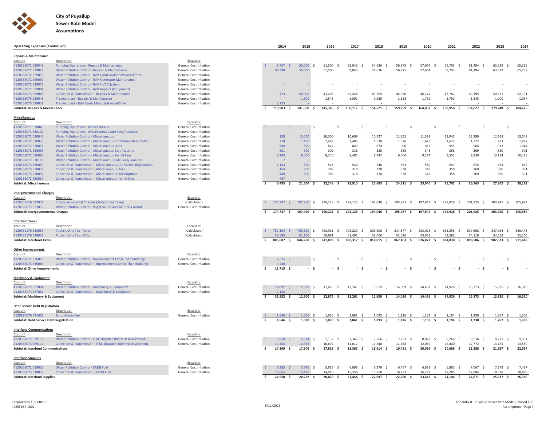

| <b>Operating Expenses (Continued)</b>                          |                                                                    |                               |              | 2014                  | 2015                     | 2016                 | 2017                        | 2018                             | 2019                    | 2020                 | 2021                     | 2022                 | 2023                    | 2024              |
|----------------------------------------------------------------|--------------------------------------------------------------------|-------------------------------|--------------|-----------------------|--------------------------|----------------------|-----------------------------|----------------------------------|-------------------------|----------------------|--------------------------|----------------------|-------------------------|-------------------|
|                                                                |                                                                    |                               |              |                       |                          |                      |                             |                                  |                         |                      |                          |                      |                         |                   |
| <b>Repairs &amp; Maintenance</b>                               |                                                                    |                               |              |                       |                          |                      |                             |                                  |                         |                      |                          |                      |                         |                   |
| Account                                                        | Description                                                        | Escalator                     |              |                       |                          |                      |                             |                                  |                         |                      |                          |                      |                         |                   |
| 4120358071 529048                                              | Pumping Operations - Repairs & Maintenance                         | General Cost Inflation        | $\leq$       | 9,757<br>$\leq$       | 50,000<br>$\leq$         | 51,500<br>- 9        | 53.045<br>$\leq$            | 54.636<br>-Ŝ                     | 56,275<br>-Ś            | 57,964<br>-Ś         | 59,703<br>-Ś             | 61,494<br>- Ŝ        | 63,339<br><sup>\$</sup> | 65,239            |
| 4120358072 529048                                              | Water Pollution Control - Repairs & Maintenance                    | General Cost Inflation        |              | 98,398                | 50,000                   | 51,500               | 53,045                      | 54,636                           | 56,275                  | 57,964               | 59,703                   | 61,494               | 63,339                  | 65,239            |
| 4120358072 529058                                              | Water Pollution Control - R/M Contr Maint Software/Other           | <b>General Cost Inflation</b> |              |                       |                          |                      |                             |                                  |                         |                      |                          |                      |                         |                   |
| 4120358072 529067                                              | Water Pollution Control - R/M Generator Maintenance                | <b>General Cost Inflation</b> |              |                       |                          |                      |                             |                                  |                         |                      |                          |                      |                         |                   |
| 4120358072 529071                                              | Water Pollution Control - R/M HVAC System                          | General Cost Inflation        |              |                       |                          |                      |                             |                                  |                         |                      |                          |                      |                         | ÷.                |
| 4120358072 529084                                              | Water Pollution Control - R/M Repairs (Equipment)                  | General Cost Inflation        |              |                       | 40,000                   |                      |                             |                                  |                         |                      |                          |                      |                         |                   |
| 4120358073 529048                                              | <b>Collection &amp; Transmission - Repairs &amp; Maintenance</b>   | General Cost Inflation        |              | 473                   |                          | 41,200               | 42,436                      | 43,709                           | 45,020                  | 46,371               | 47,762                   | 49,195               | 50,671                  | 52,191            |
| 4120358075 529048                                              | Pretreatment - Repairs & Maintenance                               | <b>General Cost Inflation</b> |              |                       | 1,500                    | 1,545                | 1,591                       | 1,639                            | 1,688                   | 1,739                | 1,791                    | 1,845                | 1,900                   | 1,957             |
| 4120358075 529058                                              | Pretreatment - R/M Contr Maint Software/Other                      | General Cost Inflation        | \$           | 2,275<br>110,903 \$   | 141,500<br>- Ś           | 145,745 \$           | 150,117 \$                  | 154,621 \$                       | 159,259 \$              | 164,037 \$           | 168,958 \$               | 174,027 \$           | 179,248 \$              | 184,625           |
| <b>Subtotal: Repairs &amp; Maintenance</b>                     |                                                                    |                               |              |                       |                          |                      |                             |                                  |                         |                      |                          |                      |                         |                   |
| <b>Miscellaneous</b>                                           |                                                                    |                               |              |                       |                          |                      |                             |                                  |                         |                      |                          |                      |                         |                   |
| Account                                                        | Description                                                        | Escalator                     |              |                       |                          |                      |                             |                                  |                         |                      |                          |                      |                         |                   |
| 4120358071 530049                                              | <b>Pumping Operations - Miscellaneous</b>                          | <b>General Cost Inflation</b> |              | $-5$                  | na.<br><sub>S</sub>      | $-5$                 | $-S$                        | $-5$                             | $-5$                    | $-5$                 | $-5$                     | $-5$                 | $-5$                    | $\sim$            |
| 4120358071 530100                                              | Pumping Operations - Miscellaneous Late Fees/Penalties             | <b>General Cost Inflation</b> |              |                       |                          |                      |                             |                                  |                         |                      |                          |                      |                         |                   |
| 4120358072 530049                                              | <b>Water Pollution Control - Miscellaneous</b>                     | General Cost Inflation        |              | 138                   | 10,000                   | 10,300               | 10,609                      | 10,927                           | 11,255                  | 11,593               | 11,941                   | 12,299               | 12,668                  | 13,048            |
| 4120358072 530050                                              | Water Pollution Control - Miscellaneous Conference Registration    | <b>General Cost Inflation</b> |              | 718                   | 1,400                    | 1,442                | 1,485                       | 1,530                            | 1,576                   | 1,623                | 1,672                    | 1,722                | 1,773                   | 1,827             |
| 4120358072 530051                                              | <b>Water Pollution Control - Miscellaneous Dues</b>                | <b>General Cost Inflation</b> |              | 588                   | 800                      | 824                  | 849                         | 874                              | 900                     | 927                  | 955                      | 984                  | 1,013                   | 1,044             |
| 4120358072 530053                                              | Water Pollution Control - Miscellaneous Certifications             | General Cost Inflation        |              | 551                   | 300                      | 309                  | 318                         | 328                              | 338                     | 348                  | 358                      | 369                  | 380                     | 391               |
| 4120358072 530090                                              | Water Pollution Control - Miscellaneous Permit Fees                | General Cost Inflation        |              | 2,293                 | 8,000                    | 8,240                | 8,487                       | 8,742                            | 9,004                   | 9,274                | 9,552                    | 9,839                | 10,134                  | 10,438            |
| 4120358072 530100                                              | Water Pollution Control - Miscellaneous Late Fees/Penalties        | General Cost Inflation        |              |                       |                          |                      |                             |                                  |                         |                      |                          |                      |                         |                   |
| 4120358073 530050                                              | Collection & Transmission - Miscellaneous Conference Registration  | General Cost Inflation        |              | 1,133                 | 500                      | 515                  | 530                         | 546                              | 563                     | 580                  | 597                      | 615                  | 633                     | 652               |
| 4120358073 530051                                              | <b>Collection &amp; Transmission - Miscellaneous Dues</b>          | <b>General Cost Inflation</b> |              | 154                   | 300                      | 309                  | 318                         | 328                              | 338                     | 348                  | 358                      | 369                  | 380                     | 391               |
| 4120358073 530052                                              | <b>Collection &amp; Transmission - Miscellaneous Subscriptions</b> | General Cost Inflation        |              | 449                   | 300                      | 309                  | 318                         | 328                              | 338                     | 348                  | 358                      | 369                  | 380                     | 391               |
| 4120358073 530090                                              | <b>Collection &amp; Transmission - Miscellaneous Permit Fees</b>   | <b>General Cost Inflation</b> |              | 467                   |                          |                      |                             |                                  |                         |                      |                          |                      |                         |                   |
| <b>Subtotal: Miscellaneous</b>                                 |                                                                    |                               | -Ś.          | 6,493<br>-\$          | 21,600<br>- Ś            | $22,248$ \$          | $22,915$ \$                 | $23,603$ \$                      | $24,311$ \$             | 25,040 \$            | 25,792 \$                | $26,565$ \$          | $27,362 \quad $$        | 28,183            |
|                                                                |                                                                    |                               |              |                       |                          |                      |                             |                                  |                         |                      |                          |                      |                         |                   |
| <b>Intergovernmental Charges</b>                               |                                                                    |                               |              |                       |                          |                      |                             |                                  |                         |                      |                          |                      |                         |                   |
| Account                                                        | Description                                                        | Escalator                     |              |                       |                          |                      |                             |                                  |                         |                      |                          |                      |                         |                   |
| 4120351176 532051                                              | Intergovernmental Charges (State Excise Taxes)                     | [Calculated]                  | $\mathsf{S}$ | $174,737$ \$          | 197,950 \$               | 190,223 \$           |                             | 192,125 \$ 194,046 \$ 195,987 \$ |                         | 197,947 \$           | 199,926 \$               | 201,925 \$           | 203,945 \$              | 205,984           |
| 4120358072 531056                                              | Water Pollution Control - Puget Sound Air Pollution Control        | General Cost Inflation        |              |                       |                          |                      |                             |                                  |                         |                      |                          |                      |                         |                   |
| Subtotal: Intergovernmental Charges                            |                                                                    |                               |              | 174,737 \$            | 197,950 \$               | 190,223 \$           | 192,125 \$                  | 194,046 \$                       | 195,987 \$              | 197,947 \$           | 199,926 \$               | 201,925 \$           | 203,945 \$              | 205,984           |
|                                                                |                                                                    |                               |              |                       |                          |                      |                             |                                  |                         |                      |                          |                      |                         |                   |
| <b>Interfund Taxes</b>                                         |                                                                    |                               |              |                       |                          |                      |                             |                                  |                         |                      |                          |                      |                         |                   |
| Account                                                        | Description                                                        | Escalator                     |              |                       |                          |                      |                             |                                  |                         |                      |                          |                      |                         |                   |
| 4120351176 528056                                              | <b>Public Utility Tax - Rates</b>                                  | [Calculated]                  |              | 752,104 \$<br>53.583  | 785,150 \$               | 790,911 \$<br>50.981 | 798,820<br>\$               | 806,808 \$                       | 814,877 \$              | 823,025 \$           | 831,256 \$               | 839,568 \$           | 847,964 \$              | 856,443           |
| 4120351176 528059                                              | <b>Public Utility Tax - SDCs</b>                                   | [Calculated]                  | -Ś.          | 805.687               | 61,100<br>846,250        | 841.893<br>-Ś        | 51,491<br>850,312<br>-Ś     | 52,006<br>858,815                | 52,526<br>867,403<br>-Ś | 53,051<br>876,077 \$ | 53,582<br>884.838<br>- Ś | 54,118<br>893,686 \$ | 54,659<br>902,623 \$    | 55,206<br>911,649 |
| <b>Subtotal: Interfund Taxes</b>                               |                                                                    |                               |              | -S                    | -S                       |                      |                             | \$                               |                         |                      |                          |                      |                         |                   |
| <b>Other Improvements</b>                                      |                                                                    |                               |              |                       |                          |                      |                             |                                  |                         |                      |                          |                      |                         |                   |
| Account                                                        | Description                                                        | Escalator                     |              |                       |                          |                      |                             |                                  |                         |                      |                          |                      |                         |                   |
| 4120358072 536063                                              | Water Pollution Control - Improvements Other Than Buildings        | <b>General Cost Inflation</b> | S.           | $7,275$ \$            | $-5$                     | $-5$                 | $-5$                        | $-5$                             | $-5$                    | $-5$                 | $-5$                     | $-5$                 | $-5$                    |                   |
| 4120358073 536063                                              | Collection & Transmission - Improvements Other Than Buildings      | General Cost Inflation        |              | 4.440                 |                          |                      |                             |                                  |                         |                      |                          |                      |                         |                   |
| <b>Subtotal: Other Improvements</b>                            |                                                                    |                               | \$           | $11,715$ \$           | - \$                     | - \$                 | - \$                        | - \$                             | - \$                    | - \$                 | - \$                     | - \$                 | - \$                    |                   |
|                                                                |                                                                    |                               |              |                       |                          |                      |                             |                                  |                         |                      |                          |                      |                         |                   |
| <b>Machinery &amp; Equipment</b>                               |                                                                    |                               |              |                       |                          |                      |                             |                                  |                         |                      |                          |                      |                         |                   |
| Account                                                        | Description                                                        | Escalator                     |              |                       |                          |                      |                             |                                  |                         |                      |                          |                      |                         |                   |
| 4120358072 537064                                              | Water Pollution Control - Machinery & Equipment                    | General Cost Inflation        | S.           | 30.697 \$             | 12,500 \$                | 12.875 S             | $13,261$ \$                 | 13,659 \$                        | 14,069 \$               | 14,491 \$            | 14,926 \$                | 15,373 \$            | 15,835 \$               | 16,310            |
| 4120358073 537064                                              | Collection & Transmission - Machinery & Equipment                  | General Cost Inflation        |              | 2.135                 |                          |                      |                             |                                  |                         |                      |                          |                      |                         |                   |
| <b>Subtotal: Machinery &amp; Equipment</b>                     |                                                                    |                               |              | 32,832 \$             | $12,500$ \$              | 12,875 \$            | $13,261$ \$                 | 13,659 \$                        | 14,069 \$               | 14,491 \$            | 14,926 \$                | 15,373 \$            | 15,835 \$               | 16,310            |
|                                                                |                                                                    |                               |              |                       |                          |                      |                             |                                  |                         |                      |                          |                      |                         |                   |
| <b>Debt Service Debt Registration</b>                          |                                                                    |                               |              |                       |                          |                      |                             |                                  |                         |                      |                          |                      |                         |                   |
| Account                                                        | Description                                                        | Escalator                     |              |                       |                          |                      |                             |                                  |                         |                      |                          |                      |                         |                   |
| 4120820076 541002                                              | <b>Bond Admin Fee</b>                                              | General Cost Inflation        |              | $1.646$ \$            | $1,000$ \$               | 1.030 S              | $1.061$ S                   | $1.093$ \$                       | 1,126<br>- \$           | $1,159$ \$           | $1.194$ S                | 1.230S               | $1,267$ \$              | 1,305             |
| <b>Subtotal: Debt Service Debt Registration</b>                |                                                                    |                               | -Ś.          | $1,646$ \$            | 1,000<br>-Ś.             | $1,030$ \$           | 1,061<br>- Ś                | 1,093<br>-Ś                      | 1,126<br>Ŝ.             | 1,159<br>- Ś         | $1,194$ \$               | $1,230$ \$           | $1,267$ \$              | 1,305             |
|                                                                |                                                                    |                               |              |                       |                          |                      |                             |                                  |                         |                      |                          |                      |                         |                   |
| <b>Interfund Communications</b>                                |                                                                    |                               |              |                       |                          |                      |                             |                                  |                         |                      |                          |                      |                         |                   |
| Account                                                        | Description                                                        | Escalator                     |              |                       |                          |                      |                             |                                  |                         |                      |                          |                      |                         |                   |
| 4120358072 529111                                              | Water Pollution Control - IT&C Dispatch 800 MHz Assessment         | General Cost Inflation        |              | 6,924<br>$\mathsf{S}$ | $6,924$ \$               | 7,132<br>- Ś         | 7,346<br>-Ŝ                 | 7,566<br>$\mathsf{S}$            | 7,793<br>$\mathsf{S}$   | $8,027$ \$           | 8,268<br>$\mathsf{S}$    | $8,516$ \$           | 8,771 \$                | 9,034             |
| 4120358073 529111<br><b>Subtotal: Interfund Communications</b> | Collection & Transmission - IT&C Dispatch 800 MHz Assessment       | <b>General Cost Inflation</b> | Ŝ.           | 10,385<br>17,309 \$   | 10,385<br>17,309<br>- \$ | 10,697<br>17,828 \$  | 11,017<br>18,363 \$         | 11,348<br>18,914 \$              | 11,688<br>19,481 \$     | 12,039<br>20,066 \$  | 12,400<br>20,668 \$      | 12,772<br>21,288 \$  | 13,155<br>21,927 \$     | 13,550<br>22,584  |
|                                                                |                                                                    |                               |              |                       |                          |                      |                             |                                  |                         |                      |                          |                      |                         |                   |
| <b>Interfund Supplies</b>                                      |                                                                    |                               |              |                       |                          |                      |                             |                                  |                         |                      |                          |                      |                         |                   |
| Account                                                        | Description                                                        | Escalator                     |              |                       |                          |                      |                             |                                  |                         |                      |                          |                      |                         |                   |
| 4120358072 518033                                              | <b>Water Pollution Control - ER&amp;R Fuel</b>                     | <b>General Cost Inflation</b> |              | 8,285<br>S.           | $5,746$ \$               | 5,918<br>$\sim$      | 6,096<br>$\hat{\mathbf{S}}$ | $6,279$ \$                       | $6,467$ \$              | $6,661$ \$           | $6,861$ \$               | 7,067 \$             | 7,279<br>S.             | 7,497             |
| 4120358073 518033                                              | <b>Collection &amp; Transmission - ER&amp;R Fuel</b>               | General Cost Inflation        |              | 16.665                | 14.476                   | 14,910               | 15,358                      | 15,818                           | 16,293                  | 16,782               | 17,285                   | 17.804               | 18.338                  | 18,888            |
| <b>Subtotal: Interfund Supplies</b>                            |                                                                    |                               | s.           | 24,950 \$             | $20,222$ \$              | 20,829 \$            | $21,454$ \$                 | 22,097 \$                        | 22,760 \$               | $23,443$ \$          | $24,146$ \$              | 24,871 \$            | $25,617$ \$             | 26,385            |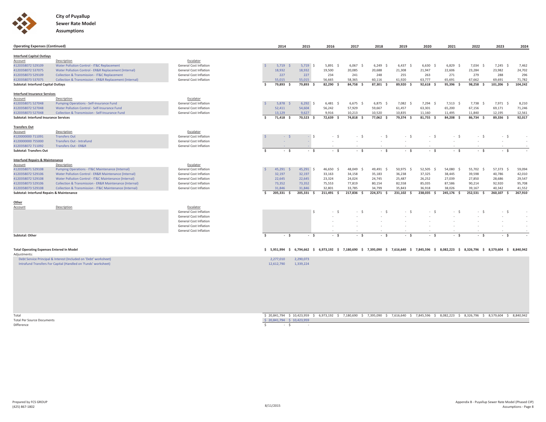

| <b>Operating Expenses (Continued)</b>            |                                                             |                               |                      | 2014          | 2015           | 2016          | 2017                                                             | 2018          | 2019         | 2020       | 2021                                                                          | 2022          | 2023       | 2024    |
|--------------------------------------------------|-------------------------------------------------------------|-------------------------------|----------------------|---------------|----------------|---------------|------------------------------------------------------------------|---------------|--------------|------------|-------------------------------------------------------------------------------|---------------|------------|---------|
| <b>Interfund Capital Outlays</b>                 |                                                             |                               |                      |               |                |               |                                                                  |               |              |            |                                                                               |               |            |         |
| Account                                          | Description                                                 | Escalator                     |                      |               |                |               |                                                                  |               |              |            |                                                                               |               |            |         |
| 4120358072 529109                                | Water Pollution Control - IT&C Replacement                  | General Cost Inflation        |                      | $5,719$ \$    | $5,719$ \$     | 5,891         | 6,067<br>$\sim$                                                  | 6,249         | 6,437<br>S.  | 6,630      | 6,829<br>- S                                                                  | $7,034$ \$    | $7,245$ \$ | 7,462   |
| 4120358072 537075                                | Water Pollution Control - ER&R Replacement (Internal)       | <b>General Cost Inflation</b> |                      | 18,932        | 18,932         | 19,500        | 20,085                                                           | 20,688        | 21,308       | 21,947     | 22,606                                                                        | 23,284        | 23,982     | 24,702  |
| 4120358073 529109                                | <b>Collection &amp; Transmission - IT&amp;C Replacement</b> | <b>General Cost Inflation</b> |                      | 227           | 227            | 234           | 241                                                              | 248           | 255          | 263        | 271                                                                           | 279           | 288        | 296     |
| 4120358073 537075                                | Collection & Transmission - ER&R Replacement (Internal)     | <b>General Cost Inflation</b> |                      | 55.015        | 55,015         | 56.665        | 58.365                                                           | 60.116        | 61.920       | 63,777     | 65.691                                                                        | 67.662        | 69.691     | 71,782  |
| <b>Subtotal: Interfund Capital Outlays</b>       |                                                             |                               | $\ddot{\phantom{1}}$ | 79,893<br>- S | 79.893<br>- \$ | 82.290<br>- Ś | 84.758 \$                                                        | 87.301 \$     | 89,920<br>s. | 92.618 \$  | 95.396 \$                                                                     | 98.258<br>- Ś | 101,206 \$ | 104.242 |
| <b>Interfund Insurance Services</b>              |                                                             |                               |                      |               |                |               |                                                                  |               |              |            |                                                                               |               |            |         |
| Account                                          | Description                                                 | Escalator                     |                      |               |                |               |                                                                  |               |              |            |                                                                               |               |            |         |
| 4120358071 527048                                | Pumping Operations - Self-Insurance Fund                    | <b>General Cost Inflation</b> |                      | 5,878         | $6,292$ \$     | $6,481$ \$    | 6.675 S                                                          | 6.875 S       | 7,082 \$     | 7,294 \$   | $7,513$ \$                                                                    | 7,738 \$      | 7,971 \$   | 8,210   |
| 4120358072 527048                                | Water Pollution Control - Self-Insurance Fund               | <b>General Cost Inflation</b> |                      | 52,411        | 54,604         | 56,242        | 57,929                                                           | 59,667        | 61,457       | 63,301     | 65,200                                                                        | 67,156        | 69,171     | 71,246  |
| 4120358073 527048                                | Collection & Transmission - Self-Insurance Fund             | General Cost Inflation        |                      | 13,129        | 9,627          | 9,916         | 10,213                                                           | 10,520        | 10,835       | 11,160     | 11,495                                                                        | 11,840        | 12,195     | 12,561  |
| <b>Subtotal: Interfund Insurance Services</b>    |                                                             |                               | Ŝ                    | 71,418 \$     | 70,523 \$      | 72,639 \$     | 74,818 \$                                                        | 77,062 \$     | 79,374 \$    | 81,755 \$  | 84,208 \$                                                                     | 86,734 \$     | 89,336 \$  | 92,017  |
| <b>Transfers Out</b>                             |                                                             |                               |                      |               |                |               |                                                                  |               |              |            |                                                                               |               |            |         |
| Account                                          | Description                                                 | Escalator                     |                      |               |                |               |                                                                  |               |              |            |                                                                               |               |            |         |
| 4120000000 711091                                | <b>Transfers Out</b>                                        | General Cost Inflation        |                      | $-5$          |                | $-5$          | $-S$                                                             | $-S$          | $-5$         | $-5$       | $-5$                                                                          | $-5$          | $-S$       |         |
| 4120000000 755000                                | <b>Transfers Out - Intrafund</b>                            | <b>General Cost Inflation</b> |                      |               |                |               |                                                                  |               |              |            |                                                                               |               |            |         |
| 4120358072 711092                                | <b>Transfers Out - ER&amp;R</b>                             | General Cost Inflation        |                      |               |                |               |                                                                  |               |              |            | $\sim$                                                                        |               |            |         |
| <b>Subtotal: Transfers Out</b>                   |                                                             |                               | - Ś                  | $-5$          | - \$           | - \$          | - \$                                                             | $-5$          | - \$         | $-5$       | - \$                                                                          | $-5$          | - \$       |         |
|                                                  |                                                             |                               |                      |               |                |               |                                                                  |               |              |            |                                                                               |               |            |         |
| <b>Interfund Repairs &amp; Maintenance</b>       |                                                             |                               |                      |               |                |               |                                                                  |               |              |            |                                                                               |               |            |         |
| Account                                          | Description                                                 | Escalator                     |                      |               |                |               |                                                                  |               |              |            |                                                                               |               |            |         |
| 4120358071 529108                                | Pumping Operations - IT&C Maintenance (Internal)            | <b>General Cost Inflation</b> |                      | 45,291        | 45,291 \$      | 46,650        | 48,049                                                           | 49,491<br>- Ŝ | 50,975 \$    | 52,505 \$  | 54,080<br>- S                                                                 | 55,702 \$     | 57,373 \$  | 59,094  |
| 4120358072 529106                                | Water Pollution Control - ER&R Maintenance (Internal)       | <b>General Cost Inflation</b> |                      | 32.197        | 32,197         | 33,163        | 34,158                                                           | 35,183        | 36,238       | 37,325     | 38,445                                                                        | 39,598        | 40,786     | 42,010  |
| 4120358072 529108                                | Water Pollution Control - IT&C Maintenance (Internal)       | <b>General Cost Inflation</b> |                      | 22,645        | 22,645         | 23,324        | 24,024                                                           | 24,745        | 25,487       | 26,252     | 27,039                                                                        | 27,850        | 28,686     | 29,547  |
| 4120358073 529106                                | Collection & Transmission - ER&R Maintenance (Internal)     | General Cost Inflation        |                      | 73,352        | 73,352         | 75,553        | 77,819                                                           | 80,154        | 82,558       | 85,035     | 87,586                                                                        | 90,214        | 92,920     | 95,708  |
| 4120358073 529108                                | Collection & Transmission - IT&C Maintenance (Internal)     | <b>General Cost Inflation</b> |                      | 31,846        | 31,846         | 32,801        | 33.785                                                           | 34.799        | 35.843       | 36,918     | 38.026                                                                        | 39.167        | 40.342     | 41,552  |
| Subtotal: Interfund Repairs & Maintenance        |                                                             |                               | Ŝ.                   | 205,331 \$    | 205,331 \$     | 211,491 \$    | 217,836 \$                                                       | 224,371 \$    | 231,102 \$   | 238,035 \$ | 245,176 \$                                                                    | 252,531 \$    | 260,107 \$ | 267,910 |
| Other                                            |                                                             |                               |                      |               |                |               |                                                                  |               |              |            |                                                                               |               |            |         |
| Account                                          | Description                                                 | Escalator                     |                      |               |                |               |                                                                  |               |              |            |                                                                               |               |            |         |
|                                                  |                                                             | <b>General Cost Inflation</b> |                      |               | ς              |               |                                                                  |               |              |            |                                                                               |               |            |         |
|                                                  |                                                             | <b>General Cost Inflation</b> |                      |               |                |               |                                                                  |               |              |            |                                                                               |               |            |         |
|                                                  |                                                             | <b>General Cost Inflation</b> |                      |               |                |               |                                                                  |               |              |            |                                                                               |               |            |         |
|                                                  |                                                             | <b>General Cost Inflation</b> |                      |               |                |               |                                                                  |               |              |            |                                                                               |               |            | $\sim$  |
|                                                  |                                                             | <b>General Cost Inflation</b> |                      |               |                |               |                                                                  |               |              |            | $\sim$                                                                        |               |            |         |
| <b>Subtotal: Other</b>                           |                                                             |                               | - Ś                  | $-5$          | $-5$           | - \$          | - \$                                                             | $-5$          | $-5$         | $-5$       | - \$                                                                          | $-5$          | $-5$       |         |
|                                                  |                                                             |                               |                      |               |                |               |                                                                  |               |              |            |                                                                               |               |            |         |
| <b>Total Operating Expenses Entered In Model</b> |                                                             |                               |                      |               |                |               | $$5,951,994$ $$6,794,662$ $$6,973,192$ $$7,180,690$ $$7,395,090$ |               |              |            | \$ 7,616,640 \$ 7,845,596 \$ 8,082,223 \$ 8,326,796 \$ 8,579,604 \$ 8,840,942 |               |            |         |
| Adjustmants:                                     |                                                             |                               |                      |               |                |               |                                                                  |               |              |            |                                                                               |               |            |         |

| Aujustinents                                                     |                         |
|------------------------------------------------------------------|-------------------------|
| Debt Service Principal & Interest (Included on 'Debt' worksheet) | 2,290,073<br>2,277,010  |
| Intrafund Transfers For Capital (Handled on 'Funds' worksheet)   | 12.612.790<br>1,339,224 |

TotalTotal Per Source DocumentsDifference

l Per Source Documents<br>|Per Source Documents<br>|Perce Pocuments<br>|Perce Pocuments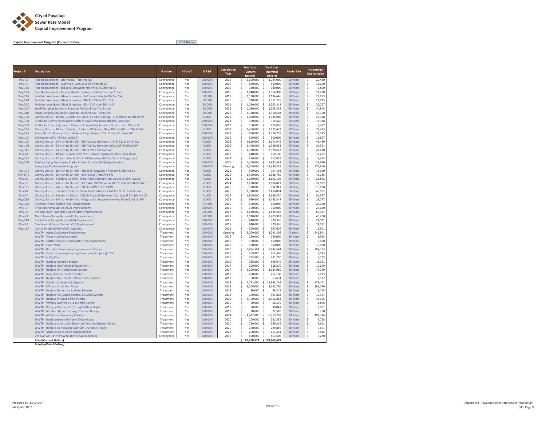

**Capital Improvement Program (Current Dollars)**

**2015 Dollars**

| Project ID                       | <b>Description</b>                                                                                                                                              | <b>Function</b>          | Inflate?   | % R&R              | Completion<br>Year | <b>Total Cost</b><br>(Current<br>Dollars) | <b>Total Cost</b><br>(Nominal<br>Dollars)   | <b>Useful Life</b>          |                    | Incremental<br>Depreciation |
|----------------------------------|-----------------------------------------------------------------------------------------------------------------------------------------------------------------|--------------------------|------------|--------------------|--------------------|-------------------------------------------|---------------------------------------------|-----------------------------|--------------------|-----------------------------|
| Puy-3B                           | Pipe Replacement - 9th Ave NE / 4th Ave NE                                                                                                                      | Conveyance               | Yes        | 100.00%            | 2016               | 1,000,000<br>\$                           | -\$<br>1,024,000                            | 50 Years                    | \$                 | 20,480                      |
| Puy-7A                           | Pipe Replacement - East Main, 23rd St SE to Riverside LS                                                                                                        | Conveyance               | Yes        | 100.00%            | 2015               | \$<br>660,000                             | 660,000<br>\$.                              | 50 Years                    | \$                 | 13,200                      |
| Puy-14D                          | Pipe Replacement - 3rd St SE, Between 7th Ave SE & 9th Ave SE                                                                                                   | Conveyance               | Yes        | 100.00%            | 2015               | \$<br>340,000                             | \$<br>340,000                               | 50 Years                    | \$                 | 6,800                       |
| <b>Puy-23A</b>                   | Pipe Replacement - Tacoma Road E, Between 23rd & Tacoma Street                                                                                                  | Conveyance               | Yes        | 100.00%            | 2016               | Ś<br>1,040,000                            | Ŝ.<br>1,064,900                             | 50 Years                    | Ś                  | 21,298                      |
| <b>Puy-21A</b>                   | Fruitland Ave Sewer Main Extension - W Pioneer Way to 9th Ave SW                                                                                                | Conveyance               | Yes        | 50.00%             | 2017               | \$<br>1,130,000                           | -\$<br>1,194,646                            | 50 Years                    | \$                 | 23,893                      |
| <b>Puy-21B</b>                   | Fruitland Ave Sewer Main Extension - 9th Ave SW to 85th St E                                                                                                    | Conveyance               | Yes        | 50.00%             | 2020               | Ś<br>910,000                              | -\$<br>1,051,225                            | 50 Years                    | \$                 | 21,025                      |
| <b>Puy-21C</b>                   | Fruitland Ave Sewer Main Extension - 85th St E to to 96th St E                                                                                                  | Conveyance               | Yes        | 50.00%             | 2021               | 1,060,000<br>\$                           | $\mathsf{S}$<br>1,261,348                   | 50 Years                    | \$                 | 25,227                      |
| <b>Puy-21E</b>                   | Small Pumping Station to Pump to Fruitland Ave Trunk Line                                                                                                       | Conveyance               | Yes        | 50.00%             | 2021               | Ś<br>1,030,000                            | -\$<br>1,225,353                            | 30 Years                    | \$.                | 40,845                      |
| <b>Puy-21D</b>                   | Small Pumping Station to Pump to Fruitland Ave Trunk Line                                                                                                       | Conveyance               | Yes        | 50.00%             | 2022               | 1,110,000<br>\$                           | $\mathsf{S}$<br>1,360,503                   | 30 Years                    | \$<br>\$           | 45,350                      |
| <b>Puy-19A</b><br><b>Puy-10B</b> | Gravity Upsize - 10 and 12-Inch to 15-Inch, SR-512 Crossing - S. Meridian to 5th St SW<br>Re-Route Gravity Sewer Main North of Lowe's/Abandon Bradley Lake Line | Conveyance<br>Conveyance | Yes<br>Yes | 0.00%<br>100.00%   | 2022<br>2021       | \$<br>1,090,000<br>Ś<br>770,000           | -\$<br>1,335,906<br>-\$<br>919.420          | <b>50 Years</b><br>50 Years | $\hat{\mathsf{S}}$ | 26,718<br>18,388            |
| <b>Puy-20A</b>                   | Re-Route Gravity System to Alleviate Accessibility Issues In Downstream Wetland                                                                                 | Conveyance               | Yes        | 100.00%            | 2018               | \$<br>160,000                             | \$<br>174,836                               | 50 Years                    | \$                 | 3,497                       |
| Puy-22A                          | Gravity Upsize - 10 and 12-Inch to 15-Inch, W Pioneer Way 18th St SW to 12th St NW                                                                              | Conveyance               | Yes        | 0.00%              | 2021               | \$<br>1,400,000                           | \$<br>1,671,673                             | 50 Years                    | \$                 | 33,433                      |
| <b>Puy-27A</b>                   | Relay 36-Inch Gravity Due to Adverse Slope Issues - 14th St SW / 9th Ave SW                                                                                     | Conveyance               | Yes        | 100.00%            | 2023               | \$<br>850,000                             | \$<br>1,076,755                             | 50 Years                    | \$                 | 21,535                      |
| <b>Puy-10A</b>                   | Elimination of S. Hill Mall LS (LS 6)                                                                                                                           | Conveyance               | Yes        | 100,00%            | 2019               | Ś<br>500,000                              | -\$<br>500,000                              | <b>30 Years</b>             | \$                 | 16,667                      |
| <b>Puy-14A</b>                   | Gravity Upsize - 24-Inch to 36-Inch - 9th Ave SW Between 14th St SW & 9th St SW                                                                                 | Conveyance               | Yes        | 0.00%              | 2023               | 1,820,000<br>\$                           | 2,271,946<br>-\$                            | 50 Years                    | \$                 | 45,439                      |
| <b>Puy-14B</b>                   | Gravity Upsize - 24-Inch to 36-Inch - 9th Ave SW Between 9th St SW & 5th St SW                                                                                  | Conveyance               | Yes        | 0.00%              | 2022               | \$<br>1,410,000                           | -\$<br>1,728,032                            | 50 Years                    | \$                 | 34,561                      |
| <b>Puy-14C</b>                   | Gravity Upsize - 24-Inch to 36-Inch - 5th St SW / 7th Ave SW                                                                                                    | Conveyance               | Yes        | 0.00%              | 2025               | Ś<br>1,770,000                            | -\$<br>2.370.512                            | 50 Years                    | \$                 | 47,410                      |
| Puy-1A                           | Gravity Upsize - 10 and 12-Inch, 28th St SE Between Marwood Dr & Shaw Road                                                                                      | Conveyance               | Yes        | 0.00%              | 2025               | 640,000<br>\$                             | -\$<br>860,106                              | 50 Years                    | \$                 | 17,202                      |
| <b>Puy-25A</b>                   | Gravity Upsize - 12 and 18-Inch, 5th St SW Between 9th Ave SW and Fairgrounds                                                                                   | Conveyance               | Yes        | 0.00%              | 2024               | \$<br>550,000                             | -\$<br>717,625                              | 50 Years                    | \$                 | 14,353                      |
| <b>Puy-27B</b>                   | Replace Aging Pipe Across Clark's Creek - 7th Ave SW Bridge Crossing                                                                                            | Conveyance               | Yes        | 100.00%            | 2025               | \$<br>1,400,000                           | \$<br>1,881,483                             | 50 Years                    | \$                 | 37,630                      |
|                                  | Aging Pipe Replacement Program                                                                                                                                  | Conveyance               | Yes        | 100.00%            | Ongoing            | Ś.<br>13,500,000                          | \$<br>18,630,281                            | 50 Years                    | \$                 | 372,606                     |
| Puy-14E                          | Gravity Upsize - 18-Inch to 24-Inch - 5th St SE Between E Pioneer & 4th Ave SE                                                                                  | Conveyance               | Yes        | 0.00%              | 2021               | Ś<br>590,000                              | -\$<br>704,491                              | 50 Years                    | \$                 | 14,090                      |
| <b>Puy 27-C</b>                  | Gravity Upsize - 36-Inch to 42-Inch - 14th St SW / 9th Ave SW                                                                                                   | Conveyance               | Yes        | 0.00%              | 2022               | \$.<br>1,900,000                          | - S<br>2,336,760                            | <b>50 Years</b>             | \$                 | 46,735                      |
| Puy-1B                           | Gravity Upsize - 8-Inch to 12-Inch - Shaw Road Between 31st Ave SE & 26th Ave SE                                                                                | Conveyance               | Yes        | 0.00%              | 2023               | 1,020,000<br>Ŝ                            | -\$<br>1,292,105                            | 50 Years                    | \$                 | 25,842                      |
| Puy-3C                           | Gravity Upsize - 24-Inch to 36-Inch - 13th Ave NW Between 18th St NW & 15th St NW                                                                               | Conveyance               | Yes        | 0.00%              | 2024<br>2025       | 1,230,000<br>\$                           | \$<br>1,604,871                             | 50 Years                    | \$                 | 32,097                      |
| Puy-3D<br>Puy-4A                 | Gravity Upsize - 24-Inch to 36-Inch - 9th Ave NW / 8th St NW<br>Gravity Upsize - 8-Inch to 12-Inch - Shaw Road Between 23rd Ave SE & Dunhill Lane               | Conveyance               | Yes<br>Yes | 0.00%<br>0.00%     | 2026               | 590,000<br>Ś<br>\$<br>1,770,000           | -\$<br>792,911<br>$\mathsf{S}$<br>2,450,094 | 50 Years<br>50 Years        | \$<br>\$           | 15,858<br>49,002            |
| Puy-5A                           | Gravity Upsize - 8-Inch to 12-Inch - 24th St Place SE Between 20th Ave SE & 12th Ave SE                                                                         | Conveyance<br>Conveyance | Yes        | 0.00%              | 2027               | Ś<br>1,800,000                            | -\$<br>2,566,370                            | 50 Years                    | \$                 | 51,327                      |
| <b>Puy-25B</b>                   | Gravity Upsize - 24-Inch to 36-Inch - Fairgrounds Between Fairview Drive & 5th St SW                                                                            | Conveyance               | Yes        | 0.00%              | 2028               | 990,000<br>\$                             | \$<br>1,453,848                             | 50 Years                    | \$                 | 29,077                      |
| <b>Puy-11A</b>                   | Cherokee Pump Station (#34) Replacement                                                                                                                         | Conveyance               | Yes        | 67.00%             | 2015               | \$<br>690,000                             | \$<br>690,000                               | 30 Years                    | \$                 | 23,000                      |
| Puy-7A                           | Riverside Pump Station (#24) Improvements                                                                                                                       | Conveyance               | Yes        | 100.00%            | 2015               | Ś<br>750,000                              | Ŝ.<br>750,000                               | 30 Years                    | Ŝ.                 | 25,000                      |
| Puy-3A                           | 4th and River Road (#4) Pump Station Improvements                                                                                                               | Conveyance               | Yes        | 70.00%             | 2018               | \$<br>1,680,000                           | -\$<br>1,829,416                            | 30 Years                    | \$                 | 60,981                      |
| Puy-6A                           | North Levee Pump Station (#5) Improvements                                                                                                                      | Conveyance               | Yes        | 70.00%             | 2021               | \$<br>1,010,000                           | -\$<br>1,205,993                            | 30 Years                    | \$                 | 40,200                      |
| <b>Puy-24B</b>                   | Clarks Creek Pump Station (#25) Replacement                                                                                                                     | Conveyance               | Yes        | 100.00%            | 2019               | 640,000<br>\$                             | 720,326<br>-\$                              | 30 Years                    | \$                 | 24,011                      |
| Puy-2A                           | Candlewood Pump Station (#26) Replacement                                                                                                                       | Conveyance               | Yes        | 100.00%            | 2019               | \$<br>640,000                             | -\$<br>720,326                              | 30 Years                    | \$.                | 24,011                      |
| <b>Puy-16A</b>                   | Costco Pump Station (#10) Upgrades                                                                                                                              | Conveyance               | Yes        | 100.00%            | 2021               | \$<br>500,000                             | 597,026<br>-\$                              | <b>30 Years</b>             | \$                 | 19,901                      |
|                                  | <b>WWTP - Aging Equipment Replacement</b>                                                                                                                       | Treatment                | Yes        | 100.00%            | Ongoing            | \$<br>3,000,000                           | - S<br>3,234,205                            | 5 Years                     | \$                 | 646,841                     |
|                                  | <b>WWTP - Vactor Unloading Station</b>                                                                                                                          | Treatment                | Yes        | 100.00%            | 2015               | \$<br>250,000                             | -\$<br>250,000                              | 30 Years                    | \$                 | 8,333                       |
|                                  | WWTP - Outfall Header Cleaning/Diffuser Replacement                                                                                                             | Treatment                | Yes        | 100.00%            | 2015               | \$<br>150,000                             | \$<br>150,000                               | 30 Years                    | \$                 | 5,000                       |
|                                  | WWTP - Flood Wall                                                                                                                                               | Treatment                | Yes        | 100.00%            | 2015               | \$<br>300,000                             | \$<br>300,000                               | 30 Years                    | \$                 | 10,000                      |
|                                  | WWTP - Biosolids Dewatering Improvements Project                                                                                                                | Treatment                | Yes        | 100.00%            | 2016               | \$<br>5,854,594                           | -\$<br>5,944,594                            | 30 Years                    | \$                 | 198,153                     |
|                                  | WWTP - Construction Engineering Dewatering Project @ 10%                                                                                                        | Treatment                | Yes        | 100.00%            | 2016               | \$<br>209,480                             | - \$<br>212,480                             | <b>30 Years</b>             | \$                 | 7,083                       |
|                                  | <b>WWTP Facility Plan</b>                                                                                                                                       | Treatment                | Yes        | 100.00%            | 2016               | 225,000<br>\$                             | 231,750<br>-\$                              | 30 Years                    | \$                 | 7,725                       |
|                                  | <b>WWTP - Replace Aeration Blower</b><br><b>WWTP - Replace Grit Removal Equipment</b>                                                                           | Treatment<br>Treatment   | Yes<br>Yes | 100.00%<br>100.00% | 2016<br>2017       | 388,000<br>\$<br>Ś<br>300,000             | 399,640<br>\$.<br>Ŝ.<br>318,270             | 30 Years<br>30 Years        | \$<br>\$           | 13,321<br>10.609            |
|                                  | WWTP - Replace UV Disinfection System                                                                                                                           | Treatment                | Yes        | 100.00%            | 2017               | \$<br>2,200,000                           | -\$<br>2,333,980                            | 30 Years                    | \$                 | 77,799                      |
|                                  | WWTP - New Headworks Odor System                                                                                                                                | Treatment                | Yes        | 100.00%            | 2017               | \$<br>200,000                             | -\$<br>212,180                              | 30 Years                    | \$                 | 7,073                       |
|                                  | WWTP - Replace Non-Potable Water Pump System                                                                                                                    | Treatment                | Yes        | 100.00%            | 2017               | \$<br>60,000                              | \$<br>63,654                                | 30 Years                    | \$                 | 2,122                       |
|                                  | WWTP - Additional Anaerobic Digester                                                                                                                            | Treatment                | Yes        | 100.00%            | 2028               | \$<br>7,731,000                           | -S<br>11,353,234                            | 30 Years                    | \$                 | 378,441                     |
|                                  | WWTP - Effluent Cloth Disc Filters                                                                                                                              | Treatment                | Yes        | 100.00%            | 2018               | \$<br>3,000,000                           | -\$<br>3,182,700                            | 30 Years                    | \$                 | 106,090                     |
|                                  | <b>WWTP - Replace Generator Building Blowers</b>                                                                                                                | Treatment                | Yes        | 100.00%            | 2018               | \$<br>90,000                              | -\$<br>98,345                               | 30 Years                    | \$                 | 3,278                       |
|                                  | WWTP - Replace PLC-Based Control & SCADA System                                                                                                                 | Treatment                | Yes        | 100.00%            | 2018               | Ś<br>300,000                              | -\$<br>327.818                              | 30 Years                    | \$                 | 10,927                      |
|                                  | WWTP - Replace Influent Screw Pumps                                                                                                                             | Treatment                | Yes        | 100.00%            | 2022               | 1,100,000<br>\$                           | 1,352,861<br>-\$                            | 30 Years                    | \$                 | 45,095                      |
|                                  | WWTP - Primary Clarifier # 1 & # 2 New Drives                                                                                                                   | Treatment                | Yes        | 100.00%            | 2019               | 50,000<br>\$                              | -\$<br>56,275                               | 30 Years                    | \$                 | 1,876                       |
|                                  | WWTP - Primary Clarifier # 1 Through 4 New Flights                                                                                                              | Treatment                | Yes        | 100.00%            | 2019               | \$<br>80,000                              | -\$<br>90,041                               | 30 Years                    | \$                 | 3,001                       |
|                                  | WWTP - Aeration Basin Discharge Channel Mixing                                                                                                                  | Treatment                | Yes        | 100.00%            | 2019               | \$<br>20,000                              | -\$<br>22,510                               | 30 Years                    | \$                 | 750                         |
|                                  | <b>WWTP - Additional Secondary Clarifier</b>                                                                                                                    | Treatment                | Yes        | 100.00%            | 2024               | \$<br>4,422,000                           | -\$<br>5,769,707                            | 30 Years                    | \$                 | 192,324                     |
|                                  | WWTP - Replacement of Influent Sluice Gates                                                                                                                     | Treatment                | Yes        | 100.00%            | 2020               | \$<br>200,000                             | \$<br>231,855                               | 30 Years                    | $\mathsf S$        | 7,728                       |
|                                  | WWTP - Replace Sturctural I-Beams in Aeration Selector Zones                                                                                                    | Treatment                | Yes        | 100.00%            | 2020               | Ś<br>250,000                              | Ŝ.<br>289.819                               | 30 Years                    | Ś                  | 9,661                       |
|                                  | WWTP - Replace all Aeration Basin Air Line Knee Braces                                                                                                          | Treatment                | Yes        | 100.00%            | 2020               | \$<br>250,000                             | \$<br>289,819                               | 30 Years                    | \$                 | 9,661                       |
|                                  | <b>WWTP - Miscellaneous Valve Replacements</b>                                                                                                                  | Treatment                | Yes        | 100.00%            | 2023               | 200,000<br>\$<br>$\hat{\mathbf{C}}$       | \$.<br>253,354<br>Ŝ.                        | 30 Years                    | Ś<br>Ś             | 8,445<br>9,270              |
|                                  | 7th Ave SW; 14th St SW to 18th St SW (Sinkhole)                                                                                                                 | Conveyance               | Yes        | 100.00%            | 2016               | 450,000                                   | 463,500                                     | 50 Years                    |                    |                             |
|                                  | <b>Total (Current Dollars)</b>                                                                                                                                  |                          |            |                    |                    | \$                                        | 81,220,074 \$100,467,678                    |                             |                    |                             |

*Total (Inflated Dollars)*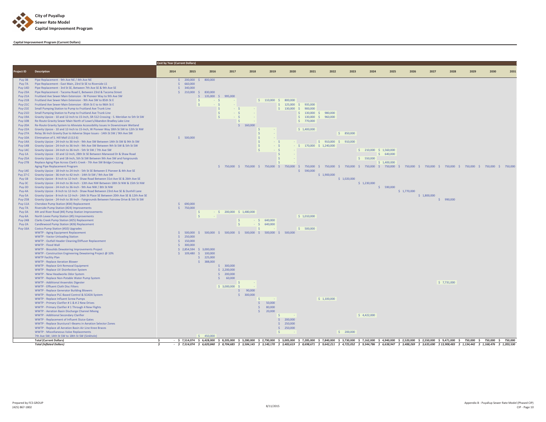

## **Capital Improvement Program (Current Dollars)**

|                                  |                                                                                                                                                                       | <b>Cost by Year (Current Dollars)</b> |                           |                       |                             |                |                                                                   |           |                             |                        |             |                                                                                                                                                                                                                                                         |             |             |             |             |      |      |      |
|----------------------------------|-----------------------------------------------------------------------------------------------------------------------------------------------------------------------|---------------------------------------|---------------------------|-----------------------|-----------------------------|----------------|-------------------------------------------------------------------|-----------|-----------------------------|------------------------|-------------|---------------------------------------------------------------------------------------------------------------------------------------------------------------------------------------------------------------------------------------------------------|-------------|-------------|-------------|-------------|------|------|------|
| Project ID                       | <b>Description</b>                                                                                                                                                    | 2014                                  | 2015                      | 2016                  | 2017                        | 2018           | 2019                                                              | 2020      | 2021                        | 2022                   | 2023        | 2024                                                                                                                                                                                                                                                    | 2025        | 2026        | 2027        | 2028        | 2029 | 2030 | 2031 |
| <b>Puv-3B</b>                    | Pipe Replacement - 9th Ave NE / 4th Ave NE                                                                                                                            |                                       | $$200,000 \quad $800,000$ |                       |                             |                |                                                                   |           |                             |                        |             |                                                                                                                                                                                                                                                         |             |             |             |             |      |      |      |
| Puv-7A                           | Pipe Replacement - East Main, 23rd St SE to Riverside LS                                                                                                              | Š.                                    | 660,000<br>\$340,000      |                       |                             |                |                                                                   |           |                             |                        |             |                                                                                                                                                                                                                                                         |             |             |             |             |      |      |      |
| Puy-14D<br><b>Puv-23A</b>        | Pipe Replacement - 3rd St SE, Between 7th Ave SE & 9th Ave SE<br>Pipe Replacement - Tacoma Road E, Between 23rd & Tacoma Street                                       |                                       | \$ 210,000 \$ 830,000     |                       |                             |                |                                                                   |           |                             |                        |             |                                                                                                                                                                                                                                                         |             |             |             |             |      |      |      |
| <b>Puv-21A</b>                   | Fruitland Ave Sewer Main Extension - W Pioneer Way to 9th Ave SW                                                                                                      |                                       |                           | \$ 135,000 \$ 995,000 |                             |                |                                                                   |           |                             |                        |             |                                                                                                                                                                                                                                                         |             |             |             |             |      |      |      |
| <b>Puy-21B</b>                   | Fruitland Ave Sewer Main Extension - 9th Ave SW to 85th St E                                                                                                          |                                       |                           | -S.<br>$-$ \$         |                             |                | \$ 110,000 \$ 800,000                                             |           |                             |                        |             |                                                                                                                                                                                                                                                         |             |             |             |             |      |      |      |
| <b>Puy-21C</b>                   | Fruitland Ave Sewer Main Extension - 85th St E to to 96th St E                                                                                                        |                                       |                           |                       | $\mathsf{S}$                |                |                                                                   |           | $$125,000$$ $$935,000$      |                        |             |                                                                                                                                                                                                                                                         |             |             |             |             |      |      |      |
| <b>Puy-21E</b>                   | Small Pumping Station to Pump to Fruitland Ave Trunk Line                                                                                                             |                                       |                           |                       | $-$ S                       |                |                                                                   |           | \$ 130,000 \$ 900,000       |                        |             |                                                                                                                                                                                                                                                         |             |             |             |             |      |      |      |
| <b>Puy-21D</b>                   | Small Pumping Station to Pump to Fruitland Ave Trunk Line                                                                                                             |                                       |                           |                       | $- S$                       | <b>College</b> |                                                                   |           | \$ 130,000 \$ 980,000       |                        |             |                                                                                                                                                                                                                                                         |             |             |             |             |      |      |      |
| Puy-19A<br>Puy-10B               | Gravity Upsize - 10 and 12-Inch to 15-Inch, SR-512 Crossing - S. Meridian to 5th St SW<br>Re-Route Gravity Sewer Main North of Lowe's/Abandon Bradley Lake Line       |                                       |                           |                       | $-$ S                       | $\mathcal{S}$  |                                                                   |           | $$130,000$ \$<br>\$770,000  | 960,000                |             |                                                                                                                                                                                                                                                         |             |             |             |             |      |      |      |
| Puy-20A                          | Re-Route Gravity System to Alleviate Accessibility Issues In Downstream Wetland                                                                                       |                                       |                           |                       |                             | \$160,000      |                                                                   |           |                             |                        |             |                                                                                                                                                                                                                                                         |             |             |             |             |      |      |      |
| Puy-22A                          | Gravity Upsize - 10 and 12-Inch to 15-Inch, W Pioneer Way 18th St SW to 12th St NW                                                                                    |                                       |                           |                       |                             |                | -S<br><b>All Street</b>                                           |           | \$1,400,000                 |                        |             |                                                                                                                                                                                                                                                         |             |             |             |             |      |      |      |
| Puy-27A                          | Relay 36-Inch Gravity Due to Adverse Slope Issues - 14th St SW / 9th Ave SW                                                                                           |                                       |                           |                       |                             |                |                                                                   |           |                             |                        | \$850,000   |                                                                                                                                                                                                                                                         |             |             |             |             |      |      |      |
| Puy-10A                          | Elimination of S. Hill Mall LS (LS 6)                                                                                                                                 |                                       | \$500,000                 |                       |                             |                | -Ś                                                                |           |                             |                        |             |                                                                                                                                                                                                                                                         |             |             |             |             |      |      |      |
| Puy-14A                          | Gravity Upsize - 24-Inch to 36-Inch - 9th Ave SW Between 14th St SW & 9th St SW                                                                                       |                                       |                           |                       |                             |                | $\hat{\mathbf{S}}$<br>$-5$                                        |           |                             | $$910,000$$ \$ 910,000 |             |                                                                                                                                                                                                                                                         |             |             |             |             |      |      |      |
| <b>Puy-14B</b><br><b>Puy-14C</b> | Gravity Upsize - 24-Inch to 36-Inch - 9th Ave SW Between 9th St SW & 5th St SW<br>Gravity Upsize - 24-Inch to 36-Inch - 5th St SW / 7th Ave SW                        |                                       |                           |                       |                             |                | $-5$<br>$-5$                                                      |           | $-$ \$ 170,000 \$ 1,240,000 |                        |             | \$ 210,000 \$ 1,560,000                                                                                                                                                                                                                                 |             |             |             |             |      |      |      |
| Puy-1A                           | Gravity Upsize - 10 and 12-Inch, 28th St SE Between Marwood Dr & Shaw Road                                                                                            |                                       |                           |                       |                             |                |                                                                   |           |                             |                        |             |                                                                                                                                                                                                                                                         | \$640,000   |             |             |             |      |      |      |
| Puy-25A                          | Gravity Upsize - 12 and 18-Inch, 5th St SW Between 9th Ave SW and Fairgrounds                                                                                         |                                       |                           |                       |                             |                | -Ś                                                                |           |                             |                        |             | \$550,000                                                                                                                                                                                                                                               |             |             |             |             |      |      |      |
| <b>Puy-27B</b>                   | Replace Aging Pipe Across Clark's Creek - 7th Ave SW Bridge Crossing                                                                                                  |                                       |                           |                       |                             |                |                                                                   |           |                             |                        |             |                                                                                                                                                                                                                                                         | \$1,400,000 |             |             |             |      |      |      |
|                                  | Aging Pipe Replacement Program                                                                                                                                        |                                       |                           |                       |                             |                |                                                                   |           |                             |                        |             | \$750,000 \$750,000 \$750,000 \$750,000 \$750,000 \$750,000 \$750,000 \$750,000 \$750,000 \$750,000 \$750,000 \$750,000 \$750,000 \$750,000 \$750,000 \$750,000 \$750,000 \$750,000 \$750,000 \$750,000 \$750,000 \$750,000 \$750,000 \$750,000 \$750,0 |             |             |             |             |      |      |      |
| Puy-14E                          | Gravity Upsize - 18-Inch to 24-Inch - 5th St SE Between E Pioneer & 4th Ave SE                                                                                        |                                       |                           |                       |                             |                |                                                                   |           | \$590,000                   |                        |             |                                                                                                                                                                                                                                                         |             |             |             |             |      |      |      |
| <b>Puy 27-C</b>                  | Gravity Upsize - 36-Inch to 42-Inch - 14th St SW / 9th Ave SW                                                                                                         |                                       |                           |                       |                             |                |                                                                   |           |                             | \$1,900,000            |             |                                                                                                                                                                                                                                                         |             |             |             |             |      |      |      |
| Puy-1B<br>Puy-3C                 | Gravity Upsize - 8-Inch to 12-Inch - Shaw Road Between 31st Ave SE & 26th Ave SE<br>Gravity Upsize - 24-Inch to 36-Inch - 13th Ave NW Between 18th St NW & 15th St NW |                                       |                           |                       |                             |                |                                                                   |           |                             |                        | \$1,020,000 | \$1,230,000                                                                                                                                                                                                                                             |             |             |             |             |      |      |      |
| Puy-3D                           | Gravity Upsize - 24-Inch to 36-Inch - 9th Ave NW / 8th St NW                                                                                                          |                                       |                           |                       |                             |                |                                                                   |           |                             |                        |             |                                                                                                                                                                                                                                                         | \$590,000   |             |             |             |      |      |      |
| Puy-4A                           | Gravity Upsize - 8-Inch to 12-Inch - Shaw Road Between 23rd Ave SE & Dunhill Lane                                                                                     |                                       |                           |                       |                             |                |                                                                   |           |                             |                        |             |                                                                                                                                                                                                                                                         |             | \$1,770,000 |             |             |      |      |      |
| Puy-5A                           | Gravity Upsize - 8-Inch to 12-Inch - 24th St Place SE Between 20th Ave SE & 12th Ave SE                                                                               |                                       |                           |                       |                             |                |                                                                   |           |                             |                        |             |                                                                                                                                                                                                                                                         |             |             | \$1,800,000 |             |      |      |      |
| <b>Puy-25B</b>                   | Gravity Upsize - 24-Inch to 36-Inch - Fairgrounds Between Fairview Drive & 5th St SW                                                                                  |                                       |                           |                       |                             |                |                                                                   |           |                             |                        |             |                                                                                                                                                                                                                                                         |             |             |             | \$990,000   |      |      |      |
| <b>Puy-11A</b>                   | Cherokee Pump Station (#34) Replacement                                                                                                                               |                                       | \$690,000                 |                       |                             |                |                                                                   |           |                             |                        |             |                                                                                                                                                                                                                                                         |             |             |             |             |      |      |      |
| Puy-7A                           | Riverside Pump Station (#24) Improvements                                                                                                                             |                                       | 750,000<br>S.             | -S.                   | $-$ \$ 200,000 \$ 1,480,000 |                |                                                                   |           |                             |                        |             |                                                                                                                                                                                                                                                         |             |             |             |             |      |      |      |
| Puy-3A<br>Puy-6A                 | 4th and River Road (#4) Pump Station Improvements<br>North Levee Pump Station (#5) Improvements                                                                       |                                       |                           |                       |                             |                |                                                                   |           | \$1,010,000                 |                        |             |                                                                                                                                                                                                                                                         |             |             |             |             |      |      |      |
| <b>Puy-24B</b>                   | Clarks Creek Pump Station (#25) Replacement                                                                                                                           |                                       |                           |                       |                             | -S.            | $-$ \$ 640,000                                                    |           |                             |                        |             |                                                                                                                                                                                                                                                         |             |             |             |             |      |      |      |
| Puy-2A                           | Candlewood Pump Station (#26) Replacement                                                                                                                             |                                       |                           |                       |                             | $\leq$         | $-$ \$ 640,000                                                    |           |                             |                        |             |                                                                                                                                                                                                                                                         |             |             |             |             |      |      |      |
| <b>Puy-16A</b>                   | <b>Costco Pump Station (#10) Upgrades</b>                                                                                                                             |                                       |                           |                       |                             |                | S.                                                                |           | \$500,000                   |                        |             |                                                                                                                                                                                                                                                         |             |             |             |             |      |      |      |
|                                  | <b>WWTP - Aging Equipment Replacement</b>                                                                                                                             |                                       |                           |                       |                             |                | \$ 500,000 \$ 500,000 \$ 500,000 \$ 500,000 \$ 500,000 \$ 500,000 |           |                             |                        |             |                                                                                                                                                                                                                                                         |             |             |             |             |      |      |      |
|                                  | <b>WWTP - Vactor Unloading Station</b>                                                                                                                                | S.<br>S.                              | 250,000<br>150,000        |                       |                             |                |                                                                   |           |                             |                        |             |                                                                                                                                                                                                                                                         |             |             |             |             |      |      |      |
|                                  | WWTP - Outfall Header Cleaning/Diffuser Replacement<br>WWTP - Flood Wall                                                                                              |                                       | \$300,000                 |                       |                             |                |                                                                   |           |                             |                        |             |                                                                                                                                                                                                                                                         |             |             |             |             |      |      |      |
|                                  | WWTP - Biosolids Dewatering Improvements Project                                                                                                                      |                                       | \$2,854,594 \$3,000,000   |                       |                             |                |                                                                   |           |                             |                        |             |                                                                                                                                                                                                                                                         |             |             |             |             |      |      |      |
|                                  | WWTP - Construction Engineering Dewatering Project @ 10%                                                                                                              |                                       | $$109,480$$ $$100,000$    |                       |                             |                |                                                                   |           |                             |                        |             |                                                                                                                                                                                                                                                         |             |             |             |             |      |      |      |
|                                  | <b>WWTP Facility Plan</b>                                                                                                                                             |                                       |                           | \$225,000             |                             |                |                                                                   |           |                             |                        |             |                                                                                                                                                                                                                                                         |             |             |             |             |      |      |      |
|                                  | <b>WWTP - Replace Aeration Blower</b>                                                                                                                                 |                                       |                           | \$ 388,000            |                             |                |                                                                   |           |                             |                        |             |                                                                                                                                                                                                                                                         |             |             |             |             |      |      |      |
|                                  | WWTP - Replace Grit Removal Equipment                                                                                                                                 |                                       |                           |                       | \$300,000                   |                |                                                                   |           |                             |                        |             |                                                                                                                                                                                                                                                         |             |             |             |             |      |      |      |
|                                  | WWTP - Replace UV Disinfection System<br>WWTP - New Headworks Odor System                                                                                             |                                       |                           |                       | \$2,200,000<br>\$200,000    |                |                                                                   |           |                             |                        |             |                                                                                                                                                                                                                                                         |             |             |             |             |      |      |      |
|                                  | WWTP - Replace Non-Potable Water Pump System                                                                                                                          |                                       |                           |                       | \$60,000                    |                |                                                                   |           |                             |                        |             |                                                                                                                                                                                                                                                         |             |             |             |             |      |      |      |
|                                  | WWTP - Additional Anaerobic Digester                                                                                                                                  |                                       |                           |                       |                             |                |                                                                   |           |                             |                        |             |                                                                                                                                                                                                                                                         |             |             |             | \$7,731,000 |      |      |      |
|                                  | WWTP - Effluent Cloth Disc Filters                                                                                                                                    |                                       |                           |                       | $$3,000,000$ $$$            |                |                                                                   |           |                             |                        |             |                                                                                                                                                                                                                                                         |             |             |             |             |      |      |      |
|                                  | <b>WWTP - Replace Generator Building Blowers</b>                                                                                                                      |                                       |                           |                       |                             | \$90,000       |                                                                   |           |                             |                        |             |                                                                                                                                                                                                                                                         |             |             |             |             |      |      |      |
|                                  | WWTP - Replace PLC-Based Control & SCADA System                                                                                                                       |                                       |                           |                       |                             | \$300,000      |                                                                   |           |                             |                        |             |                                                                                                                                                                                                                                                         |             |             |             |             |      |      |      |
|                                  | WWTP - Replace Influent Screw Pumps                                                                                                                                   |                                       |                           |                       |                             |                | S.<br>S<br>50,000                                                 |           |                             | \$1,100,000            |             |                                                                                                                                                                                                                                                         |             |             |             |             |      |      |      |
|                                  | WWTP - Primary Clarifier # 1 & # 2 New Drives<br>WWTP - Primary Clarifier # 1 Through 4 New Flights                                                                   |                                       |                           |                       |                             |                | S<br>80,000                                                       |           |                             |                        |             |                                                                                                                                                                                                                                                         |             |             |             |             |      |      |      |
|                                  | WWTP - Aeration Basin Discharge Channel Mixing                                                                                                                        |                                       |                           |                       |                             |                | 20,000<br>Ŝ.                                                      |           |                             |                        |             |                                                                                                                                                                                                                                                         |             |             |             |             |      |      |      |
|                                  | WWTP - Additional Secondary Clarifier                                                                                                                                 |                                       |                           |                       |                             |                | S.                                                                |           |                             |                        |             | \$4.422.000                                                                                                                                                                                                                                             |             |             |             |             |      |      |      |
|                                  | WWTP - Replacement of Influent Sluice Gates                                                                                                                           |                                       |                           |                       |                             |                |                                                                   | \$200,000 |                             |                        |             |                                                                                                                                                                                                                                                         |             |             |             |             |      |      |      |
|                                  | WWTP - Replace Sturctural I-Beams in Aeration Selector Zones                                                                                                          |                                       |                           |                       |                             |                | S.                                                                | 250,000   |                             |                        |             |                                                                                                                                                                                                                                                         |             |             |             |             |      |      |      |
|                                  | WWTP - Replace all Aeration Basin Air Line Knee Braces                                                                                                                |                                       |                           |                       |                             |                |                                                                   | \$250,000 |                             |                        |             |                                                                                                                                                                                                                                                         |             |             |             |             |      |      |      |
|                                  | <b>WWTP - Miscellaneous Valve Replacements</b><br>7th Ave SW; 14th St SW to 18th St SW (Sinkhole)                                                                     |                                       |                           | $\textsf{S}$ 450,000  |                             |                | S.                                                                |           |                             |                        | \$200,000   |                                                                                                                                                                                                                                                         |             |             |             |             |      |      |      |
|                                  | <b>Total (Current Dollars)</b>                                                                                                                                        | ŝ.                                    |                           |                       |                             |                |                                                                   |           |                             |                        |             | - \$ 7,514,074 \$ 6,428,000 \$ 8,205,000 \$ 3,280,000 \$ 2,790,000 \$ 3,005,000 \$ 7,285,000 \$ 7,840,000 \$ 3,730,000 \$ 7,162,000 \$ 4,940,000 \$ 2,520,000 \$ 2,550,000 \$ 9,471,000 \$ 750,000 \$ 750,000 \$ 750,000 \$ 750,000                     |             |             |             |             |      |      |      |
|                                  | <b>Total (Inflated Dollars)</b>                                                                                                                                       | s.                                    |                           |                       |                             |                |                                                                   |           |                             |                        |             | - \$ 7,514,074 \$ 6,620,840 \$ 8,704,685 \$ 3,584,145 \$ 3,140,170 \$ 3,483,619 \$ 8,698,671 \$ 9,642,211 \$ 4,725,052 \$ 9,344,786 \$ 6,638,947 \$ 3,488,269 \$ 3,635,690 \$ 13,908,483 \$ 1,134,442 \$ 1,168,476 \$ 1,203,530                         |             |             |             |             |      |      |      |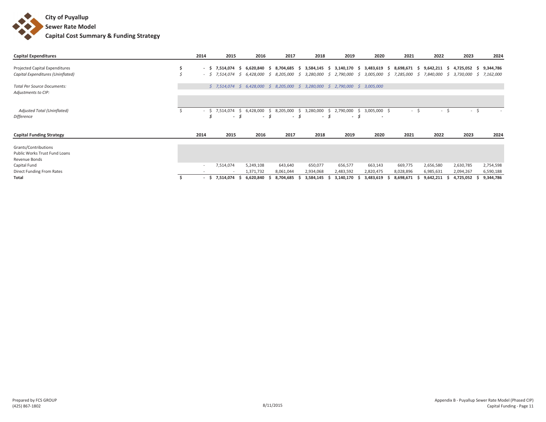

| <b>Capital Expenditures</b>                                            | 2014 |                        | 2015                     |           | 2016                      |    | 2017                         |           | 2018                      |    | 2019                                                                          |          | 2020                                     |   | 2021      |    | 2022                        |              | 2023                     |           | 2024                   |
|------------------------------------------------------------------------|------|------------------------|--------------------------|-----------|---------------------------|----|------------------------------|-----------|---------------------------|----|-------------------------------------------------------------------------------|----------|------------------------------------------|---|-----------|----|-----------------------------|--------------|--------------------------|-----------|------------------------|
| Projected Capital Expenditures<br>Capital Expenditures (Uninflated)    |      | - \$<br>$-5$ 7,514,074 | 7.514.074                | -S<br>S.  | 6.620.840 \$<br>6,428,000 | -S | 8,704,685 \$<br>8,205,000 \$ |           | 3,584,145 \$<br>3,280,000 | -S | 3,140,170 \$ 3,483,619 \$ 8,698,671 \$<br>2,790,000                           | -S       | 3,005,000                                | S | 7,285,000 | S. | $9,642,211$ \$<br>7,840,000 |              | 4,725,052<br>\$3,730,000 | -S.<br>S. | 9,344,786<br>7,162,000 |
| <b>Total Per Source Documents:</b><br>Adjustments to CIP:              |      |                        |                          |           |                           |    |                              |           |                           |    | $$7,514,074$ $$6,428,000$ $$8,205,000$ $$3,280,000$ $$2,790,000$ $$3,005,000$ |          |                                          |   |           |    |                             |              |                          |           |                        |
| Adjusted Total (Uninflated)<br>Difference                              |      | $-$ \$ 7,514,074       | $\sim$                   | -Ś.<br>-S | 6,428,000<br>- 5          | S. | 8,205,000<br>$\sim$          | -Ŝ<br>- 5 | 3,280,000<br>- S          | S. | 2,790,000<br>$\sim$                                                           | S.<br>-S | 3,005,000 \$<br>$\overline{\phantom{a}}$ |   | $\sim$    | S. | $\sim$                      | <sup>5</sup> | $\sim$                   | -Ś        |                        |
| <b>Capital Funding Strategy</b>                                        | 2014 |                        | 2015                     |           | 2016                      |    | 2017                         |           | 2018                      |    | 2019                                                                          |          | 2020                                     |   | 2021      |    | 2022                        |              | 2023                     |           | 2024                   |
| Grants/Contributions<br>Public Works Trust Fund Loans<br>Revenue Bonds |      |                        |                          |           |                           |    |                              |           |                           |    |                                                                               |          |                                          |   |           |    |                             |              |                          |           |                        |
| Capital Fund                                                           |      | $\sim$                 | 7,514,074                |           | 5,249,108                 |    | 643,640                      |           | 650,077                   |    | 656,577                                                                       |          | 663,143                                  |   | 669,775   |    | 2,656,580                   |              | 2,630,785                |           | 2,754,598              |
| Direct Funding From Rates                                              |      |                        | $\overline{\phantom{a}}$ |           | 1,371,732                 |    | 8,061,044                    |           | 2,934,068                 |    | 2,483,592                                                                     |          | 2,820,475                                |   | 8,028,896 |    | 6,985,631                   |              | 2,094,267                |           | 6,590,188              |
| Total                                                                  |      | - \$                   | 7,514,074                |           | 6,620,840                 |    | 8,704,685                    |           | 3,584,145                 |    | 3,140,170                                                                     |          | 3,483,619                                |   | 8,698,671 | -5 | 9,642,211                   |              | 4,725,052                |           | 9,344,786              |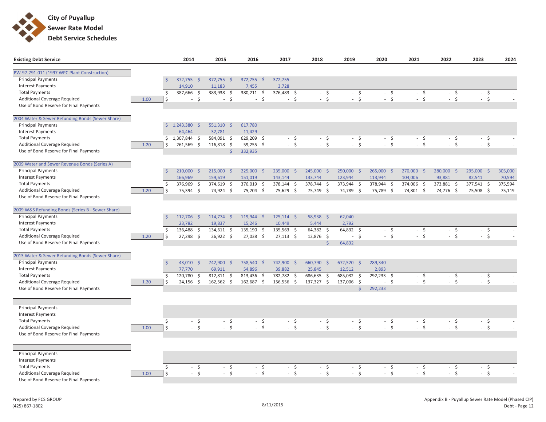

| <b>Existing Debt Service</b>                      |      | 2014                             | 2015                       | 2016                                      | 2017               | 2018                           | 2019           | 2020       | 2021       | 2022       | 2023                    | 2024    |
|---------------------------------------------------|------|----------------------------------|----------------------------|-------------------------------------------|--------------------|--------------------------------|----------------|------------|------------|------------|-------------------------|---------|
|                                                   |      |                                  |                            |                                           |                    |                                |                |            |            |            |                         |         |
| PW-97-791-011 (1997 WPC Plant Construction)       |      |                                  |                            |                                           |                    |                                |                |            |            |            |                         |         |
| <b>Principal Payments</b>                         |      | $\mathsf{S}$<br>372,755          | 372,755 \$<br>S.           | $372,755$ \$                              | 372,755            |                                |                |            |            |            |                         |         |
| <b>Interest Payments</b>                          |      | 14,910                           | 11,183                     | 7,455                                     | 3,728              |                                |                |            |            |            |                         |         |
| <b>Total Payments</b>                             |      | \$<br>387,666                    | 383,938<br>-\$             | 380,211<br>$\zeta$<br>-\$                 | 376,483<br>S.      | $-5$                           | $-5$           | $-5$       | $-5$       | $-5$       | $-5$                    |         |
| <b>Additional Coverage Required</b>               | 1.00 | \$                               | $-5$<br>$\sim$             | $\dot{\mathsf{S}}$<br>$-5$                | $-5$               | $-5$                           | $-5$           | $-5$       | $-5$       | $-5$       | $-5$                    |         |
| Use of Bond Reserve for Final Payments            |      |                                  |                            |                                           |                    |                                |                |            |            |            |                         |         |
| 2004 Water & Sewer Refunding Bonds (Sewer Share)  |      |                                  |                            |                                           |                    |                                |                |            |            |            |                         |         |
| <b>Principal Payments</b>                         |      | $\mathsf{S}$<br>1,243,380 \$     | $551,310$ \$               | 617,780                                   |                    |                                |                |            |            |            |                         |         |
| <b>Interest Payments</b>                          |      | 64,464                           | 32,781                     | 11,429                                    |                    |                                |                |            |            |            |                         |         |
| <b>Total Payments</b>                             |      | 1,307,844 \$<br>\$               | 584,091                    | $\ddot{\mathsf{S}}$<br>629,209<br>$\zeta$ | $-5$               | $-5$                           | $-5$           | $-5$       | $-5$       | $-5$       | $-5$                    | $\sim$  |
| <b>Additional Coverage Required</b>               | 1.20 | 261,569 \$<br>Ś.                 | 116,818 \$                 | 59,255 \$                                 | $-5$               | $-5$                           | $-5$           | $-5$       | $-5$       | $-5$       | $-5$                    |         |
| Use of Bond Reserve for Final Payments            |      |                                  |                            | $\mathsf{\dot{S}}$<br>332,935             |                    |                                |                |            |            |            |                         |         |
| 2009 Water and Sewer Revenue Bonds (Series A)     |      |                                  |                            |                                           |                    |                                |                |            |            |            |                         |         |
| <b>Principal Payments</b>                         |      | $\dot{\mathsf{S}}$<br>210,000 \$ | 215,000 \$                 | 225,000 \$                                | 235,000 \$         | 245,000 \$                     | 250,000 \$     | 265,000 \$ | 270,000 \$ | 280,000 \$ | 295,000<br>$\mathsf{S}$ | 305,000 |
| <b>Interest Payments</b>                          |      | 166,969                          | 159,619                    | 151,019                                   | 143,144            | 133,744                        | 123,944        | 113,944    | 104,006    | 93,881     | 82,541                  | 70,594  |
| <b>Total Payments</b>                             |      | \$<br>376,969 \$                 | 374,619 \$                 | 376,019 \$                                | 378,144 \$         | 378,744 \$                     | 373,944 \$     | 378,944 \$ | 374,006 \$ | 373,881 \$ | 377,541 \$              | 375,594 |
| <b>Additional Coverage Required</b>               | 1.20 | Ś.<br>75,394 \$                  | 74,924 \$                  | 75,204 \$                                 | 75,629 \$          | 75,749 \$                      | 74,789 \$      | 75,789 \$  | 74,801 \$  | 74,776 \$  | 75,508 \$               | 75,119  |
| Use of Bond Reserve for Final Payments            |      |                                  |                            |                                           |                    |                                |                |            |            |            |                         |         |
|                                                   |      |                                  |                            |                                           |                    |                                |                |            |            |            |                         |         |
| 2009 W&S Refunding Bonds (Series B - Sewer Share) |      |                                  |                            |                                           |                    |                                |                |            |            |            |                         |         |
| <b>Principal Payments</b>                         |      | $\mathsf{S}$<br>112,706 \$       | 114,774 \$                 | 119,944 \$                                | $125,114$ \$       | 58,938 \$                      | 62,040         |            |            |            |                         |         |
| <b>Interest Payments</b>                          |      | 23,782                           | 19,837                     | 15,246                                    | 10,449             | 5,444                          | 2,792          |            |            |            |                         |         |
| <b>Total Payments</b>                             |      | 136,488<br>\$                    | 134,611 \$<br>$\mathsf{S}$ | 135,190<br>$\zeta$                        | 135,563 \$         | 64,382 \$                      | 64,832 \$      | $-5$       | $-5$       | $-5$       | $-5$                    |         |
| <b>Additional Coverage Required</b>               | 1.20 | Ś.<br>27,298 \$                  | 26,922 \$                  | 27,038 \$                                 | $27,113$ \$        | 12,876 \$                      | $-5$           | $-5$       | $-5$       | $-5$       | $-5$                    | $\sim$  |
| Use of Bond Reserve for Final Payments            |      |                                  |                            |                                           |                    | $\dot{\mathsf{S}}$             | 64,832         |            |            |            |                         |         |
| 2013 Water & Sewer Refunding Bonds (Sewer Share)  |      |                                  |                            |                                           |                    |                                |                |            |            |            |                         |         |
| <b>Principal Payments</b>                         |      | $\dot{\mathsf{S}}$<br>43,010 \$  | 742,900 \$                 | 758,540 \$                                | 742,900 \$         | 660,790 \$                     | 672,520 \$     | 289,340    |            |            |                         |         |
| <b>Interest Payments</b>                          |      | 77,770                           | 69,911                     | 54,896                                    | 39,882             | 25,845                         | 12,512         | 2,893      |            |            |                         |         |
| <b>Total Payments</b>                             |      | 120,780<br>\$                    | $\zeta$<br>812,811 \$      | 813,436<br>$\zeta$                        | 782,782<br>$\zeta$ | 686,635<br>$\ddot{\mathsf{S}}$ | 685,032 \$     | 292,233 \$ | $-5$       | $-5$       | $-5$                    |         |
| <b>Additional Coverage Required</b>               | 1.20 | $24,156$ \$<br>Ś.                | 162,562 \$                 | 162,687 \$                                | 156,556 \$         | 137,327 \$                     | 137,006 \$     | $-5$       | $-5$       | $-5$       | $-5$                    |         |
| Use of Bond Reserve for Final Payments            |      |                                  |                            |                                           |                    |                                | $\overline{S}$ | 292,233    |            |            |                         |         |
|                                                   |      |                                  |                            |                                           |                    |                                |                |            |            |            |                         |         |
|                                                   |      |                                  |                            |                                           |                    |                                |                |            |            |            |                         |         |
| <b>Principal Payments</b>                         |      |                                  |                            |                                           |                    |                                |                |            |            |            |                         |         |
| <b>Interest Payments</b>                          |      |                                  |                            |                                           |                    |                                |                |            |            |            |                         |         |
| <b>Total Payments</b>                             |      | \$                               | - \$                       | $-5$<br>$-5$                              | - \$               | $-5$                           | $-5$           | $-5$       | $-5$       | $-5$       | $-5$                    |         |
| Additional Coverage Required                      | 1.00 | \$                               | $-5$                       | $-5$<br>$-5$                              | $-5$               | $-5$                           | $-5$           | $-5$       | $-5$       | $-5$       | $-5$                    |         |
| Use of Bond Reserve for Final Payments            |      |                                  |                            |                                           |                    |                                |                |            |            |            |                         |         |
|                                                   |      |                                  |                            |                                           |                    |                                |                |            |            |            |                         |         |
| <b>Principal Payments</b>                         |      |                                  |                            |                                           |                    |                                |                |            |            |            |                         |         |
| <b>Interest Payments</b>                          |      |                                  |                            |                                           |                    |                                |                |            |            |            |                         |         |
| <b>Total Payments</b>                             |      | $\zeta$                          | $-5$<br>$\sim$             | $\ddot{\mathsf{S}}$<br>$\zeta$<br>÷.      | $-5$               | $-5$                           | $-5$           | $-5$       | $-5$       | $-5$       | $-5$                    |         |
| Additional Coverage Required                      | 1.00 | Ś                                | $-5$<br>$\sim$             | S.<br>$-5$                                | $-5$               | $-5$                           | $-5$           | $-5$       | $-5$       | $-5$       | $-5$                    | $\sim$  |
| Use of Bond Reserve for Final Payments            |      |                                  |                            |                                           |                    |                                |                |            |            |            |                         |         |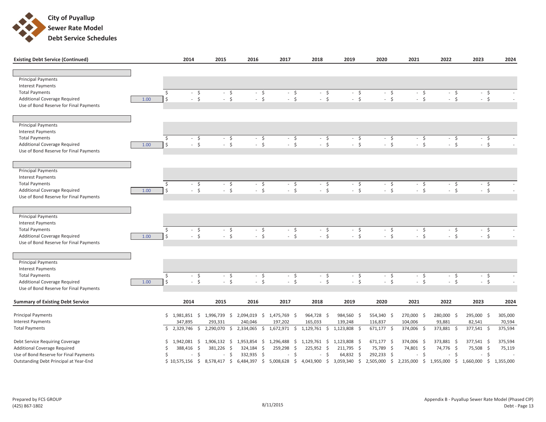

| <b>Existing Debt Service (Continued)</b>                        |                  | 2014                            | 2015                 | 2016                                   | 2017                    | 2018          | 2019                                                          | 2020         | 2021         | 2022                           | 2023            | 2024    |
|-----------------------------------------------------------------|------------------|---------------------------------|----------------------|----------------------------------------|-------------------------|---------------|---------------------------------------------------------------|--------------|--------------|--------------------------------|-----------------|---------|
|                                                                 |                  |                                 |                      |                                        |                         |               |                                                               |              |              |                                |                 |         |
| <b>Principal Payments</b>                                       |                  |                                 |                      |                                        |                         |               |                                                               |              |              |                                |                 |         |
| <b>Interest Payments</b>                                        |                  |                                 |                      |                                        |                         |               |                                                               |              |              |                                |                 |         |
| <b>Total Payments</b><br><b>Additional Coverage Required</b>    | Ŝ.<br>\$<br>1.00 | $-5$<br>$-5$                    | $-5$<br>$-5$         | $-5$<br>$-5$                           | $-5$<br>$-5$            |               | $-5$<br>$-5$<br>$-5$<br>$-5$                                  | $-5$<br>$-5$ | $-5$<br>$-5$ | $-5$<br>$-5$                   | $-5$<br>$-5$    |         |
| Use of Bond Reserve for Final Payments                          |                  |                                 |                      |                                        |                         |               |                                                               |              |              |                                |                 |         |
|                                                                 |                  |                                 |                      |                                        |                         |               |                                                               |              |              |                                |                 |         |
|                                                                 |                  |                                 |                      |                                        |                         |               |                                                               |              |              |                                |                 |         |
| <b>Principal Payments</b>                                       |                  |                                 |                      |                                        |                         |               |                                                               |              |              |                                |                 |         |
| <b>Interest Payments</b>                                        |                  |                                 |                      |                                        |                         |               |                                                               |              |              |                                |                 |         |
| <b>Total Payments</b><br><b>Additional Coverage Required</b>    | \$<br>Ŝ.<br>1.00 | $-5$<br>$-5$                    | $-5$<br>$-5$         | $-5$<br>$-5$                           | $-5$<br>$-5$            | $\mathcal{L}$ | $-5$<br>$-5$<br>$\zeta$<br>$-5$                               | $-5$<br>$-5$ | $-5$<br>$-5$ | $-5$<br>$-5$                   | $-5$<br>$-5$    |         |
| Use of Bond Reserve for Final Payments                          |                  |                                 |                      |                                        |                         |               |                                                               |              |              |                                |                 |         |
|                                                                 |                  |                                 |                      |                                        |                         |               |                                                               |              |              |                                |                 |         |
|                                                                 |                  |                                 |                      |                                        |                         |               |                                                               |              |              |                                |                 |         |
| <b>Principal Payments</b>                                       |                  |                                 |                      |                                        |                         |               |                                                               |              |              |                                |                 |         |
| <b>Interest Payments</b><br><b>Total Payments</b>               | Ŝ.               |                                 |                      |                                        |                         |               |                                                               |              |              |                                |                 |         |
| <b>Additional Coverage Required</b>                             | 1.00<br>\$       | $-5$<br>$-5$                    | $-5$<br>$-5$         | $-5$<br>$-5$                           | $-5$<br>$-5$            |               | $-5$<br>$-5$<br>$-5$<br>$-5$                                  | $-5$<br>$-5$ | $-5$<br>$-5$ | $-5$<br>$-5$                   | $-5$<br>$-5$    | $\sim$  |
| Use of Bond Reserve for Final Payments                          |                  |                                 |                      |                                        |                         |               |                                                               |              |              |                                |                 |         |
|                                                                 |                  |                                 |                      |                                        |                         |               |                                                               |              |              |                                |                 |         |
|                                                                 |                  |                                 |                      |                                        |                         |               |                                                               |              |              |                                |                 |         |
| <b>Principal Payments</b><br><b>Interest Payments</b>           |                  |                                 |                      |                                        |                         |               |                                                               |              |              |                                |                 |         |
| <b>Total Payments</b>                                           | \$               | $-5$                            | $-5$                 | $-5$                                   | $-5$                    |               | $-5$<br>$-5$                                                  | $-5$         | $-5$         | $-5$                           | $-5$            |         |
| Additional Coverage Required                                    | $\zeta$<br>1.00  | $-5$                            | $-5$                 | $-5$                                   | $-5$                    |               | $-5$<br>$-5$                                                  | $-5$         | $-5$         | $-5$                           | $-5$            |         |
| Use of Bond Reserve for Final Payments                          |                  |                                 |                      |                                        |                         |               |                                                               |              |              |                                |                 |         |
|                                                                 |                  |                                 |                      |                                        |                         |               |                                                               |              |              |                                |                 |         |
| <b>Principal Payments</b>                                       |                  |                                 |                      |                                        |                         |               |                                                               |              |              |                                |                 |         |
| <b>Interest Payments</b>                                        |                  |                                 |                      |                                        |                         |               |                                                               |              |              |                                |                 |         |
| <b>Total Payments</b>                                           | $\zeta$          | $-5$                            | $-5$                 | $-5$                                   | $-5$                    |               | $-5$<br>$-5$                                                  | $-5$         | $-5$         | $-5$                           | $-5$            |         |
| <b>Additional Coverage Required</b>                             | \$<br>1.00       | $-5$                            | $-5$                 | $-5$                                   | $-5$                    |               | $-5$<br>$-5$                                                  | $-5$         | $-5$         | $-5$                           | $-5$            |         |
| Use of Bond Reserve for Final Payments                          |                  |                                 |                      |                                        |                         |               |                                                               |              |              |                                |                 |         |
| <b>Summary of Existing Debt Service</b>                         |                  | 2014                            | 2015                 | 2016                                   | 2017                    | 2018          | 2019                                                          | 2020         | 2021         | 2022                           | 2023            | 2024    |
| <b>Principal Payments</b>                                       |                  | $$1,981,851$ \$                 | 1,996,739 \$         | 2,094,019                              | $$1,475,769$ \$         | 964,728 \$    | 984,560 \$                                                    | 554,340 \$   | 270,000 \$   | 280,000 \$                     | 295,000 \$      | 305,000 |
| <b>Interest Payments</b>                                        |                  | 347,895                         | 293,331              | 240,046                                | 197,202                 | 165,033       | 139,248                                                       | 116,837      | 104,006      | 93,881                         | 82,541          | 70,594  |
| <b>Total Payments</b>                                           | \$               | 2,329,746<br>$\ddot{\varsigma}$ | 2,290,070<br>$\zeta$ | $\overline{\overline{5}}$<br>2,334,065 | 1,672,971 \$            | 1,129,761     | 1,123,808<br>$\overline{\overline{5}}$<br>$\ddot{\mathsf{S}}$ | $671,177$ \$ | 374,006 \$   | 373,881<br>$\ddot{\mathsf{s}}$ | 377,541<br>- \$ | 375,594 |
|                                                                 | \$               | 1,942,081 \$                    | 1,906,132 \$         | 1,953,854                              | \$1,296,488             | 1,129,761     | 1,123,808 \$<br>\$                                            | $671,177$ \$ | 374,006 \$   | 373,881 \$                     | 377,541 \$      | 375,594 |
| Debt Service Requiring Coverage<br>Additional Coverage Required | Ś                | 388,416 \$                      | 381,226 \$           | 324,184 \$                             | 259,298<br>$\mathsf{S}$ | 225,952       | $\mathsf{S}$<br>211,795 \$                                    | 75,789 \$    | 74,801 \$    | 74,776 \$                      | 75,508 \$       | 75,119  |
| Use of Bond Reserve for Final Payments                          | Ś                | $\ddot{\varsigma}$<br>$\sim$    | $-5$                 | 332,935 \$                             | $-5$                    | $\sim$        | $\zeta$<br>64,832 \$                                          | 292,233 \$   | $-5$         | $-5$                           | - \$            | $\sim$  |

Outstanding Debt Principal at Year-End 10,575,156

\$ 8,578,417 \$ 6,484,397 \$ 5,008,628 \$ 4,043,900 \$ 3,059,340 \$ 2,505,000 \$ 2,235,000 \$ 1,955,000 \$ 1,660,000 \$ 1,355,000 \$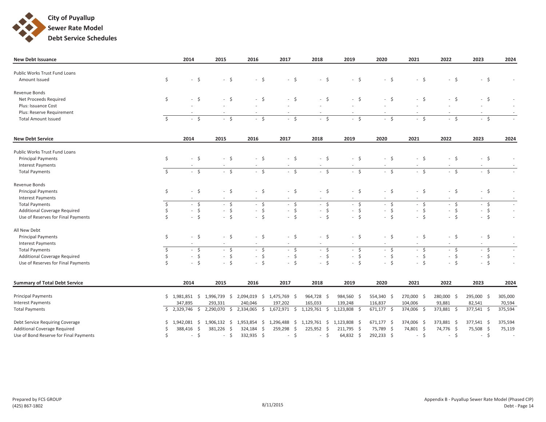

| <b>New Debt Issuance</b>               |               | 2014                           | 2015                              | 2016               | 2017                      | 2018                           | 2019                     | 2020                   | 2021                     | 2022       | 2023                          | 2024    |
|----------------------------------------|---------------|--------------------------------|-----------------------------------|--------------------|---------------------------|--------------------------------|--------------------------|------------------------|--------------------------|------------|-------------------------------|---------|
| Public Works Trust Fund Loans          |               |                                |                                   |                    |                           |                                |                          |                        |                          |            |                               |         |
| Amount Issued                          | $\mathsf{S}$  | $-5$                           | $-5$                              | $-5$               | $-5$                      | $-5$                           | $-5$                     | $-5$                   | $-5$                     | $-5$       | $-5$                          |         |
|                                        |               |                                |                                   |                    |                           |                                |                          |                        |                          |            |                               |         |
| Revenue Bonds                          |               |                                |                                   |                    |                           |                                |                          |                        |                          |            |                               |         |
| Net Proceeds Required                  | \$            | $-5$                           | $-5$                              | $-5$               | $-5$                      | $-5$                           | $-5$                     | $-5$                   | $-5$                     | $-5$       | S.<br>$\sim$                  |         |
| Plus: Issuance Cost                    |               |                                |                                   |                    |                           |                                |                          |                        |                          |            |                               |         |
| Plus: Reserve Requirement              |               |                                |                                   |                    |                           |                                |                          |                        | $\overline{\phantom{a}}$ |            | $\sim$                        |         |
| <b>Total Amount Issued</b>             | Ŝ.            | $-5$                           | S.<br>$\mathcal{L}_{\mathcal{A}}$ | $-5$               | $-5$                      | $-5$                           | $-5$                     | $-5$                   | $-5$                     | $-5$       | $-5$                          |         |
| <b>New Debt Service</b>                |               | 2014                           | 2015                              | 2016               | 2017                      | 2018                           | 2019                     | 2020                   | 2021                     | 2022       | 2023                          | 2024    |
|                                        |               |                                |                                   |                    |                           |                                |                          |                        |                          |            |                               |         |
| Public Works Trust Fund Loans          |               |                                |                                   |                    |                           |                                |                          |                        |                          |            |                               |         |
| <b>Principal Payments</b>              | \$            | $-5$                           | $-5$                              | $-5$               | $-5$                      | $-5$                           | $-5$                     | $-5$                   | $-5$                     | $-5$       | $\ddot{\mathsf{S}}$<br>$\sim$ |         |
| <b>Interest Payments</b>               |               |                                | $\sim$                            |                    |                           |                                |                          |                        | $\sim$                   |            | $\overline{\phantom{a}}$      |         |
| <b>Total Payments</b>                  | $\mathsf{S}$  | $-5$                           | $-5$                              | $-5$               | $-5$                      | $-5$                           | $-5$                     | $-5$                   | $-5$                     | $-5$       | $-5$                          |         |
| Revenue Bonds                          |               |                                |                                   |                    |                           |                                |                          |                        |                          |            |                               |         |
| <b>Principal Payments</b>              | $\mathsf{S}$  | $-5$                           | $-5$                              | $-5$               | $-5$                      | $-5$                           | $-5$                     | $-5$                   | $-5$                     | $-5$       | $\ddot{\varsigma}$<br>$\sim$  | $\sim$  |
| <b>Interest Payments</b>               |               |                                |                                   |                    |                           |                                |                          |                        |                          |            | $\overline{\phantom{a}}$      | $\sim$  |
| <b>Total Payments</b>                  | \$            | $-5$                           | $-5$                              | $-5$               | $-5$                      | $-5$                           | $-5$                     | $-5$                   | $-5$                     | $-5$       | $-5$                          | $\sim$  |
| Additional Coverage Required           | \$            | $-5$                           | $-5$                              | $-5$               | $-5$                      | $-5$                           | $-5$                     | $-5$                   | $-5$                     | $-5$       | $\varsigma$<br>$\sim$         | $\sim$  |
| Use of Reserves for Final Payments     |               | $-5$                           | $-5$                              | $-5$               | $-5$                      | $-5$                           | $-5$                     | $-5$                   | $-5$                     | $-5$       | $-5$                          | $\sim$  |
| All New Debt                           |               |                                |                                   |                    |                           |                                |                          |                        |                          |            |                               |         |
| <b>Principal Payments</b>              | \$            | $-5$                           | $-5$                              | $-5$               | $-5$                      | $-5$                           | $-5$                     | $-5$                   | $-5$                     | $-5$       | $\ddot{\mathsf{S}}$<br>$\sim$ | $\sim$  |
| <b>Interest Payments</b>               |               | $\sim$                         | $\sim$                            | $\sim$             | $\sim$                    | $\overline{\phantom{a}}$       | $\overline{\phantom{a}}$ | $\sim$                 | $\sim$                   | $\sim$     | $\sim$                        | $\sim$  |
| <b>Total Payments</b>                  | \$            | $-5$                           | $-5$                              | $-5$               | $-5$                      | $-5$                           | $-5$                     | $-5$                   | $-5$                     | $-5$       | $-5$                          | $\sim$  |
| Additional Coverage Required           | \$            | $-5$                           | $-5$                              | $-5$               | $-5$                      | $-5$                           | $-5$                     | $-5$                   | $-5$                     | $-5$       | $-5$                          | $\sim$  |
| Use of Reserves for Final Payments     | <sup>\$</sup> | $-5$                           | S.<br>$\sim$                      | S.<br>$\sim$       | $-5$                      | $-5$                           | $\mathsf{S}$<br>$\sim$   | $\mathsf{S}$<br>$\sim$ | $-5$                     | $-5$       | $-5$                          | $\sim$  |
| <b>Summary of Total Debt Service</b>   |               | 2014                           | 2015                              | 2016               | 2017                      | 2018                           | 2019                     | 2020                   | 2021                     | 2022       | 2023                          | 2024    |
|                                        |               |                                |                                   |                    |                           |                                |                          |                        |                          |            |                               |         |
| <b>Principal Payments</b>              |               |                                | $$1,981,851$ $$1,996,739$ \$      |                    | 2,094,019 \$ 1,475,769 \$ | 964,728 \$                     | 984,560 \$               | 554,340 \$             | 270,000 \$               | 280,000 \$ | 295,000 \$                    | 305,000 |
| <b>Interest Payments</b>               |               | 347,895                        | 293,331                           | 240,046            | 197,202                   | 165,033                        | 139,248                  | 116,837                | 104,006                  | 93,881     | 82,541                        | 70,594  |
| <b>Total Payments</b>                  |               | \$2,329,746<br>$\zeta$         | 2,290,070<br>$\mathsf{S}$         |                    | 2,334,065 \$ 1,672,971 \$ | $1,129,761$ \$                 | 1,123,808<br>- \$        | 671,177 \$             | 374,006 \$               | 373,881 \$ | 377,541 \$                    | 375,594 |
| Debt Service Requiring Coverage        |               | 1,942,081 \$                   | $1,906,132 \quad$ \$              | 1,953,854 \$       | 1,296,488 \$              | 1,129,761 \$ 1,123,808         | - \$                     | 671,177 \$             | 374,006 \$               | 373,881 \$ | 377,541 \$                    | 375,594 |
| <b>Additional Coverage Required</b>    |               | $\ddot{\mathsf{S}}$<br>388,416 | 381,226<br>-\$                    | 324,184<br>$\zeta$ | 259,298<br>$\mathsf{S}$   | 225,952<br>$\ddot{\mathsf{S}}$ | 211,795 \$               | 75,789 \$              | 74,801 \$                | 74,776 \$  | 75,508 \$                     | 75,119  |
| Use of Bond Reserve for Final Payments | Ŝ.            | $-5$                           | $\zeta$<br>$\sim$                 | 332,935 \$         | $-5$                      | $\zeta$<br>$\sim$              | $64,832$ \$              | 292,233 \$             | S.<br>$\sim$             | $-5$       | $\ddot{\mathsf{S}}$<br>$\sim$ | $\sim$  |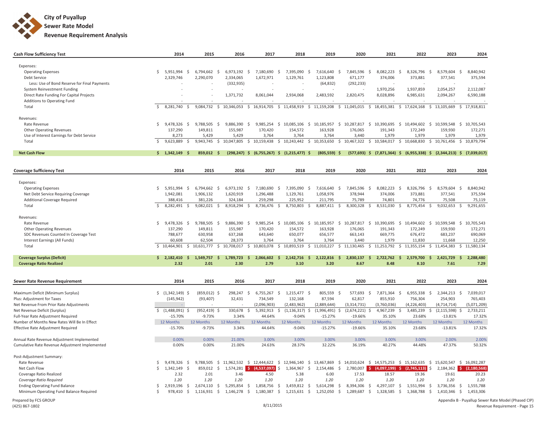

| <b>Cash Flow Sufficiency Test</b>              |    | 2014              | 2015                            |                    | 2016                    |                                      | 2017   | 2018                                             |                     | 2019                     |                           | 2020             | 2021                                                                                                        |                    | 2022                         |                     | 2023                     |                     | 2024                        |
|------------------------------------------------|----|-------------------|---------------------------------|--------------------|-------------------------|--------------------------------------|--------|--------------------------------------------------|---------------------|--------------------------|---------------------------|------------------|-------------------------------------------------------------------------------------------------------------|--------------------|------------------------------|---------------------|--------------------------|---------------------|-----------------------------|
|                                                |    |                   |                                 |                    |                         |                                      |        |                                                  |                     |                          |                           |                  |                                                                                                             |                    |                              |                     |                          |                     |                             |
| Expenses:                                      |    |                   |                                 |                    |                         |                                      |        |                                                  |                     |                          |                           |                  |                                                                                                             |                    |                              |                     |                          |                     |                             |
| <b>Operating Expenses</b>                      | Ś. | 5,951,994         | -\$<br>6,794,662                | -\$                | 6,973,192               | $\mathsf{S}$<br>7,180,690            | -\$    | 7,395,090                                        | -\$                 | 7,616,640 \$             |                           | 7,845,596        | $\mathsf{S}$<br>8,082,223                                                                                   | -\$                | 8,326,796                    | \$                  | 8,579,604                | -\$                 | 8,840,942                   |
| Debt Service                                   |    | 2,329,746         | 2,290,070                       |                    | 2,334,065               | 1,672,971                            |        | 1,129,761                                        |                     | 1,123,808                |                           | 671,177          | 374,006                                                                                                     |                    | 373,881                      |                     | 377,541                  |                     | 375,594                     |
| Less: Use of Bond Reserve for Final Payments   |    |                   |                                 |                    | (332, 935)              |                                      |        |                                                  |                     | (64, 832)                |                           | (292, 233)       |                                                                                                             |                    |                              |                     |                          |                     |                             |
| System Reinvestment Funding                    |    |                   |                                 |                    |                         |                                      |        |                                                  |                     |                          |                           |                  | 1,970,256                                                                                                   |                    | 1,937,859                    |                     | 2,054,257                |                     | 2,112,087                   |
| Direct Rate Funding For Capital Projects       |    |                   |                                 |                    | 1,371,732               | 8,061,044                            |        | 2,934,068                                        |                     | 2,483,592                |                           | 2,820,475        | 8,028,896                                                                                                   |                    | 6,985,631                    |                     | 2,094,267                |                     | 6,590,188                   |
| Additions to Operating Fund                    |    |                   |                                 |                    |                         |                                      |        |                                                  |                     |                          |                           |                  |                                                                                                             |                    |                              |                     |                          |                     |                             |
| Total                                          | Ŝ. | 8,281,740         | 9,084,732<br>Ŝ.                 | $\mathsf{S}$       | 10,346,053              | 16,914,705<br>$\mathsf{S}$           |        | $\mathsf{S}$<br>11,458,919                       |                     | \$11,159,208             | \$11,045,015              |                  | 18,455,381<br>$\mathsf{S}$                                                                                  | $\mathsf{S}$       | 17,624,168                   | \$                  | 13,105,669               | \$                  | 17,918,811                  |
| Revenues:                                      |    |                   |                                 |                    |                         |                                      |        |                                                  |                     |                          |                           |                  |                                                                                                             |                    |                              |                     |                          |                     |                             |
| Rate Revenue                                   | \$ | 9,478,326 \$      | 9,788,505 \$                    |                    | $9,886,390$ \$          |                                      |        |                                                  |                     |                          |                           |                  | 9,985,254 \$ 10,085,106 \$ 10,185,957 \$ 10,287,817 \$ 10,390,695 \$ 10,494,602 \$ 10,599,548 \$ 10,705,543 |                    |                              |                     |                          |                     |                             |
| <b>Other Operating Revenues</b>                |    | 137,290           | 149,811                         |                    | 155,987                 | 170,420                              |        | 154,572                                          |                     | 163,928                  |                           | 176,065          | 191,343                                                                                                     |                    | 172,249                      |                     | 159,930                  |                     | 172,271                     |
| Use of Interest Earnings for Debt Service      |    | 8,273             | 5,429                           |                    | 5,429                   | 3,764                                |        | 3,764                                            |                     | 3,764                    |                           | 3.440            | 1.979                                                                                                       |                    | 1.979                        |                     | 1.979                    |                     | 1.979                       |
| Total                                          | Ŝ. | 9,623,889         | $\ddot{\mathsf{S}}$             |                    | 9,943,745 \$ 10,047,805 | \$10,159,438                         |        |                                                  |                     |                          |                           |                  | \$10,243,442 \$10,353,650 \$10,467,322 \$10,584,017                                                         |                    | \$10,668,830                 |                     | \$10,761,456             |                     | \$10,879,794                |
|                                                |    |                   |                                 |                    |                         |                                      |        |                                                  |                     |                          |                           |                  |                                                                                                             |                    |                              |                     |                          |                     |                             |
| <b>Net Cash Flow</b>                           |    | $$1,342,149$ \$   | 859,012 \$                      |                    |                         |                                      |        | $(298,247)$ \$ $(6,755,267)$ \$ $(1,215,477)$ \$ |                     | $(805, 559)$ \$          |                           |                  | (577,693) \$ (7,871,364) \$ (6,955,338) \$ (2,344,213) \$ (7,039,017)                                       |                    |                              |                     |                          |                     |                             |
|                                                |    |                   |                                 |                    |                         |                                      |        |                                                  |                     |                          |                           |                  |                                                                                                             |                    |                              |                     |                          |                     |                             |
| <b>Coverage Sufficiency Test</b>               |    | 2014              |                                 | 2015               | 2016                    |                                      | 2017   | 2018                                             |                     | 2019                     |                           | 2020             | 2021                                                                                                        |                    | 2022                         |                     | 2023                     |                     | 2024                        |
| Expenses:                                      |    |                   |                                 |                    |                         |                                      |        |                                                  |                     |                          |                           |                  |                                                                                                             |                    |                              |                     |                          |                     |                             |
|                                                | \$ | 5,951,994 \$      | 6,794,662 \$                    |                    | $6,973,192$ \$          | 7,180,690 \$                         |        | 7,395,090 \$                                     |                     | 7,616,640 \$             |                           | 7,845,596        | $\ddot{\mathsf{S}}$<br>8,082,223 \$                                                                         |                    | 8,326,796                    | \$                  | 8,579,604                | \$                  | 8,840,942                   |
| <b>Operating Expenses</b>                      |    | 1,942,081         | 1,906,132                       |                    | 1,620,919               | 1,296,488                            |        | 1,129,761                                        |                     | 1,058,976                |                           | 378,944          | 374,006                                                                                                     |                    | 373,881                      |                     | 377,541                  |                     | 375,594                     |
| Net Debt Service Requiring Coverage            |    | 388,416           | 381,226                         |                    | 324,184                 | 259,298                              |        | 225,952                                          |                     | 211,795                  |                           |                  | 74,801                                                                                                      |                    | 74,776                       |                     |                          |                     |                             |
| <b>Additional Coverage Required</b>            |    |                   |                                 |                    |                         |                                      |        |                                                  |                     |                          |                           | 75,789           |                                                                                                             |                    |                              |                     | 75,508                   |                     | 75,119                      |
| Total                                          | \$ | 8,282,491 \$      | 9,082,021                       | $\ddot{\varsigma}$ | 8,918,294               | $\ddot{\varsigma}$<br>8,736,476 \$   |        | 8,750,803                                        | $\ddot{\varsigma}$  | 8,887,411 \$             |                           | 8,300,328        | $\ddot{\mathsf{S}}$<br>8,531,030 \$                                                                         |                    | 8,775,454                    | $\ddot{\varsigma}$  | 9,032,653                | \$                  | 9,291,655                   |
| Revenues:                                      |    |                   |                                 |                    |                         |                                      |        |                                                  |                     |                          |                           |                  |                                                                                                             |                    |                              |                     |                          |                     |                             |
| Rate Revenue                                   | Ŝ  | $9,478,326$ \$    | $9,788,505$ \$                  |                    | 9,886,390               | \$<br>9,985,254                      |        | 10,085,106<br>$\frac{1}{2}$                      | $\frac{1}{2}$       | 10,185,957 \$ 10,287,817 |                           |                  | \$10,390,695                                                                                                | $\ddot{\varsigma}$ | 10,494,602 \$                |                     | 10,599,548               | $\ddot{\mathsf{S}}$ | 10,705,543                  |
| <b>Other Operating Revenues</b>                |    | 137,290           | 149,811                         |                    | 155,987                 | 170,420                              |        | 154,572                                          |                     | 163,928                  |                           | 176,065          | 191,343                                                                                                     |                    | 172,249                      |                     | 159,930                  |                     | 172,271                     |
| SDC Revenues Counted In Coverage Test          |    | 788,677           | 630,958                         |                    | 637,268                 | 643,640                              |        | 650,077                                          |                     | 656,577                  |                           | 663,143          | 669,775                                                                                                     |                    | 676,472                      |                     | 683,237                  |                     | 690,069                     |
| Interest Earnings (All Funds)                  |    | 60,608            | 62,504                          |                    | 28,373                  | 3,764                                |        | 3,764                                            |                     | 3,764                    |                           | 3,440            | 1,979                                                                                                       |                    | 11,830                       |                     | 11,668                   |                     | 12,250                      |
| Total                                          | Ŝ. | 10,464,901        | S.<br>10,631,777                |                    | \$10,708,017            | \$10,803,078                         |        | \$10,893,519                                     |                     | \$11,010,227             | \$11,130,465              |                  | \$11,253,792                                                                                                |                    | \$11,355,154                 |                     | \$11,454,383             |                     | \$11,580,134                |
| <b>Coverage Surplus (Deficit)</b>              |    | $$2,182,410$ \$   | $1,549,757$ \$                  |                    | 1,789,723               | 2,066,602<br>\$                      | $\sim$ | 2,142,716                                        | -\$                 | $2,122,816$ \$           | 2,830,137                 |                  | 2,722,762<br>\$                                                                                             | -\$                | 2,579,700                    | \$                  | $2,421,729$ \$           |                     | 2,288,480                   |
| <b>Coverage Ratio Realized</b>                 |    | 2.32              | 2.01                            |                    | 2.30                    | 2.79                                 |        | 3.10                                             |                     | 3.20                     |                           | 8.67             | 8.48                                                                                                        |                    | 8.10                         |                     | 7.61                     |                     | 7.29                        |
|                                                |    |                   |                                 |                    |                         |                                      |        |                                                  |                     |                          |                           |                  |                                                                                                             |                    |                              |                     |                          |                     |                             |
| Sewer Rate Revenue Requirement                 |    | 2014              | 2015                            |                    | 2016                    |                                      | 2017   | 2018                                             |                     | 2019                     |                           | 2020             | 2021                                                                                                        |                    | 2022                         |                     | 2023                     |                     | 2024                        |
|                                                |    |                   |                                 |                    |                         |                                      |        |                                                  |                     |                          |                           |                  |                                                                                                             |                    |                              |                     |                          |                     |                             |
| Maximum Deficit (Minimum Surplus)              |    | $$(1,342,149)$ \$ | $(859,012)$ \$                  |                    | 298,247                 | $\ddot{\varsigma}$<br>$6,755,267$ \$ |        | $1,215,477$ \$                                   |                     | 805,559 \$               |                           | 577,693          | $\ddot{\mathsf{S}}$<br>7,871,364                                                                            | $\ddot{\varsigma}$ | $6,955,338$ \$               |                     | 2,344,213 \$             |                     | 7,039,017                   |
| Plus: Adjustment for Taxes                     |    | (145, 942)        | (93, 407)                       |                    | 32,431                  | 734,549                              |        | 132,168                                          |                     | 87,594                   |                           | 62,817           | 855,910                                                                                                     |                    | 756,304                      |                     | 254,903                  |                     | 765,403                     |
| Net Revenue From Prior Rate Adjustments        |    |                   |                                 |                    |                         | (2,096,903)                          |        | (2,483,962)                                      |                     | (2,889,644)              | (3,314,731)               |                  | (3,760,036)                                                                                                 |                    | (4, 226, 403)                |                     | (4,714,714)              |                     | (5,071,209)                 |
| Net Revenue Deficit (Surplus)                  |    | $$(1,488,091)$ \$ | $(952, 419)$ \$                 |                    | 330,678                 | $\ddot{\mathsf{S}}$<br>5,392,913     |        | \$<br>$(1, 136, 317)$ \$                         |                     | $(1,996,491)$ \$         |                           | $(2,674,221)$ \$ | 4,967,239                                                                                                   | \$                 | 3,485,239                    | \$                  | $(2, 115, 598)$ \$       |                     | 2,733,211                   |
| Full-Year Rate Adjustment Required             |    | $-15.70%$         | $-9.73%$                        |                    | 3.34%                   | 44.64%                               |        | $-9.04%$                                         |                     | $-15.27%$                |                           | $-19.66%$        | 35.10%                                                                                                      |                    | 23.68%                       |                     | $-13.81%$                |                     | 17.32%                      |
| Number of Months New Rates Will Be In Effect   |    | 12 Months         | 12 Months                       |                    | 12 Months               | 12 Months                            |        | 12 Months                                        |                     | 12 Months                | 12 Months                 |                  | 12 Months                                                                                                   |                    | 12 Months                    |                     | 12 Months                |                     | 12 Months                   |
| Effective Rate Adjustment Required             |    | $-15.70%$         | $-9.73%$                        |                    | 3.34%                   | 44.64%                               |        | $-9.04%$                                         |                     | $-15.27%$                |                           | $-19.66%$        | 35.10%                                                                                                      |                    | 23.68%                       |                     | $-13.81%$                |                     | 17.32%                      |
| Annual Rate Revenue Adjustment Implemented     |    | 0.00%             | 0.00%                           |                    | 21.00%                  |                                      | 3.00%  | 3.00%                                            |                     | 3.00%                    |                           | 3.00%            | 3.00%                                                                                                       |                    | 3.00%                        |                     | 2.00%                    |                     | 2.00%                       |
| Cumulative Rate Revenue Adjustment Implemented |    | 0.00%             | 0.00%                           |                    | 21.00%                  | 24.63%                               |        | 28.37%                                           |                     | 32.22%                   |                           | 36.19%           | 40.27%                                                                                                      |                    | 44.48%                       |                     | 47.37%                   |                     | 50.32%                      |
| Post-Adjustment Summary:                       |    |                   |                                 |                    |                         |                                      |        |                                                  |                     |                          |                           |                  |                                                                                                             |                    |                              |                     |                          |                     |                             |
| Rate Revenue                                   | Ŝ. | 9,478,326         | 9,788,505<br>-\$                | \$                 |                         |                                      |        | 11,962,532 \$ 12,444,622 \$ 12,946,140           | $\frac{1}{2}$       | 13,467,869               | $\ddot{\mathsf{S}}$       |                  | 14,010,624 \$ 14,575,253 \$ 15,162,635                                                                      |                    |                              | $\ddot{\mathsf{S}}$ | 15,620,547 \$ 16,092,287 |                     |                             |
| Net Cash Flow                                  | Ś. | 1,342,149 \$      | 859,012                         | $\ddot{\varsigma}$ |                         | $1,574,281$ \$ $(4,537,097)$ \$      |        | 1,364,967                                        | $\ddot{s}$          | 2,154,486                | $\ddot{\mathsf{s}}$       |                  | 2,780,007 \$ (4,097,199)                                                                                    |                    | $\frac{1}{2}$ (2,745,113) \$ |                     | 2,184,362 \$ (2,180,568) |                     |                             |
| Coverage Ratio Realized                        |    | 2.32              | 2.01                            |                    | 3.46                    |                                      | 4.50   | 5.38                                             |                     | 6.00                     |                           | 17.53            | 18.57                                                                                                       |                    | 19.36                        |                     | 19.61                    |                     | 20.23                       |
| Coverage Ratio Required                        |    | 1.20              | 1.20                            |                    | 1.20                    | 1.20                                 |        | 1.20                                             |                     | 1.20                     |                           | 1.20             | 1.20                                                                                                        |                    | 1.20                         |                     | 1.20                     |                     | 1.20                        |
| <b>Ending Operating Fund Balance</b>           | Ś. | 2.919.196         | 2,674,110<br>\$                 | $\ddot{\varsigma}$ | 5,295,854               | $\frac{1}{2}$<br>1,858,756           |        | $\ddot{\varsigma}$<br>3,459,812                  | $\ddot{\mathsf{S}}$ | 5,614,298                | $\frac{1}{2}$             | 8,394,306        | $\ddot{\mathsf{S}}$<br>4,297,107                                                                            | $\ddot{\varsigma}$ | 1,551,994                    | $\frac{1}{2}$       | 3,736,356                | \$                  | 1,555,788                   |
| Minimum Operating Fund Balance Required        | Ś. | 978,410           | $\dot{\mathsf{S}}$<br>1,116,931 | $\dot{\mathsf{S}}$ | 1,146,278               | $\mathsf{S}$<br>1,180,387            |        | $\mathsf{S}$<br>1,215,631                        | $\ddot{\mathsf{s}}$ | 1,252,050                | $\mathsf{S}$<br>1,289,687 |                  | $\mathsf{S}$<br>1,328,585                                                                                   | $\dot{\mathsf{s}}$ | 1,368,788                    | $\dot{\mathsf{S}}$  | 1,410,346                | \$                  | 1,453,306                   |
| Prepared by FCS GROUP                          |    |                   |                                 |                    |                         |                                      |        |                                                  |                     |                          |                           |                  |                                                                                                             |                    |                              |                     |                          |                     | Appendix B - Puyallup Sewer |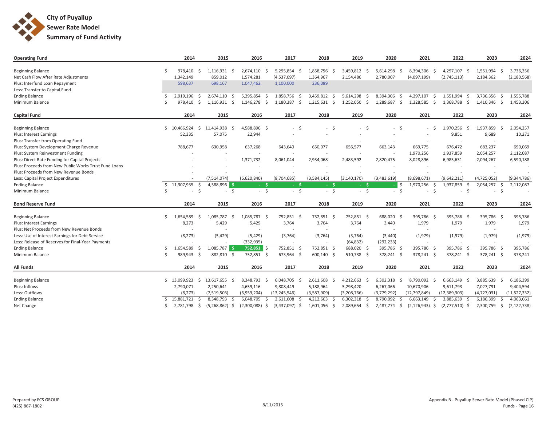

| <b>Operating Fund</b>                                                       |             | 2014                         | 2015                             | 2016             | 2017                     | 2018              | 2019             | 2020                     | 2021               | 2022              | 2023                 | 2024          |
|-----------------------------------------------------------------------------|-------------|------------------------------|----------------------------------|------------------|--------------------------|-------------------|------------------|--------------------------|--------------------|-------------------|----------------------|---------------|
|                                                                             |             |                              |                                  |                  |                          |                   |                  |                          |                    |                   |                      |               |
| <b>Beginning Balance</b>                                                    |             | 978,410<br>S,                | 1,116,931<br>- Ś                 | 2,674,110        | 5,295,854<br>$\zeta$     | 1,858,756<br>- Ś  | 3,459,812        | 5,614,298                | 8,394,306<br>-S    | 4,297,107<br>S,   | 1,551,994<br>$\zeta$ | 3,736,356     |
| Net Cash Flow After Rate Adjustments                                        |             | 1,342,149                    | 859,012                          | 1,574,281        | (4,537,097)              | 1,364,967         | 2,154,486        | 2,780,007                | (4,097,199)        | (2,745,113)       | 2,184,362            | (2, 180, 568) |
| Plus: Interfund Loan Repayment                                              |             | 598,637                      | 698,167                          | 1,047,462        | 1,100,000                | 236,089           |                  |                          |                    |                   |                      |               |
| Less: Transfer to Capital Fund                                              |             |                              |                                  |                  |                          |                   |                  |                          |                    |                   |                      |               |
| <b>Ending Balance</b>                                                       |             | 2,919,196<br>- Ś             | 2,674,110<br>- S                 | 5,295,854        | 1,858,756<br>- \$<br>-S  | 3,459,812<br>- \$ | 5,614,298<br>-Ŝ  | 8,394,306<br>- Ś         | 4,297,107<br>- \$  | 1,551,994<br>\$.  | 3,736,356<br>-S      | 1,555,788     |
| Minimum Balance                                                             |             | Ŝ.<br>978,410                | 1,116,931<br>$\ddot{\mathsf{S}}$ | 1,146,278        | Ŝ.<br>1,180,387<br>- Ś   | 1,215,631<br>\$   | 1,252,050<br>Ŝ.  | 1,289,687<br>- Ś         | 1,328,585<br>-\$   | 1,368,788<br>Ŝ.   | 1,410,346<br>S.      | 1,453,306     |
| <b>Capital Fund</b>                                                         |             | 2014                         | 2015                             | 2016             | 2017                     | 2018              | 2019             | 2020                     | 2021               | 2022              | 2023                 | 2024          |
| <b>Beginning Balance</b>                                                    | Ŝ.          | 10,466,924<br>Ŝ.             | 11,414,938<br>- Ś                | 4,588,896 \$     | - Ś<br>$\sim$            | $-5$              | Ŝ.<br>$\sim$ $-$ | $-5$                     | - \$               | 1,970,256<br>-Ŝ   | 1,937,859<br>$\zeta$ | 2,054,257     |
| <b>Plus: Interest Earnings</b>                                              |             | 52,335                       | 57,075                           | 22,944           |                          |                   |                  |                          |                    | 9,851             | 9,689                | 10,271        |
| Plus: Transfer from Operating Fund                                          |             |                              |                                  |                  |                          |                   |                  |                          |                    |                   |                      |               |
| Plus: System Development Charge Revenue                                     |             | 788,677                      | 630,958                          | 637,268          | 643,640                  | 650,077           | 656,577          | 663,143                  | 669,775            | 676,472           | 683,237              | 690,069       |
| Plus: System Reinvestment Funding                                           |             |                              |                                  |                  |                          | $\sim$            |                  |                          | 1,970,256          | 1,937,859         | 2,054,257            | 2,112,087     |
| Plus: Direct Rate Funding for Capital Projects                              |             |                              |                                  | 1,371,732        | 8,061,044                | 2,934,068         | 2,483,592        | 2,820,475                | 8,028,896          | 6,985,631         | 2,094,267            | 6,590,188     |
| Plus: Proceeds from New Public Works Trust Fund Loans                       |             |                              |                                  |                  | $\overline{\phantom{a}}$ | $\sim$            |                  | $\overline{\phantom{a}}$ |                    |                   |                      |               |
| Plus: Proceeds from New Revenue Bonds                                       |             |                              |                                  |                  |                          |                   |                  |                          |                    |                   |                      |               |
| Less: Capital Project Expenditures                                          |             |                              | (7,514,074)                      | (6,620,840)      | (8,704,685)              | (3,584,145)       | (3, 140, 170)    | (3,483,619)              | (8,698,671)        | (9,642,211)       | (4,725,052)          | (9, 344, 786) |
| <b>Ending Balance</b>                                                       | $\zeta$     | 11,307,935<br>-Ś             | 4,588,896 \$                     | $-5$             | $-5$                     | - \$              | $-5$             | l \$                     | 1,970,256<br>S.    | 1,937,859         | 2,054,257<br>S.      | 2,112,087     |
| Minimum Balance                                                             | Ś           | $\dot{\mathsf{S}}$<br>$\sim$ | $-5$                             | $-5$             | $-5$                     | $-5$              | $-5$             | S.<br>$\sim$             | $-5$               | $\zeta$<br>$\sim$ | $\zeta$<br>$\sim$    |               |
| <b>Bond Reserve Fund</b>                                                    |             | 2014                         | 2015                             | 2016             | 2017                     | 2018              | 2019             | 2020                     | 2021               | 2022              | 2023                 | 2024          |
|                                                                             | Ŝ.          |                              | -Ś                               |                  | - Ś                      |                   |                  |                          | - \$               |                   |                      |               |
| <b>Beginning Balance</b>                                                    |             | 1,654,589<br>-S              | 1,085,787                        | 1,085,787        | 752,851 \$               | 752,851 \$        | 752,851 \$       | 688,020 \$               | 395,786            | 395,786 \$        | 395,786 \$           | 395,786       |
| <b>Plus: Interest Earnings</b><br>Plus: Net Proceeds from New Revenue Bonds |             | 8,273                        | 5,429                            | 5,429            | 3,764                    | 3,764             | 3,764            | 3,440                    | 1,979              | 1,979             | 1,979                | 1,979         |
| Less: Use of Interest Earnings for Debt Service                             |             | (8, 273)                     | (5, 429)                         | (5, 429)         | (3,764)                  | (3,764)           | (3,764)          | (3,440)                  | (1,979)            | (1,979)           | (1,979)              |               |
| Less: Release of Reserves for Final-Year Payments                           |             |                              |                                  | (332, 935)       |                          |                   | (64, 832)        | (292, 233)               |                    |                   |                      | (1,979)       |
| <b>Ending Balance</b>                                                       |             | 1,654,589<br>-Ś              | 1,085,787<br>l S                 | $752,851$ \$     | 752,851<br>- \$          | $752,851$ \$      | 688,020<br>Ŝ.    | 395,786 \$               | 395,786<br>- Ś     | 395,786 \$        | 395,786 \$           | 395,786       |
| Minimum Balance                                                             |             | 989.943 \$                   | 882,810 \$                       | 752,851 \$       | 673,964 \$               | 600,140 \$        | 510,738 \$       | 378,241 \$               | 378,241 \$         | 378,241 \$        | 378,241 \$           | 378,241       |
|                                                                             |             |                              |                                  |                  |                          |                   |                  |                          |                    |                   |                      |               |
| <b>All Funds</b>                                                            |             | 2014                         | 2015                             | 2016             | 2017                     | 2018              | 2019             | 2020                     | 2021               | 2022              | 2023                 | 2024          |
| <b>Beginning Balance</b>                                                    | Ŝ.          | 13,099,923<br>Ŝ.             | 13,617,655 \$                    | 8,348,793 \$     | $6,048,705$ \$           | 2,611,608 \$      | 4,212,663<br>-S  | 6,302,318<br>-Ś          | 8,790,092 \$       | $6,663,149$ \$    | 3,885,639<br>- Ś     | 6,186,399     |
| Plus: Inflows                                                               |             | 2,790,071                    | 2,250,641                        | 4,659,116        | 9,808,449                | 5,188,964         | 5,298,420        | 6,267,066                | 10,670,906         | 9,611,793         | 7,027,791            | 9,404,594     |
| Less: Outflows                                                              |             | (8, 273)                     | (7,519,503)                      | (6,959,204)      | (13, 245, 546)           | (3,587,909)       | (3,208,766)      | (3,779,292)              | (12, 797, 849)     | (12, 389, 303)    | (4,727,031)          | (11,527,332)  |
| <b>Ending Balance</b>                                                       | $\varsigma$ | 15,881,721<br>-S             | 8,348,793<br>- \$                | 6,048,705        | 2,611,608<br>-Ś          | 4,212,663         | 6,302,318        | 8,790,092<br>-S          | 6,663,149<br>-S    | 3,885,639<br>-Ŝ   | 6,186,399            | 4,063,661     |
| Net Change                                                                  | Ŝ.          | 2,781,798<br>-\$             | $(5,268,862)$ \$                 | $(2,300,088)$ \$ | $(3,437,097)$ \$         | 1,601,056 \$      | 2,089,654<br>-\$ | 2,487,774<br>-\$         | $(2, 126, 943)$ \$ | $(2,777,510)$ \$  | 2,300,759<br>-\$     | (2, 122, 738) |
|                                                                             |             |                              |                                  |                  |                          |                   |                  |                          |                    |                   |                      |               |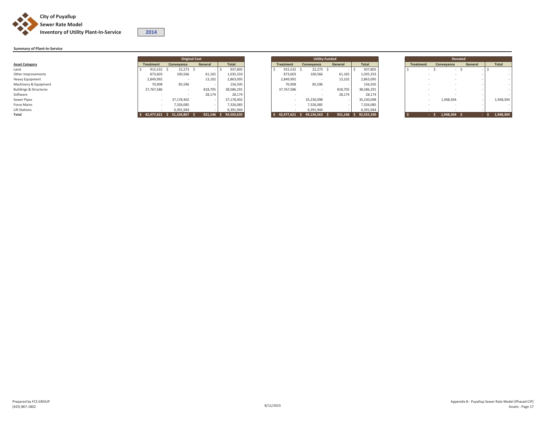

## **Summary of Plant-In-Service**

|                                   |                  | <b>Original Cost</b> |         |                       |                            |            | <b>Utility-Funded</b> |                       | <b>Donated</b> |                  |            |         |              |  |
|-----------------------------------|------------------|----------------------|---------|-----------------------|----------------------------|------------|-----------------------|-----------------------|----------------|------------------|------------|---------|--------------|--|
| <b>Asset Category</b>             | <b>Treatment</b> | Conveyance           | General | <b>Total</b>          | <b>Treatment</b>           | Convevance | General               | Total                 |                | <b>Treatment</b> | Conveyance | General | <b>Total</b> |  |
| Land                              | 915,532          | 22,273               |         | 937,805               | 915,532                    | 22,273     |                       | 937,805               |                |                  |            |         |              |  |
| Other Improvements                | 873,603          | 100,566              | 61,165  | 1,035,333             | 873,603                    | 100,566    | 61,165                | 1,035,333             |                |                  |            |         |              |  |
| Heavy Equipment                   | 2,849,992        |                      | 13,102  | 2,863,095             | 2,849,992                  |            | 13,102                | 2,863,095             |                |                  |            |         |              |  |
| Machinery & Equipment             | 70,908           | 85,596               |         | 156,505               | 70,908                     | 85,596     |                       | 156,505               |                |                  |            |         |              |  |
| <b>Buildings &amp; Structures</b> | 37,767,586       |                      | 818,705 | 38,586,291            | 37,767,586                 |            | 818,705               | 38,586,291            |                |                  |            |         |              |  |
| Software                          |                  |                      | 28,174  | 28,174                |                            |            | 28,174                | 28,174                |                |                  |            |         |              |  |
| Sewer Pipes                       |                  | 37,178,402           |         | 37,178,402            |                            | 35,230,098 |                       | 35,230,098            |                |                  | 1,948,304  |         | 1,948,304    |  |
| Force Mains                       |                  | 7,326,085            |         | 7,326,085             |                            | 7,326,085  |                       | 7,326,085             |                |                  |            |         |              |  |
| Lift Stations                     |                  | 6,391,944            |         | 6,391,944             |                            | 6,391,944  |                       | 6,391,944             |                |                  |            |         |              |  |
| Total                             | 42,477,621       | \$51,104,867         |         | 921,146 \$ 94,503,635 | \$42,477,621\$49,156,563\$ |            |                       | 921,146 \$ 92,555,330 |                |                  | 1,948,304  |         | 1,948,304    |  |

**<sup>2014</sup>**

|                          |               |  |                  |              | <b>Utility-Funded</b> |  |  |  |  |  |  |  |
|--------------------------|---------------|--|------------------|--------------|-----------------------|--|--|--|--|--|--|--|
| ieneral                  | <b>Total</b>  |  | <b>Treatment</b> | Conveyance   | General               |  |  |  |  |  |  |  |
| $\overline{\phantom{0}}$ | 937,805<br>\$ |  | 915,532          | 22,273<br>\$ | \$                    |  |  |  |  |  |  |  |
| 61,165                   | 1,035,333     |  | 873,603          | 100,566      | 61,165                |  |  |  |  |  |  |  |
| 13,102                   | 2,863,095     |  | 2,849,992        |              | 13,102                |  |  |  |  |  |  |  |
|                          | 156,505       |  | 70.908           | 85.596       |                       |  |  |  |  |  |  |  |
| 818,705                  | 38,586,291    |  | 37,767,586       |              | 818,705               |  |  |  |  |  |  |  |
| 28,174                   | 28,174        |  |                  |              | 28,174                |  |  |  |  |  |  |  |
| ۰                        | 37,178,402    |  | -                | 35,230,098   | $\overline{a}$        |  |  |  |  |  |  |  |
| ۰                        | 7,326,085     |  |                  | 7,326,085    | ۰                     |  |  |  |  |  |  |  |
|                          | 6,391,944     |  |                  | 6,391,944    |                       |  |  |  |  |  |  |  |
| 921,146                  | 94,503,635    |  | 42,477,621       | 49,156,563   | 921,146               |  |  |  |  |  |  |  |

|                   |            | <b>Original Cost</b> |                       |                          |            | <b>Utility-Funded</b> |              |
|-------------------|------------|----------------------|-----------------------|--------------------------|------------|-----------------------|--------------|
| reatment          | Convevance | General              | <b>Total</b>          | <b>Treatment</b>         | Convevance | General               | <b>Total</b> |
| $915,532 \quad $$ | 22,273 \$  |                      | 937,805               | 915,532 \$               | 22,273     |                       | 937,805      |
| 873,603           | 100,566    | 61,165               | 1,035,333             | 873,603                  | 100,566    | 61,165                | 1,035,333    |
| 2,849,992         |            | 13,102               | 2,863,095             | 2,849,992                |            | 13,102                | 2,863,095    |
| 70,908            | 85,596     |                      | 156,505               | 70,908                   | 85,596     |                       | 156,505      |
| 37,767,586        |            | 818,705              | 38,586,291            | 37,767,586               |            | 818,705               | 38,586,291   |
|                   |            | 28,174               | 28.174                |                          |            | 28.174                | 28.174       |
| . .               | 37,178,402 |                      | 37,178,402            | $\overline{\phantom{a}}$ | 35,230,098 |                       | 35,230,098   |
|                   | 7,326,085  |                      | 7,326,085             |                          | 7.326.085  |                       | 7,326,085    |
|                   | 6,391,944  |                      | 6,391,944             |                          | 6,391,944  |                       | 6,391,944    |
| 42.477.621        | 51.104.867 |                      | 921.146 \$ 94.503.635 | $$42.477.621$ \$         | 49.156.563 | 921.146 \$            | 92.555.330   |